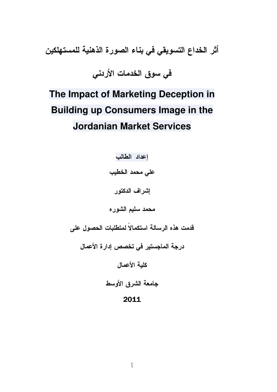أثر الخداع التسويقي في بناء الصورة الذهنية للمستهلكين

في سوق الخدمات الأردني

# The Impact of Marketing Deception in **Building up Consumers Image in the Jordanian Market Services**

إعداد الطالب على محمد الخطيب إشراف الدكتور محمد سليم الشوره قدمت هذه الرسالة استكمالاً لمتطلبات الحصول على درجة الماجستير في تخصص إدارة الأعمال كلية الأعمال جامعة الشرق الأوسط

## 2011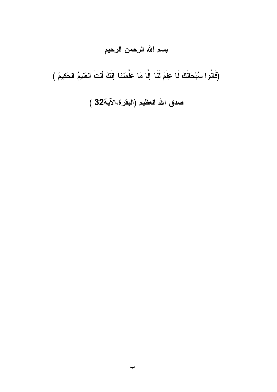# بسم الله الرحمن الرحيم

(قَالُوا سُبْحَانَكَ لَا عِلْمَ لَنَآ إِلَّا مَا عَلَّمَتنآ إِنَّكَ أَنتَ العَليمُ الحَكِيمُ )

صدق الله العظيم (البقرة،الآية32 )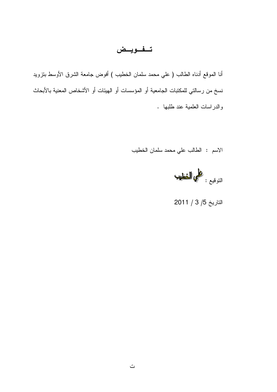## تفويض

أنا الموقع أدناه الطالب ( علي محمد سلمان الخطيب ) أفوض جامعة الشرق الأوسط بنزويد نسخ من رسالتي للمكتبات الجامعية أو المؤسسات أو الهيئات أو الأشخاص المعنية بالأبحاث والدراسات العلمية عند طلبها .

الاسم : الطالب على محمد سلمان الخطيب



التاريخ 5/ 3 / 2011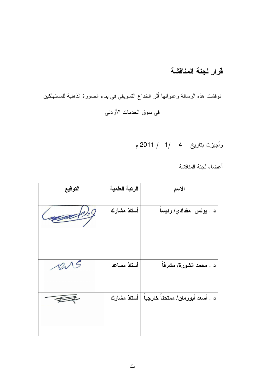## قرار لجنة المناقشة

نوقشت هذه الرسالة وعنوانها أثر الخداع النسويقي في بناء الصورة الذهنية للمستهلكين في سوق الخدمات الأردني

وأجيزت بتاريخ 4 /1 / 2011 م

أعضاء لجنة المناقشة

| التوقيع        | الرتبة العلمية | الاسم                                           |
|----------------|----------------|-------------------------------------------------|
| $\overline{Q}$ | أستاذ مشارك    | د . يونس مقدادي/ رئيسا                          |
| 1015           | أستاذ مساعد    | د . محمد الشورة/ مشرفاً                         |
|                |                | د . أسعد أبورمان/ ممتحناً خارجياً   أستاذ مشارك |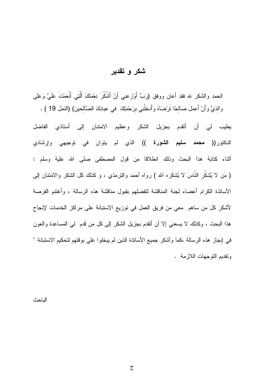## شكر و تقدير

الحمد والشكر لله فقد أعان ووفق (رَبٍّ أَورْزعنِي أَنْ أَشْكُرَ نِعْمَتَكَ أَلَّْتِي أَنْعَمْتَ عَلَيَّ وَعَلَى وَالدَيَّ وَأَنْ أَعملَ صَالِحًا تَرْضَاهُ وَأَدخِلْنِي بِرَحْمَتِكَ ۖ في عِبادِكَ الصَّالِحينَ) (النمل 19 ) .

يطيب لي أن أتقدم بجزيل الشكر وعظيم الامنتان إلى أستاذي الفاضل الدكتور(( **محمد سليم الشورة ))** الذي لم يتوان في توجيهي وإرشادي أثناء كتابة هذا البحث وذلك انطلاقا من قول المصطفى صلى الله علية وسلم : ( مَن لا يَّشكُر النَّاسَ لا يُشكَره الله ) رواه أحمد والنرمذي ، و كذلك كل الشكر والامتنان إلى الأساتذة الكرام أعضاء لجنة المناقشة لتفضلهم بقبول مناقشة هذه الرسالة ، وأغتنم الفرصة لأشكر كل من ساهم معي من فريق العمل في توزيع الاستبانة على مراكز الخدمات لإنجاح هذا البحث ، وكذلك لا يسعني إلا أن أنقدم بجزيل الشكر إلى كل من قَدم ۖ لمي المساعدة والعون في إنجاز هذه الرسالة ،كما وأشكر جميع الأساتذة الذين لم يبخلوا على بوقتهم لتحكيم الاستبانة ' ونقديم النوجهات اللازمة .

الباحث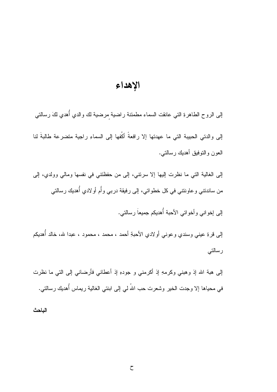## الإهداء

إلىي الروح الطاهرةِ التي عانقت السماء مطمئنة راضية مرضية لك والدي أهدي لكَ رسالتي

إلى والدتي الحبيبة التي ما عهدتها إلا رافعةً أكُفها إلى السماءِ راجية متضرعة طالبةَ لنا العون والنوفيق أهديك رسالتى.

إلى الغالبة التي ما نظرت إليها إلا سرنتي، إلى من حفظتني في نفسها ومالي وولدي، إلى من ساندنتي و عاونتني في كل خطواتي، إلى رفيقة دربي وأَم أو لادي أُهديك رسالتي

إلى إخواني وأخواتي الأحبة أهديكم جميعاً رسالتي.

إلى قرةِ عيني وسندي وعوني أولادي الأحبةِ أحمد ، محمد ، محمود ، عبدا لله، خالد أُهديكم رسالتي

إلى هبة الله إذ وهبني وكرمهِ إذ أكرمني و جودهِ إذ أعطاني فأرضاني إلى التي ما نظرت في محياها إلا وجدت الخير وشعرت حب اللهُ لي إلى ابنتي الغالية ريماس أهديك رسالتي.

الباحث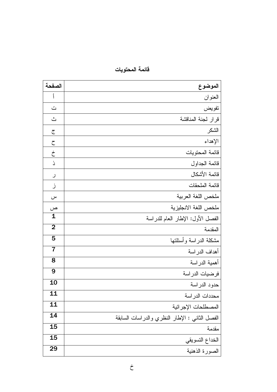| الصفحة                      | الموضوع                                        |
|-----------------------------|------------------------------------------------|
| Ĵ                           | العنوان                                        |
| $\ddot{\underline{\smile}}$ | تفويض                                          |
| ݺ                           | قرار لجنة المناقشة                             |
| ج                           | الشكر                                          |
| ح                           | الإهداء                                        |
| $\dot{\tau}$                | قائمة المحتويات                                |
| ذ                           | قائمة الجداول                                  |
| ر                           | فائمة الأشكال                                  |
| ز                           | فائمة الملحقات                                 |
| س                           | ملخص اللغة العربية                             |
| ص                           | ملخص اللغة الانجليزية                          |
| $\mathbf{1}$                | الفصل الأول: الإطار العام للدراسة              |
| $\overline{2}$              | المقدمة                                        |
| 5                           | مشكلة الدراسة وأسئلتها                         |
| $\overline{7}$              | أهداف الدراسة                                  |
| 8                           | أهمية الدراسة                                  |
| 9                           | فرضيات الدراسة                                 |
| 10                          | حدود الدراسة                                   |
| 11                          | محددات الدر اسة                                |
| 11                          | المصطلحات الإجرائية                            |
| 14                          | الفصل الثاني : الإطار النظري والدراسات السابقة |
| 15                          | مقدمة                                          |
| 15                          | الخداع التسويقي                                |
| 29                          | الصورة الذهنية                                 |

قائمة المحتويات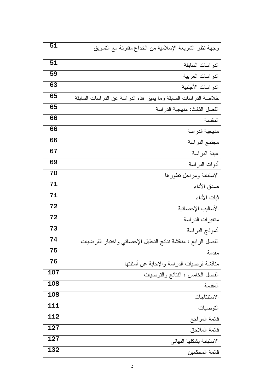| 51              | وجهة نظر الشريعة الإسلامية من الخداع مقارنة مع التسويق          |
|-----------------|-----------------------------------------------------------------|
| 51              | الدراسات السابقة                                                |
| 59              | الدراسات العربية                                                |
| 63              | الدر اسات الأجنبية                                              |
| 65              | خلاصة الدراسات السابقة وما يميز هذه الدراسة عن الدراسات السابقة |
| 65              | الفصل الثالث: منهجية الدراسة                                    |
| 66              | المقدمة                                                         |
| 66              | منهجية الدراسة                                                  |
| 66              | مجتمع الدراسة                                                   |
| 67              | عينة الدراسة                                                    |
| 69              | أدوات الدراسة                                                   |
| $\overline{70}$ | الاستبانة ومراحل تطورها                                         |
| 71              | صدق الأداء                                                      |
| $\overline{71}$ | ثبات الأداء                                                     |
| $\overline{72}$ | الأساليب الإحصائية                                              |
| 72              | متغيرات الدراسة                                                 |
| 73              | أنموذج الدراسة                                                  |
| 74              | الفصل الرابع : مناقشة نتائج التحليل الإحصائي واختبار الفرضيات   |
| 75              | مقدمة                                                           |
| 76              | مناقشة فرضيات الدراسة والإجابة عن أسئلتها                       |
| 107             | الفصل الخامس : النتائج والتوصيات                                |
| 108             | المقدمة                                                         |
| 108             | الاستتناجات                                                     |
| 111             | التوصيات                                                        |
| 112             | قائمة المراجع                                                   |
| 127             | قائمة الملاحق                                                   |
| 127             | الاستبانة بشكلها النهائي                                        |
| 132             | فائمة المحكمين                                                  |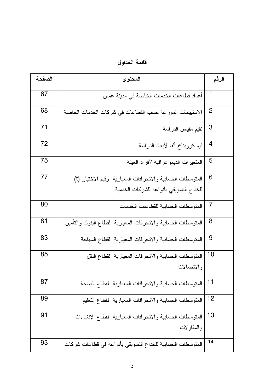| الصفحة | المحتوى                                                       | الرقم          |
|--------|---------------------------------------------------------------|----------------|
| 67     | أعداد قطاعات الخدمات الخاصة في مدينة عمان                     | -1             |
| 68     | الاستبيانات الموزعة حسب القطاعات في شركات الخدمات الخاصة      | $\overline{2}$ |
| 71     | تقيم مقياس الدراسة                                            | 3              |
| 72     | قيم كروبناخ ألفا لأبعاد الدراسة                               | $\overline{4}$ |
| 75     | المتغيرات الديمو غرافية لأفراد العينة                         | 5              |
| 77     | المتوسطات الحسابية والانحرافات المعيارية  وقيم الاختبار (t)   | 6              |
|        | للخداع التسويقي بأنواعه للشركات الخدمية                       |                |
| 80     | المنو سطات الحسابية للقطاعات الخدمات                          | 7              |
| 81     | المتوسطات الحسابية والانحرفات المعيارية لقطاع البنوك والتأمين | 8              |
| 83     | المنوسطات الحسابية والانحرفات المعيارية لقطاع السياحة         | 9              |
| 85     | المنوسطات الحسابية والانحرفات المعيارية لقطاع النقل           | 10             |
|        | والاتصالات                                                    |                |
| 87     | المتوسطات الحسابية والانحرافات المعيارية لقطاع الصحة          | $11$           |
| 89     | المنوسطات الحسابية والانحرافات المعيارية لقطاع التعليم        | 12             |
| 91     | المنوسطات الحسابية والانحرافات المعيارية لقطاع الإنشاءات      | 13             |
|        | و المقاولات                                                   |                |
| 93     | المتوسطات الحسابية للخداع النسويقي بأنواعه في قطاعات شركات    | 14             |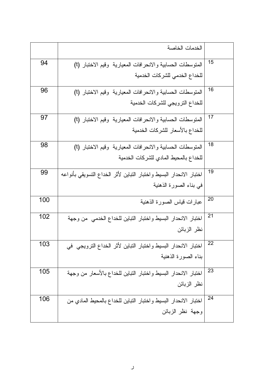|     | الخدمات الخاصة                                                      |    |
|-----|---------------------------------------------------------------------|----|
| 94  | المتوسطات الحسابية والانحرافات المعيارية وقيم الاختبار (t)          | 15 |
|     | للخداع الخدمى للشركات الخدمية                                       |    |
| 96  | المتوسطات الحسابية والانحرافات المعيارية وقيم الاختبار (t)          | 16 |
|     | للخداع النرويجي للشركات الخدمية                                     |    |
| 97  | المتوسطات الحسابية والانحرافات المعيارية  وقيم الاختبار (t)         | 17 |
|     | للخداع بالأسعار للشركات الخدمية                                     |    |
| 98  | المتوسطات الحسابية والانحرافات المعيارية  وقيم الاختبار (t)         | 18 |
|     | للخداع بالمحيط المادي للشركات الخدمية                               |    |
| 99  | اختبار الانحدار البسيط واختبار النباين لأثر الخداع التسويقي بأنواعه | 19 |
|     | في بناء الصورة الذهنية                                              |    |
| 100 | عبارات قياس الصورة الذهنية                                          | 20 |
| 102 | اختبار الانحدار البسيط واختبار التباين للخداع الخدمى من وجهة        | 21 |
|     | نظر الزبائن                                                         |    |
| 103 | اختبار الانحدار البسيط واختبار التباين لأثر الخداع الترويجي في      | 22 |
|     | بناء الصورة الذهنية                                                 |    |
| 105 | اختبار الانحدار البسيط واختبار التباين للخداع بالأسعار من وجهة      | 23 |
|     | نظر الزبائن                                                         |    |
| 106 | اختبار الانحدار البسيط واختبار التباين للخداع بالمحيط المادي من     | 24 |
|     | وجهة نظر الزبائن                                                    |    |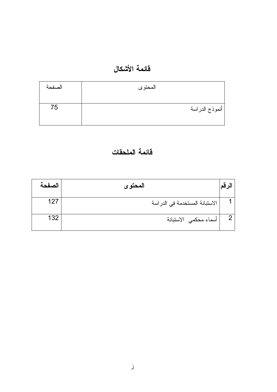## قائمة الأشكال

| الصفحة | المحتوى                     |
|--------|-----------------------------|
| 75     | <sub>ا</sub> أنموذج الدراسة |
|        |                             |

## فأئمة الملحقات

| الصفحة | المحتو ي                            |  |
|--------|-------------------------------------|--|
| 127    | الاستبانة المستخدمة في الدر اسة     |  |
| 132    | <sup>ا</sup> أسماء محكمي  الاستبانة |  |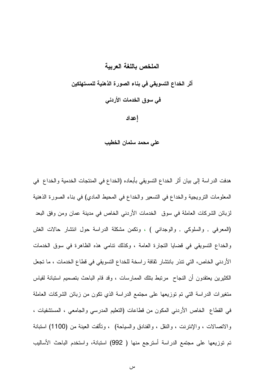#### الملخص باللغة العرببة

أثر الخداع التسويقي في بناء الصورة الذهنية للمستهلكين في سوق الخدمات الأردني إعداد

على محمد سلمان الخطيب

هدفت الدراسة إلى بيان أثر الخداع التسويقي بأبعاده (الخداع في المنتجات الخدمية والخداع في المعلومات النرويجية والخداع في التسعير والخداع في المحيط المادي) في بناء الصورة الذهنية لزبائن الشركات العاملة في سوق الخدمات الأردنبي الخاص في مدينة عمان ومن وفق البعد (المعرفي , والسلوكي , والوجداني ) ، وتكمن مشكلة الدراسة حول انتشار حالات الغش والخداع التسويقي في فضايا التجارة العامة ، وكذلك نتامى هذه الظاهرة في سوق الخدمات الأردني الخاص، التي نتذر بانتشار ثقافة راسخة للخداع النسويقي في قطاع الخدمات ، ما تجعل الكثيرين يعتقدون أن النجاح ٍ مرتبط بنلك الممارسات ، وقد قام الباحث بتصميم استبانة لقياس متغيرات الدراسة التي تم توزيعها على مجتمع الدراسة الذي تكون من زبائن الشركات العاملة في القطاع الخاص الأردنبي المكون من قطاعات (النعليم المدرسي والجامعي ، المستشفيات ، والاتصالات ، والإنترنت ، والنقل ، والفنادق والسياحة) ، وتألفت العينة من (1100) استبانة تم توزيعها على مجتمع الدراسة أسترجع منها ( 992) استبانة، واستخدم الباحث الأساليب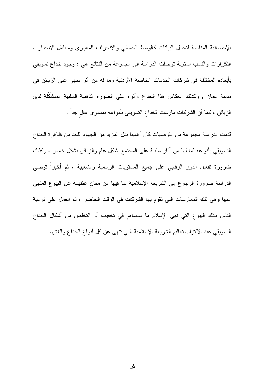الإحصائية المناسبة لتحليل البيانات كالوسط الحسابي والانحراف المعياري ومعامل الانحدار ، النكر ارات والنسب المئوية نوصلت الدراسة إلى مجموعة من النتائج هي : وجود خداع نسويقي بأبعاده المختلفة في شركات الخدمات الخاصة الأردنية وما له من أثر سلبي على الزبائن في مدينة عمان , وكذلك انعكاس هذا الخداع وأثره على الصورة الذهنية السلبيةِ المتشكِّلةِ لدى الزبائن ، كما أن الشركات مارست الخداع النسويقي بأنواعه بمستوى عال جداً .

قدمت الدراسة مجموعة من التوصيات كان أهمها بذل المزيد من الجهود للحد من ظاهرة الخداع النسويقي بأنواعه لما لها من أثار سلبية على المجتمع بشكل عام والزبائن بشكل خاص ، وكذلك ضرورة تفعيل الدور الرقابي على جميع المستويات الرسمية والشعبية ، ثم أخيراً توصبي الدراسة ضرورة الرجوع إلى الشريعة الإسلامية لما فيها من معان عظيمة عن البيوع المنهي عنها وهي نلك الممارسات التي تقوم بها الشركات في الوقت الحاضر ، ثم العمل على نوعية الناس بتلك البيوع التي نهى الإسلام ما سيساهم في تخفيف أو التخلص من أشكال الخداع النسويقي عند الالنزام بتعاليم الشريعة الإسلامية التي نتهى عن كل أنواع الخداع والغش.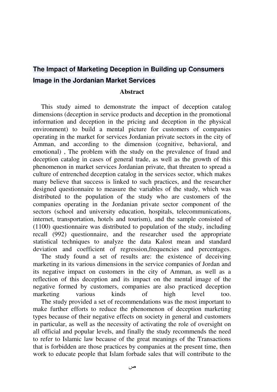## **The Impact of Marketing Deception in Building up Consumers Image in the Jordanian Market Services**

#### **Abstract**

 This study aimed to demonstrate the impact of deception catalog dimensions (deception in service products and deception in the promotional information and deception in the pricing and deception in the physical environment) to build a mental picture for customers of companies operating in the market for services Jordanian private sectors in the city of Amman, and according to the dimension (cognitive, behavioral, and emotional) , The problem with the study on the prevalence of fraud and deception catalog in cases of general trade, as well as the growth of this phenomenon in market services Jordanian private, that threaten to spread a culture of entrenched deception catalog in the services sector, which makes many believe that success is linked to such practices, and the researcher designed questionnaire to measure the variables of the study, which was distributed to the population of the study who are customers of the companies operating in the Jordanian private sector component of the sectors (school and university education, hospitals, telecommunications, internet, transportation, hotels and tourism), and the sample consisted of (1100) questionnaire was distributed to population of the study, including recall (992) questionnaire, and the researcher used the appropriate statistical techniques to analyze the data Kalost mean and standard deviation and coefficient of regression,frequencies and percentages.

 The study found a set of results are: the existence of deceiving marketing in its various dimensions in the service companies of Jordan and its negative impact on customers in the city of Amman, as well as a reflection of this deception and its impact on the mental image of the negative formed by customers, companies are also practiced deception marketing various kinds of high level too. The study provided a set of recommendations was the most important to make further efforts to reduce the phenomenon of deception marketing types because of their negative effects on society in general and customers in particular, as well as the necessity of activating the role of oversight on all official and popular levels, and finally the study recommends the need to refer to Islamic law because of the great meanings of the Transactions that is forbidden are those practices by companies at the present time, then work to educate people that Islam forbade sales that will contribute to the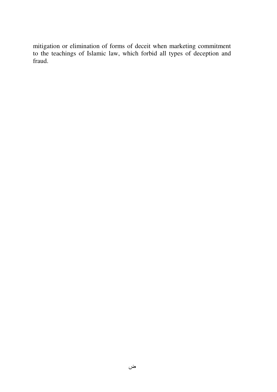mitigation or elimination of forms of deceit when marketing commitment to the teachings of Islamic law, which forbid all types of deception and fraud.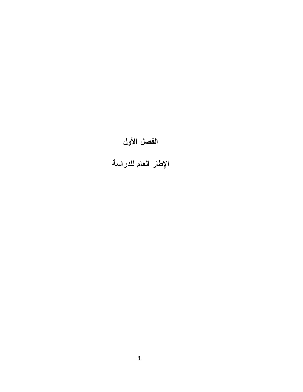# الفصل الأول

الإطار العام للدراسة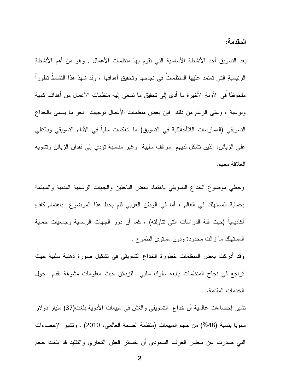المقدمة:

يعد التسويق أحد الأنشطة الأساسية التي تقوم بها منظمات الأعمال , وهو من أهم الأنشطةِ الرئيسيةِ التي تعتمد عليها المنظماتُ في نجاحها وتحقيق أهدافها ، وقد شهدَ هذا النشاطُ تطوراً ملحوظًا في الأونةِ الأخيرة ما أدى إلى تحقيق ما تسعى إليه منظمات الأعمال من أهداف كمية ونوعية ، وعلى الرغم من ذلك فإن بعض منظمات الأعمال نوجهت نحو ما يسمى بالخداع التسويقي (الممارسات اللاأخلاقيةِ في التسويق) ما انعكست سلبا في الأداء التسويقي وبالتالي على الزبائن، الذين نشكل لديهم ًمواقف سلبية ۖ وغير مناسبة نؤدي إلى فقدان الزبائن ونشويه العلاقة معهم.

وحظي موضوع الخداع التسويقي باهتمام بعض الباحثين والجهات الرسمية المدنية والمهتمة بحماية المستهلك في العالم ، أما في الوطن العربي فلم يحظ هذا الموضوع باهتمام كافٍ أكاديمياً (حيث قلة الدراسات النبي نتاولته) ، كما أن دور الجهات الرسمية وجمعيات حماية المستهلك ما زالت محدودة ودون مستوى الطموح .

وقد أدركت بعض المنظمات خطورة الخداع التسويقي في تشكيل صورة ذهنية سلبية حيث تراجع في نجاح المنظمات بنبعه سلوك سلبي للزبائن حيث معلومات مشوهة نقدم حول الخدمات المقدمة.

تشير إحصاءات عالمية أن خداع التسويقي والغش في مبيعات الأدوية بلغت(37) مليار دولار سنويا بنسبة (48%) من حجم المبيعات (منظمة الصحة العالمي، 2010) ، وتشير الإحصاءات التي صدرت عن مجلس الغرف السعودي أن خسائر الغش التجاري والنقليد قد بلغت حجم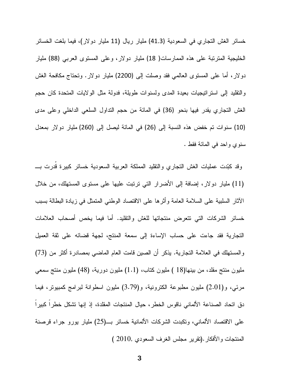خسائر الغش النجاري في السعودية (41.3) مليار ريال (11 مليار دولار)، فيما بلغت الخسائر الخليجية المنزنبة على هذه الممارسات( 18) مليار دولار، وعلى المسنوى العربي (88) مليار دولار، أما على المستوى العالمي فقد وصلت إلى (2200) مليار دولار. ونحتاج مكافحة الغش والنقليد إلى استراتيجيات بعيدة المدى ولسنوات طويلة، فدولة مثل الولايات المتحدة كان حجم الغش التجاري يقدر فيها بنحو (36) في المائة من حجم التداول السلعي الداخلي وعلى مدى (10) سنوات تم خفض هذه النسبة إلى (26) في المائة ليصل إلى (260) مليار دولار بمعدل سنوي وإحد في المائة فقط .

وقد كبّدت عمليات الغش النجاري والنقليد المملكة العربية السعودية خسائر كبيرة قدرت بــــ (11) مليار دولار، إضافة إلى الأضرار التي ترتبت عليها على مستوى المستهلك، من خلال الآثار السلبية على السلامة العامة وأثرها على الاقتصاد الوطنبي المتمثل في زيادة البطالة بسبب خسائر الشركات التي نتعرض منتجاتها للغش والتقليد. أما فيما يخص أصحاب العلامات التجارية فقد جاءت على حساب الإساءة إلى سمعة المنتج، لجهة قضائه على ثقة العميل والمستهلك في العلامة التجارية. يذكر أن الصين قامت العام الماضـي بمصـادرة أكثر من (73) مليون منتج مقلد، من بينها(18 ) مليون كتاب، (1.1) مليون دورية، (48) مليون منتج سمعي مرئي، و(2.01) مليون مطبوعة الكترونية، و(3.79) مليون اسطوانة لبرامج كمبيوتر، فيما دق اتحاد الصناعة الألماني ناقوس الخطر ، حيال المنتجات المقلدة، إذ إنها نشكل خطرا كبيرا على الاقتصاد الألماني، وتكبدت الشركات الألمانية خسائر بـــ(25) مليار يورو جراء قرصنة المنتجات والأفكار .(تقرير مجلس الغرف السعودي ,2010 )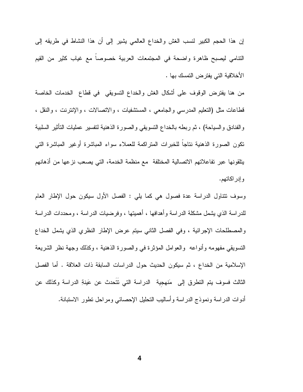إن هذا الحجم الكبير لنسب الغش والخداع العالمي يشير إلى أن هذا النشاط في طريقه إلى التنامي ليصبح ظاهرة واضحة في المجتمعات العربية خصوصا مع غياب كثير من القيم الأخلاقية التي يفترض التمسك بها .

من هنا يفترض الوقوف على أشكال الغش والخداع التسويقي في قطاع الخدمات الخاصة قطاعات مثل (النعليم المدرسي والجامعي ، المستشفيات ، والانصالات ، والإنترنت ، والنقل ، والفنادق والسياحة) ، ثم ربطه بالخداع النسويقي والصورة الذهنية لنفسير عمليات التأثير السلبية نكون الصورة الذهنية نتاجآ للخبرات المتراكمة للعملاء سواء المباشرة أوغير المباشرة التي يتلقونها عبر تفاعلاتهم الاتصالية المختلفة مع منظمة الخدمة، التي يصعب نزعها من أذهانهم و إدر اكاتهم.

وسوف نتناول الدراسة عدة فصول هي كما يلي : الفصل الأول سيكون حول الإطار العام للدراسة الذي يشمل مشكلة الدراسة وأهدافها ، أهميتها ، وفرضيات الدراسة ، ومحددات الدراسة والمصطلحات الإجرائية ، وفي الفصل الثاني سيتم عرض الإطار النظري الذي يشمل الخداع النسويقي مفهومه وأنواعه ۖ والعوامل المؤثرة في والصورة الذهنية ، وكذلك وجهة نظر الشريعة الإسلامية من الخداع ، ثم سيكون الحديث حول الدراسات السابقة ذات العلاقة . أما الفصل الثالث فسوف يتم التطرق إلى مَنهجية الدراسة التي تتَحدث عن عَينةِ الدراسة وكذلك عن أدوات الدراسة ونموذج الدراسة وأساليب النحليل الإحصائبي ومراحل نطور الاستبانة.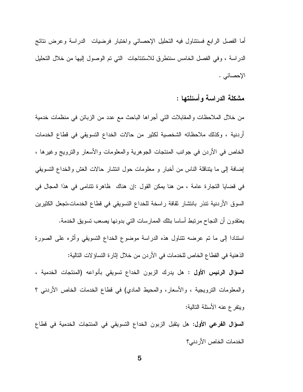أما الفصل الرابع فسنتناول فيه التحليل الإحصائي واختبار فرضيات الدراسة وعرض نتائج الدراسة ، وفي الفصل الخامس سنتطرق للاستنتاجات التي تم الوصول إليها من خلال التحليل الإحصائي .

مشكلة الدر اسة و أسئلتها :

من خلال الملاحظات والمقابلات التي أجراها الباحث مع عدد من الزبائن في منظمات خدمية أردنية ، وكذلك ملاحظاته الشخصية لكثير من حالات الخداع التسويقي في قطاع الخدمات الخاص في الأردن في جوانب المنتجات الجوهرية والمعلومات والأسعار والنزويج وغيرها ، إضافة إلى ما يتناقلهُ الناس من أخبار و معلومات حول انتشار حالات الغش والخداع التسويقي في قضايا التجارة عامة ، من هنا يمكن القول :إن هناك ظاهرة نتنامى في هذا المجال في السوق الأردنية نتذر بانتشار نقافة راسخة للخداع التسويقي في قطاع الخدمات،تجعل الكثيرين يعتقدون أن النجاح مرتبط أساسا بتلك الممارسات التي بدونها يصعب تسويق الخدمة. استنادا إلى ما نم عرضه نتناول هذه الدراسة موضوع الخداع النسويقي وأثره على الصورة الذهنية في القطاع الخاص للخدمات في الأردن من خلال إثارة النساؤ لات التالية:

ا**لسؤال الرئيس الأول :** هل يدرك الزبون الخداع تسويقى بأنواعه (المنتجات الخدمية ، والمعلومات النرويجية ، والأسعار ، والمحيط المادي) في قطاع الخدمات الخاص الأردني ؟ ويتفرع عنه الأسئلة التالية:

السؤال الفرعي الأول: هل ينقبل الزبون الخداع التسويقي في المنتجات الخدمية في قطاع الخدمات الخاص الأردني؟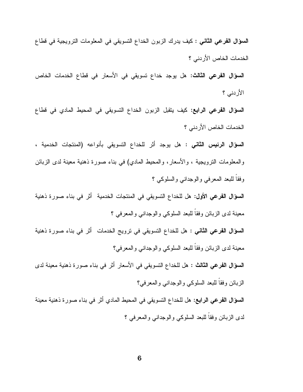**السؤال الفرعي الثاني :** كيف يدرك الزبون الخداع النسويقي في المعلومات الترويجية في قطاع الخدمات الخاص الأردني ؟

**السؤال الفرعي الثالث: ه**ل يوجد خداع تسويقي في الأسعار في قطاع الخدمات الخاص الأردني ؟

**السؤال الفرعي الرابع:** كيف يتقبل الزبون الخداع النسويقي في المحيط المادي في قطاع الخدمات الخاص الأردني ؟

**السؤال الرئيس الثاني :** هل يوجد أثر للخداع النسويقي بأنواعه (المنتجات الخدمية ، والمعلومات النزويجية ، والأسعار ، والمحيط المادي) في بناء صورة ذهنية معينة لدى الزبائن وفقا للبعد المعرفي والوجداني والسلوكي ؟

**السؤال الفرعي الأول:** هل للخداع النسويقي في المنتجات الخدمية أثر في بناء صورة ذهنية معينة لدى الزبائن وفقا للبعد السلوكي والوجداني والمعرفي ؟

**السؤال الفرعي الثاني :** هل للخداع التسويقي في ترويج الخدمات أثر في بناء صورة ذهنية معينة لدى الزبائن وفقا للبعد السلوكي والوجداني والمعرفي؟

**السؤال الفرعي الثالث :** هل للخداع التسويقي في الأسعار أثر في بناء صورة ذهنية معينة لدى الزبائن وفقا للبعد السلوكي والوجداني والمعرفي؟

ا**لسؤال الفرعي الرابع:** هل للخداع التسويقي في المحيط المادي أثر في بناء صورة ذهنية معينة لدى الزبائن وفقا للبعد السلوكي والوجداني والمعرفي ؟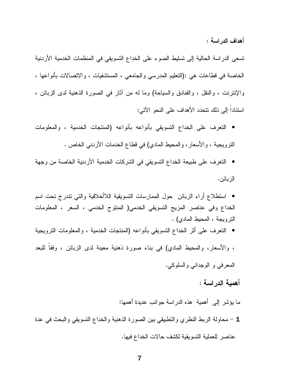أهداف الدر اسة :

تسعى الدراسة الحالية إلى تسليط الضوء على الخداع التسويقي في المنظمات الخدمية الأردنية الخاصة في قطاعات هي :(النعليم المدرسي والجامعي ، المستثنفيات ، والاتصالات بأنواعها ، والإنترنت ، والنقل ، والفنادق والسياحة) وما له من أثار في الصورة الذهنية لدى الزبائن ، استناداً إلى ذلك تتحدد الأهداف على النحو الآتى:

- النعرف على الخداع النسويقي بأنواعه بأنواعه (المنتجات الخدمية ، والمعلومات النزويجية ، والأسعار ، والمحيط المادي) في قطاع الخدمات الأردنبي الخاص .
- النعرف على طبيعة الخداع التسويقي في الشركات الخدمية الأردنية الخاصة من وجهة الز بائن.
- استطلاع أراء الزبائن حول الممارسات النسويقية اللاأخلاقية والتي نتدرج نحت اسم الخداع وفي عناصر المزيج التسويقي الخدمي( المنتوج الخدمي ، السعر ، المعلومات النزويجة ، المحيط المادي) .
- النعرف على أثر الخداع النسويقي بأنواعه (المنتجات الخدمية ، والمعلومات الترويجية ، والأسعار، والمحيط المادي) في بناء صورة ذهنية معينة لدى الزبائن ، وفقا للبعد المعرفي و الوجداني والسلوكي.

أهمية الدراسة :

- ما يؤشر إلى أهمية ۖ هذه الدراسة جوانب عديدة أهمها:
- 1 محاولة الربط النظري والنطبيقي بين الصورة الذهنية والخداع النسويقي والبحث في عدة عناصر للعملية النسويقية لكشف حالات الخداع فيها.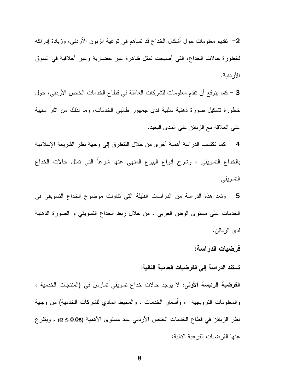2– نقديم معلومات حول أشكال الخداع قد تساهم في توعية الزبون الأردني، وزيادة إدراكه لخطورة حالات الخداع، التي أصبحت تمثل ظاهرة غير حضارية وغير أخلاقية في السوق الأر دنبة.

3 – كما يتوقع أن تقدم معلومات للشركات العاملة في قطاع الخدمات الخاص الأردني، حول خطورة نشكيل صورة ذهنية سلبية لدى جمهور طالبي الخدمات، وما لذلك من أثار سلبية على العلاقة مع الزبائن على المدى البعيد.

4 – كما نكتسب الدراسة أهمية أخرى من خلال النتطرق إلى وجهة نظر الشريعة الإسلامية بالخداع التسويقي ، وشرح أنواع البيوع المنهي عنها شرعاً التي تمثل حالات الخداع التسويقي.

5 – وتعد هذه الدراسة من الدراسات القليلة التي نتاولت موضوع الخداع التسويقي في الخدمات على مستوى الوطن العربي ، من خلال ربط الخداع التسويقي و الصورة الذهنية لدى الز بائن.

#### فرضيات الدراسة:

#### تستند الدراسة إلى الفرضيات العدمية التالية:

ا**لفرضية الرئيسة الأولى:** لا يوجد حالات خداع تسويقي تمارس في (المنتجات الخدمية ، والمعلومات النَّرويجية ، وأسعار الخدمات ، والمحيط المادي للشركات الخدمية) من وجهة نظر الزبائن في قطاع الخدمات الخاص الأردني عند مستوى الأهمية (α ≤ 0.05) ، ويتفر ع عنها الفرضيات الفرعية التالية: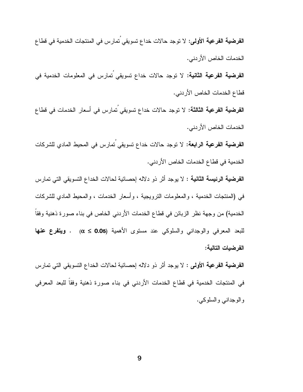ا**لفرضية الفرعية الثانية:** لا توجد حالات خداع تسويقى <sup>ُ</sup>تمارس فى المعلومات الخدمية فى قطاع الخدمات الخاص الأردني. ا**لفرضية الفرعية الثالثة:** لا توجد حالات خداع تسويقي تمارس في أسعار الخدمات في قطاع الخدمات الخاص الأردني. ا**لفرضية الفرعية الرابعة:** لا توجد حالات خداع تسويقي تمارس في المحيط المادي للشركات الخدمية في قطاع الخدمات الخاص الأردني.

ا**لفرضية الرئيسة الثانية :** لا يوجد أثر ذو دلاله إحصائية لحالات الخداع التسويقي التي تمارس في (المنتجات الخدمية ، والمعلومات النرويجية ، وأسعار الخدمات ، والمحيط المادي للشركات الخدمية) من وجهة نظر الزبائن في قطاع الخدمات الأردني الخاص في بناء صورة ذهنية وفقاً للبعد المعرفي والوجداني والسلوكي عند مستوى الأهمية (α ≤ 0.05) . **ويتفرع عنها** الفرضيات التالية:

ا**لفرضية الفرعية الأولى :** لا يوجد أثر ذو دلاله إحصائية لحالات الخداع النسويقي التي تمارس في المنتجات الخدمية في قطاع الخدمات الأردني في بناء صورة ذهنية وفقاً للبعد المعرفي والوجداني والسلوكي.

الخدمات الخاص الأردني.

ا**لفرضية الفرعية الأولى:** لا توجد حالات خداع تسويقي تمارس في المنتجات الخدمية في قطاع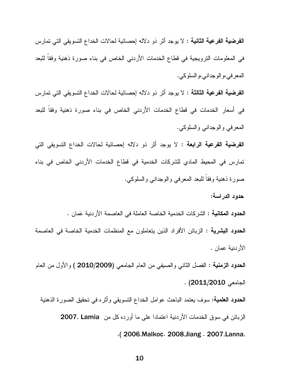ا**لفرضية الفرعية الثانية :** لا يوجد أثر ذو دلاله إحصائية لحالات الخداع التسويقي التي تمارس في المعلومات النرويجية في قطاع الخدمات الأردني الخاص في بناء صورة ذهنية وفقا للبعد المعر في،و الوجداني،و السلوكي.

ا**لفرضية الفرعية الثالثة :** لا يوجد أثر ذو دلاله إحصائية لحالات الخداع التسويقي التي تمارس في أسعار الخدمات في قطاع الخدمات الأردني الخاص في بناء صورة ذهنية وفقا للبعد المعرفي والوجداني والسلوكي.

ا**لفرضية الفرعية الرابعة :** لا يوجد أثر ذو دلاله إحصائية لحالات الخداع النسويقي التي تمارس في المحيط المادي للشركات الخدمية في قطاع الخدمات الأردني الخاص في بناء صورة ذهنية وفقا للبعد المعرفي والوجداني والسلوكي.

حدود الدراسة:

**الحدود المكانية :** الشركات الخدمية الخاصة العاملة في العاصمة الأردنية عَمان . **الحدود البشرية :** الزبائن الأفراد الذين يتعاملون مع المنظمات الخدمية الخاصمة في العاصمة الأردنية عمان .

ا**لحدود الزمنية :** الفصل الثاني والصيفي من العام الجامعي (2009/2009 ) والأول من العام الجامعي 2011/2010) .

**الحدود العلمية:** سوف يعتمد الباحث عوامل الخداع التسويقي وأثره في تحقيق الصورة الذهنية الزبائن في سوق الخدمات الأردنية اعتمادا على ما أورده كل من 2007, Lamia ( . 2006,Malkoc. 2008,Jiang . 2007,Lanna,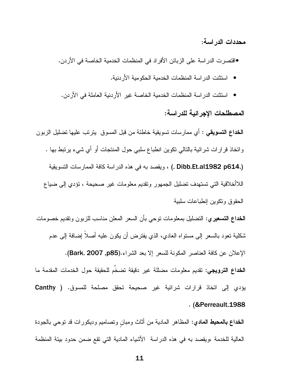محددات الدراسة:

●اقتصرت الدراسة على الزبائن الأفراد في المنظمات الخدمية الخاصة في الأردن.

- استثنت الدر اسة المنظمات الخدمية الحكومية الأر دنية.
- استثنت الدر اسة المنظمات الخدمية الخاصة غير الأردنية العاملة في الأردن.

#### المصطلحات الاجر ائية للدر اسة:

ا**لخداع التسويقي** : أي ممارسات تسويقية خاطئة من قبل المسوق يترتب عليها تضليل الزبون وانخاذ قرارات شرائية بالتالي نكوين انطباع سلبي حول المنتجات أو أي شيء يرتبط بها . (. Dibb.Et.al1982 p614. ) ، ويقصد به في هذه الدراسة كافة الممارسات التسويقية اللاأخلاقية التي تستهدف تضليل الجمهور وتقديم معلومات غير صحيحة ، تؤدي إلى ضياع الحقوق ونكوين إنطباعات سلبية

**الخداع التسعيري:** التضليل بمعلومات توحى بأن السعر المعلن مناسب للزبون وتقديم خصومات شكلية تعود بالسعر إلى مستواه العادي، الذي يفترض أن يكون عليه أصلاً إضافة إلى عدم الإعلان عن كافة العناصر المكونة للسعر إلا بعد الشر اء.(Bark, 2007 ,p85). **الخداع الترويجي:** تقديم معلومات مضللة غير دقيقة تضخَّم للحقيقة حول الخدمات المقدمة ما يؤدى إلى اتخاذ قرارات شرائية غير صحيحة تحقق مصلحة للمسوق. ( Canthy . (& Perreault. 1988

ا**لخداع بالمحيط المادي**: المظاهر المادية من أثاث ومبان وتصاميم وديكورات قد توحي بالجودة العالية للخدمة ،ويقصد به في هذه الدراسة الأشياء المادية التي تقع ضمن حدود بيئة المنظمة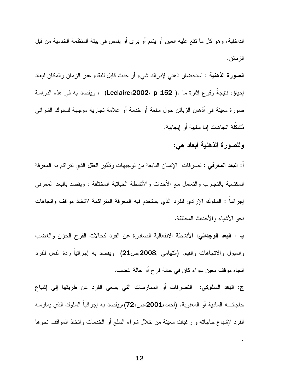الداخلية، وهو كل ما نقع عليه العين أو يشم أو يرى أو يلمس في بيئة المنظمة الخدمية من قبل الزبائن.

**الصورة الذهنية** : استحضار ذهنبي لإدراك شيء أو حدث قابل للبقاء عبر الزمان والمكان ليعاد إحياؤه نتيجة وقوع إثارة ما .( Leclaire،2002، p 152) ، ويقصد به في هذه الدراسة صورة معينة في أذهان الزبائن حول سلعة أو خدمة أو علامة تجارية موجهة للسلوك الشرائبي مُشكِّلة اتجاهات إما سلبية أو إيجابية.

وللصورة الذهنية أبعاد هي:

أ: ا**لبعد المعرفي** : نصرفات الإنسان النابعة من نوجيهات وتأثير العقل الذي نتراكم به المعرفة المكتسبة بالتجارب والتعامل مع الأحداث والأنشطة الحياتية المختلفة ، ويقصد بالبعد المعرفي لِجِرِ ائيا : السلوك الإرادي للفرد الذي يستخدم فيه المعرفة المنز اكمة لاتخاذ مواقف واتجاهات نحو الأشباء والأحداث المختلفة.

ب : البعد الوجداني: الأنشطة الانفعالية الصادرة عن الفرد كحالات الفرح الحزن والغضب والمبول والانجاهات والقيم. (النهامي ,2008,ص21) ويقصد به إجرائيا ردة الفعل للفرد اتجاه موقف معين سواء كان في حالة فرح أو حالة غضب.

ج: **البعد السلوكي**: التصرفات أو الممارسات التي يسعى الفرد عن طريقها إلى إشباع حاجاتــــه المـادية أو المعنوية. (أحمد،2001،ص،72)،ويقصد بـه إجرائيا السلوك الذي يمارسه الفرد لإشباع حاجاته و رغبات معينة من خلال شراء السلع أو الخدمات واتخاذ المواقف نحوها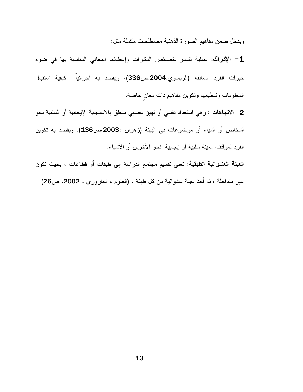ويدخل ضمن مفاهيم الصورة الذهنية مصطلحات مكملة مثل:

1- الإدراك: عملية نفسير خصائص المثيرات وإعطائها المعاني المناسبة بها في ضوء خبرات الفرد السابقة (الريماوي,2004,ص336)، ويقصد به إجرائياً كيفية استقبال المعلومات ونتظيمها ونكوين مفاهيم ذات معان خاصة.

2– الا**تجاهات** : و هي استعداد نفسي أو تهيؤ عصبي متعلق بالاستجابة الإيجابية أو السلبية نحو أشخاص أو أشياء أو موضوعات في البيئة (زهران ،2003،ص136). ويقصد به نكوين الفرد لمواقف معينة سلبية أو إيجابية نحو الآخرين أو الأشياء.

ا**لعينة العشوائية الطبقية:** تعني تقسيم مجتمع الدراسة إلى طبقات أو قطاعات ، بحيث تكون غير متداخلة ، ثم أخذ عينة عشوائية من كل طبقة . (العتوم ، العاروري ، 2002، ص26)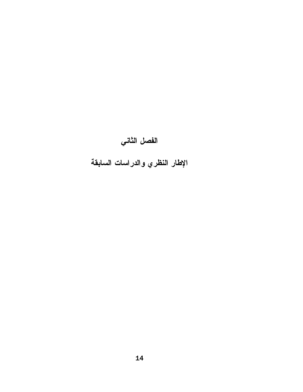# الفصل الثاني

الإطار النظري والدراسات السابقة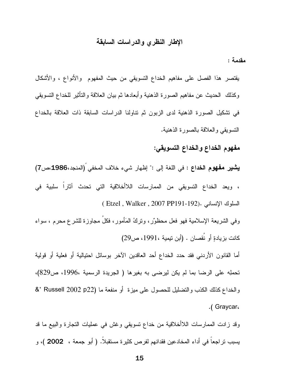### الإطار النظري والدراسات السابقة

مقدمة :

يقتصر هذا الفصل على مفاهيم الخداع التسويقي من حيث المفهوم والأنواع ، والأشكال وكذلك الحديث عن مفاهيم الصورة الذهنية وأبعادها ثم بيان العلاقة والتأثير للخداع التسويقي في نشكيل الصورة الذهنية لدى الزبون ثم نتاولنا الدراسات السابقة ذات العلاقة بالخداع التسويقي والعلاقة بالصورة الذهنية.

## مفهوم الخداع والخداع التسويقي:

يشير مفهوم الخداع : في اللغة إلى :" إظهار شيء خلاف المخفى (المنجد،1986،ص7) ، ويعد الخداع التسويقي من الممارسات اللاأخلاقية التي تحدث آثاراً سلبية في السلوك الإنساني .(Etzel, Walker, 2007 PP191-192)

وفي الشريعة الإسلامية فهو فعل محظوٌر، ونزكُ المَأمور، فكلُ مجاوزة للشرع محرم ، سواء كانت بزيادةٍ أو نُقصان . (أبن نيمية ،1991، ص29)

أما القانون الأردني فقد حدد الخداع أحد العاقدين الآخر بوسائل احتيالية أو فعلية أو قولية تحملِه على الرضا بما لم يكن ليرضى به بغيرها ( الجريدة الرسمية ،1996، ص829)، والخداع كذلك الكذب والنضليل للحصول على ميزة ۖ أو منفعة ما (2002 Russell 2002 °& 'R .(Graycar.

وقد زادت الممارسات اللاأخلاقية من خداع نسويقي وغش في عمليات النجارة والبيع ما قد يسبب نراجعا في أداء المخادعين فقدانهم لفرص كثيرة مستقبلا. ﴿ أَبو جِمعة ، 2002 )، و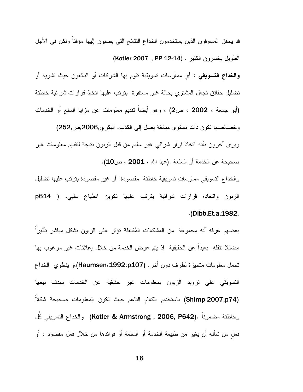قد يحقق المسوقون الذين يستخدمون الخداع النتائج التي يصبون إليها مؤقتا ولكن في الأجل الطويل بخسرون الكثير . (24-12 Kotler 2007) **والخداع التسويقي** : أي ممارسات نسويقية نقوم بها الشركات أو البائعون حيث نشويه أو تضليل حقائق تجعل المشتري بحالة غير مستقرة يترتب عليها اتخاذ قرارات شرائية خاطئة (أبو جمعة ، 2002 ، ص2) ، وهو أيضاً نقديم معلومات عن مزايا السلع أو الخدمات وخصائصها نكون ذات مستوى مبالغة يصل إلى الكذب. البكري,2006,ص,252) ويرى أخرون بأنه اتخاذ قرار شرائي غير سليم من قبل الزبون نتيجة لتقديم معلومات غير صحيحة عن الخدمة أو السلعة .(عبد الله ، 2001 ، ص10).

والخداع النسويقي ممارسات نسويقية خاطئة ًمقصودة ۖ أو غير مقصودة يترتب عليها تضليل الزبون واتخاذه قرارات شرائية بترتب عليها تكوين انطباع سلبي. ( p614 .(Dibb.Et.a, 1982,

بعضهم عرفه أنه مجموعة من المشكلات المُفتعلة نؤثر على الزبون بشكل مباشر نأثيرا مضللا نتقله بعيدا عن الحقيقية إذ يتم عرض الخدمة من خلال إعلانات غير مرغوب بها تحمل معلومات متحيزة لطرف دون أخر . (Haumsen،1992،p107)،و ينطوي الخداع التسويقي على نزويد الزبون بمعلومات غير حقيقية عن الخدمات بهدف بيعها (Shimp,2007,p74) باستخدام الكلام الناعم حيث نكون المعلومات صحيحة شكلا وخاطئة مضمونا .(Kotler & Armstrong , 2006, P642) والخداع التسويقي كُلُّ فعل من شأنه أن يغير من طبيعة الخدمة أو السلعة أو فوائدها من خلال فعل مقصود ، أو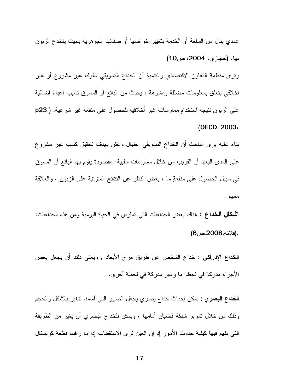عمدي ينال من السلعة أو الخدمة بتغيير خواصها أو صفاتها الجوهرية بحيث ينخدع الزبون بها. (حجازي، 2004، ص10) ونرى منظمة النعاون الاقتصادي والنتمية أن الخداع النسويقى سلوك غير مشروع أو غير أخلاقي يتعلَّق بمعلومات مضللة ومشوهة ، يحدث من البائع أو المسوق نسبب أعباءَ إضافية على الزبون نتيجة استخدام ممارسات غير أخلاقية للحصول على منفعة غير شرعية. ( p23

(OECD, 2003.

بناء عليه برى الباحث أن الخداع التسويقي احتيال وغش بهدف تحقيق كسب غير مشروع على المدى البعيد أو القريب من خلال ممارسات سلبية مقصودة يقوم بها البائع أو المسوق في سبيل الحصول على منفعةٍ ما ، بغض النظر عن النتائج المنزنبة على الزبون ، والعلاقة معهم .

**اشكال الخداع :** هناك بعض الخداعات التي تمارس في الحياة اليومية ومن هذه الخداعات: (فلاته,2008,ص6)

**الخداع الإدراكي :** خداع الشخص عن طريق مزج الأبعاد , ويعني ذلك أن يجعل بعض الأجزاء مدركة في لحظة ما وغير مدركة في لحظة أخرى.

**الخداع البصري :** يمكن إحداث خداع بصري يجعل الصور التبي أمامنا نتغير بالشكل والحجم وذلك من خلال تمرير شبكة قضبان أمامها ، ويمكن للخداع البصري أن يغير من الطريقة التـي نفهم فيـها كيفية حدوث الأمور إذ إن الـعين نرى الاستقطاب إذا مـا راقبنا قطعة كريستال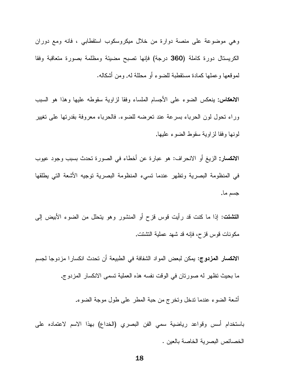وهي موضوعة على منصة دوارة من خلال ميكروسكوب استقطابي ، فانه ومع دوران الكريستال دورة كاملة (360 درجة) فإنها نصبح مضيئة ومظلمة بصورة متعاقبة وفقا لموقعها وعملها كمادة مستقطبة للضوء أو محللة له. ومن أشكاله.

الانعكاس: ينعكس الضوء على الأجسام الملساء وفقا لزلوية سقوطه عليها وهذا هو السبب وراء نحول لون الحرباء بسرعة عند نعرضه للضوء. فالحرباء معروفة بقدرتها علىي نغيير لونها وفقا لزاوية سقوط الضوء عليها.

الانكسار: الزيغ أو الانحراف: هو عبارة عن أخطاء في الصورة تحدث بسبب وجود عيوب في المنظومة البصرية ونظهر عندما نسيء المنظومة البصرية نوجيه الأشعة النبي يطلقها جسم ما.

**التشتت:** إذا ما كنت قد رأيت قوس قزح أو المنشور وهو يتحلل من الضوء الأبيض إلى مكونات قوس قزح، فإنه قد شهد عملية التشتت.

ال**انكسار المزدوج:** يمكن لبعض المواد الشفافة في الطبيعة أن تحدث انكسار ا مزدوجا لجسم ما بحيث تظهر له صورتان في الوقت نفسه هذه العملية تسمى الانكسار المزدوج.

أشعة الضوء عندما ندخل ونخرج من حبة المطر على طول موجة الضوء.

باستخدام أسس وقواعد رياضية سمى الفن البصري (الخداع) بهذا الاسم لاعتماده على الخصائص البصر ية الخاصة بالعين .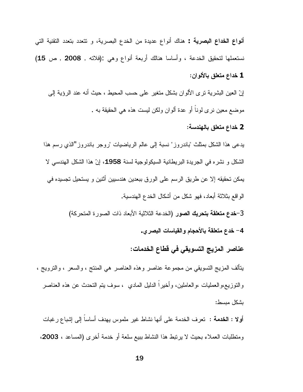أ**نواع الخداع البصرية :** هناك أنواع عديدة من الخدع البصرية، و تتعدد بتعدد التقنية التي نستعملها لتحقيق الخدعة ، وأساسا هنالك أربعة أنواع وهي :(فلاته , 2008 , ص 15) 1 خداع متعلق بالألوان:

إنِّ العين البشرية ترى الألوان بشكل متغير على حسب المحيط ، حيث أنه عند الرؤية إلى موضـع معين نر ي لوناً أو عدة ألوان ولكن ليست هذه هي الحقيقة به .

#### 2 خداع متعلق بالهندسة:

يدعى هذا الشكل بمثلث "باندروز" نسبة إلى عالم الرياضيات "روجر باندروز "الذي رسم هذا الشكل و نشر ه في الجريدة البريطانية السيكولوجية لسنة 1958، إنّ هذا الشكل الهندسي لا يمكن تحقيقه إلا عن طريق الرسم على الورق ببعدين هندسبين أثنين و يستحيل تجسيده في الواقع بثلاثة أبعاد، فهو شكل من أشكال الخدع الهندسية.

> 3–خدع متعلقة بتحريك الصور (الخدعة الثلاثية الأبعاد ذات الصورة المتحركة) 4– خدع متعلقة بالأحجام والقياسات البصرى.

> > عناصر المزيج التسويقي في قطاع الخدمات:

يتألف المزيج النسويقي من مجموعة عناصر وهذه العناصر هي المنتج ، والسعر ، والنزويج ، والنوزيع،والعمليات ،والعاملين، وأخيراً الدليل المادي ، سوف يتم التحدث عن هذه العناصر بشكل مبسط:

**أولا : الخدمة :** تعرف الخدمة على أنها نشاط غير ملموس يهدف أساساً إلى إشباع رغبات ومنطلبات العملاء بحيث لا يرتبط هذا النشاط ببيع سلعة أو خدمة أخرى (المساعد ، 2003،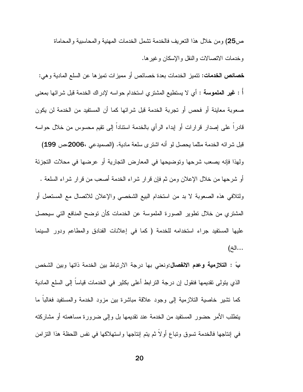ص25) و من خلال هذا النعر بف فالخدمة نشمل الخدمات المهنية و المحاسبية و المحاماة وخدمات الاتصالات والنقل والإسكان وغيرها.

**خصائص الخدمات:** نتميز الخدمات بعدة خصائص أو مميزات نميزها عن السلع المادية وهي: أ : **غير الملموسة** : أي لا يستطيع المشتري استخدام حواسه لإدراك الخدمة قبل شرائها بمعنى صعوبة معاينة أو فحص أو تجربة الخدمة قبل شرائها كما أن المستفيد من الخدمة لن يكون قادراً على إصدار قرارات أو إبداء الرأي بالخدمة استنادا إلى نقيم محسوس من خلال حواسه قبل شرائه الخدمة مثلما يحصل لو أنه اشترى سلعة مادية. (الصميدعي ،2006،ص 199) ولهذا فإنه يصعب شرحها وتوضيحها في المعارض التجارية أو عرضها في محلات التجزئة أو شرحها من خلال الإعلان ومن ثم فإن قرار شراء الخدمة أصعب من قرار شراء السلعة . ولتلافي هذه الصعوبة لا بد من استخدام البيع الشخصـي والإعلان للانصـال مـع المستعمل أو المشتري من خلال نطوير الصورة الملموسة عن الخدمات كأن توضح المنافع التي سيحصل عليها المستفيد جراء استخدامه للخدمة (كما في إعلانات الفنادق والمطاعم ودور السينما ...الخ)

**بً : التلازمية وعدم الانفصال:**ونعني بها درجة الارتباط بين الخدمة ذاتها وبين الشخص الذي يتولى تقديمها فنقول إن درجة الترابط أعلى بكثير في الخدمات قياسا إلى السلع المادية كما تشير خاصية النلازمية إلى وجود علاقة مباشرة بين مزود الخدمة والمستفيد فغالبا ما ينطلب الأمر حضور المستفيد من الخدمة عند تقديمها بل وإلى ضرورة مساهمته أو مشاركته في إنتاجها فالخدمة تسوق وتباع أولا ثم بتم إنتاجها واستهلاكها في نفس اللحظة هذا التزامن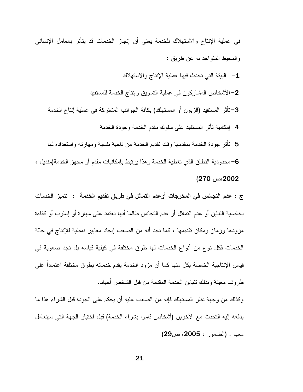في عملية الإنتاج والاستهلاك للخدمة يعني أن إنجاز الخدمات قد يتأثر بالعامل الإنساني والمحيط المنواجد به عن طريق : 1- البيئة التي تحدث فيها عملية الإنتاج والاستهلاك

2–الأشخاص المشاركون في عملية النسويق وإنتاج الخدمة للمستفيد

3–تأثَّر المستفيد (الزبون أو المستهلك) بكافة الجوانب المشتركة في عملية إنتاج الخدمة 4– إمكانية تأثر المستفيد على سلوك مقدم الخدمة وجودة الخدمة

5–تأثر جودة الخدمة بمقدمها وقت نقديم الخدمة من ناحية نفسية ومهارته واستعداده لمها 6–محدودية النطاق الذي تغطية الخدمة وهذا يرتبط بإمكانيات مقدم أو مجهز الخدمة(منديل ، 2002،ص 270)

ج : عدم التجانس في المخرجات أوعدم التماثل في طريق تقديم الخدمة : تتميز الخدمات بخاصية النباين أو عدم النماثل أو عدم النجانس طالما أنها نعتمد على مهارة أو إسلوب أو كفاءة مزودها وزمان ومكان تقديمها ، كما نجد أنه من الصعب إيجاد معايير نمطية للإنتاج في حالة الخدمات فكل نوع من أنواع الخدمات لها طرق مختلفة في كيفية قياسه بل نجد صعوبة في قياس الإنتاجية الخاصة بكل منها كما أن مزود الخدمة يقدم خدماته بطرق مختلفة اعتمادا على ظروف معينة وبذلك نتباين الخدمة المقدمة من قبل الشخص أحيانا.

وكذلك من وجهة نظر المستهلك فإنه من الصعب عليه أن يحكم على الجودة قبل الشراء هذا ما يدفعه إليه النحدث مع الآخرين (أشخاص قاموا بشراء الخدمة) قبل اختيار الجهة التي سيتعامل معها . (الضمور ، 2005، ص29)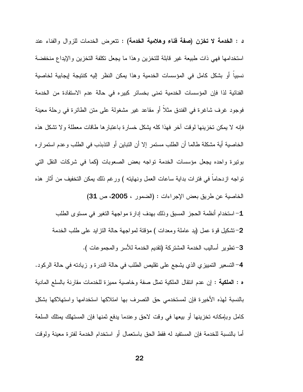د : الخدمة لا تخزن (صفة فناء وهلامية الخدمة) : تتعرض الخدمات للزوال والفناء عند استخدامها فهي ذات طبيعة غير قابلة للتخزين وهذا ما يجعل تكلفة التخزين والإيداع منخفضة نسبيا أو بشكل كامل في المؤسسات الخدمية وهذا يمكن النظر إليه كنتيجة إيجابية لخاصية الفنائية لذا فإن المؤسسات الخدمية تمنى بخسائر كبيره في حالة عدم الاستفادة من الخدمة فوجود غرف شاغرة في الفندق مثلاً أو مقاعد غير مشغولة على متن الطائرة في رحلة معينة فإنه لا يمكن تخزينها لوقت أخر فهذا كله يشكل خسارة باعتبارها طاقات معطلة ولا تشكل هذه الخاصية أية مشكلة طالما أن الطلب مستمر إلا أن التباين أو التذبذب في الطلب وعدم استمرار ه بونيرة واحده يجعل مؤسسات الخدمة تواجه بعض الصعوبات (كما في شركات النقل التي نواجه ازدحاما في فترات بداية ساعات العمل ونهايته ) ورغم ذلك يمكن التخفيف من أثار هذه الخاصية عن طريق بعض الإجراءات : (الضمور ، 2005، ص 31) 1– استخدام أنظمة الحجز المسبق وذلك بهدف إدارة مواجهة التغير في مستوى الطلب 2–تشكيل قوة عمل (يد عاملة ومعدات ) مؤقتة لمواجهة حالة التزايد على طلب الخدمة 3-تطوير أساليب الخدمة المشتركة (تقديم الخدمة للأسر والمجموعات ). 4– التسعير التمييزي الذي يشجع على نقليص الطلب في حالة الندرة و زيادته في حالة الركود. ه : ا**لملكية** : إن عدم انتقال الملكية تمثل صفة وخاصية مميزة للخدمات مقارنة بالسلع المادية بالنسبة لهذه الأخيرة فإن لمستخدمي حق التصرف بها امتلاكها استخدامها واستهلاكها بشكل كامل وبإمكانه نخزينها أو بيعها في وقت لاحق وعندما يدفع ثمنها فإن المستهلك يمتلك السلعة أما بالنسبة للخدمة فإن المستفيد له فقط الحق باستعمال أو استخدام الخدمة لفترة معينة ولوقت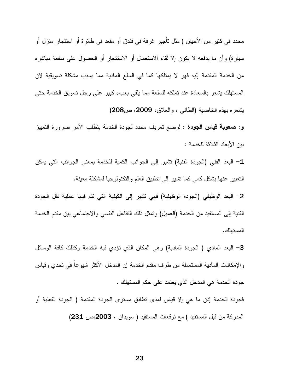محدد في كثير من الأحيان ( مثل تأجير غرفة في فندق أو مقعد في طائرة أو استئجار منزل أو سيارة) وأن ما يدفعه لا يكون إلا لقاء الاستعمال أو الاستئجار أو الحصول على منفعة مباشره من الخدمة المقدمة إليه فهو لا يمتلكها كما في السلع المادية مما يسبب مشكلة تسويقية لان المستهلك يشعر بالسعادة عند تملكه للسلعة مما يلقى بعبء كبير على رجل نسويق الخدمة حتى بِشْعِرِه بهذه الخاصية (الطائبي ، والعلاق، 2009، ص208)

**و: صعوبة قياس الجودة :** لوضع نعريف محدد لجودة الخدمة يتطلب الأمر ضرورة التمييز بين الأبعاد الثلاثة للخدمة :

1- البعد الفني (الجودة الفنية) تشير إلى الجوانب الكمية للخدمة بمعنى الجوانب التي يمكن التعبير عنها بشكل كمَّى كما تشير إلى نطبيق العلم والتكنولوجيا لمشكلة معينة.

2– البعد الوظيفي (الجودة الوظيفية) فهي تشير إلى الكيفية التي نتم فيها عملية نقل الجودة الفنية إلى المستفيد من الخدمة (العميل) وتمثَّل ذلك النفاعل النفسي والاجتماعي بين مقدم الخدمة المستهلك.

3– البعد المادي ( الجودة المادية) وهي المكان الذي نؤدي فيه الخدمة وكذلك كافة الوسائل والإمكانات المادية المستعملة من طرف مقدم الخدمة إن المدخل الأكثر شيوعا في تحدي وقياس جودة الخدمة هي المدخل الذي يعتمد على حكم المستهلك .

فجودة الخدمة إذن ما هي إلا قياس لمدى نطابق مستوى الجودة المقدمة ( الجودة الفعلية أو المدركة من قبل المستفيد ) مع نوقعات المستفيد ( سويدان ، 2003،ص 231)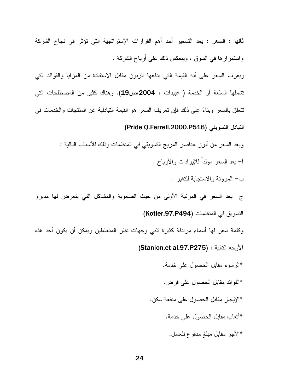ثانيا : السعر : يعد التسعير أحد أهم القرارات الإستراتجية التي تؤثر في نجاح الشركة وَ استَمَرَ إِرْهَا فِي السَّوْقِ ، وَيَنْعَكَسْ ذَلَكَ عَلَى أَرْبَاحِ الشَّرِكَةِ .

ويعرف السعر على أنه القيمة التي يدفعها الزبون مقابل الاستفادة من المزايا والفوائد التي نتثملها السلعة أو الخدمة ( عبيدات ، 2004،ص19). وهناك كثير من المصطلحات التي تتعلَّق بالسعر وبناءً على ذلك فإن تعريف السعر هو القيمة التبادلية عن المنتجات والخدمات في التبادل التسويقي (Pride Q.Ferrell.2000.P516)

> ويعد السعر من أبرز عناصر المزيج النسويقي في المنظمات وذلك للأسباب النالية : أ– ببعد السعر ً مولداً للإير ادات و الأرباح .

> > ب- المرونة والاستجابة للتغير .

ج- يعد السعر في المرتبة الأولى من حيث الصعوبة والمشاكل التي يتعرض لها مديرو التسويق في المنظمات (Kotler.97.P494)

وكلمة سعر لمها أسماء مرادفة كثيرة نلبى وجهات نظر المنعاملين ويمكن أن يكون أحد هذه الأوجه النالية : (Stanion.et al.97.P275)

\*الرسوم مقابل الحصول على خدمة.

\*الفوائد مقابل الحصول على فرض.

- \*الإيجار مقابل الحصول على منفعة سكن.
	- \*أتعاب مقابل الحصول على خدمة.
	- \*الأجر مقابل مبلغ مدفوع للعامل.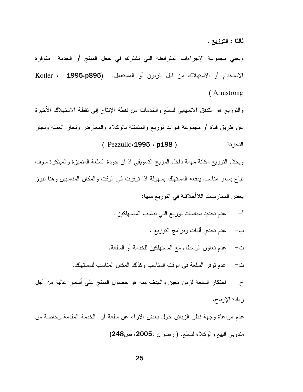ثالثًا : التوزيع .

ويعني مجموعة الإجراءات المترابطة التي نشترك في جعل المنتج أو الخدمة متوفرة الاستخدام أو الاستهلاك من قبل الزبون أو المستعمل. (Kotler ، 1995،p895 (Armstrong

والتوزيع هو التدفق الانسيابي للسلع والخدمات من نقطة الإنتاج إلى نقطة الاستهلاك الأخيرة عن طريق قناة أو مجموعة قنوات نوزيع والمتمثلة بالوكلاء والمعارض ونجار العملة ونجار (Pezzullo<sub>4</sub>1995, p198) التجزئة

ويحتل النوزيع مكانة مهمة داخل المزيج التسويقي إذ إن جودة السلعة المتميزة والمبتكرة سوف تباع بسعر مناسب يدفعه المستهلك بسهولة إذا توفرت في الوقت والمكان المناسبين وهنا نبرز بعض الممار سات اللاأخلاقية في النوز يع منها:

- عدم تحديد سياسات توزيع التي تناسب المستهلكين .  $-1$ 
	- ب− عدم تحدي أليات وبرامج النوزيع .
- ت− عدم نعاون الوسطاء مع المسنهلكين للخدمة أو السلعة.
- عدم توفُّر السلعة في الوقت المناسب وكذلك المكان المناسب للمستهلك. ث–

احتكار السلعة لزمن معين والهدف منه هو حصول المنتج علىي أسعار عالية من أجل  $-\epsilon$ زيادة الإرباح.

عدم مراعاة وجهة نظر الزبائن حول بعض الأراء عن سلعة أو الخدمة المقدمة وخاصة من مندوبي البيع والوكلاء للسلع. ( رضوان ،2005، ص248)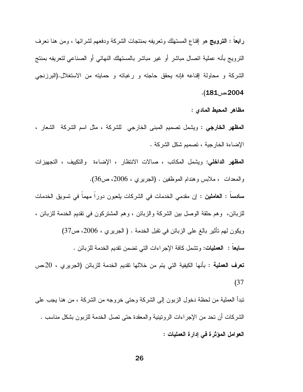رابعًا : الترويج هو إقناع المستهلك وتعريفه بمنتجات الشركة ودفعهم لشرائها ، ومن هنا نعرف النزويج بأنه عملية انصال مباشر أو غير مباشر بالمسنهلك النهائي أو الصناعي لنعريفه بمننج الشركة و محاولة إقناعه فإنه يحقق حاجته و رغباته و حمايته من الاستغلال.(البرزنجي 2004،ص181).

مظاهر المحيط المادى :

**المظهر الخارجي :** ويشمل نصميم المبنى الخارجي للشركة ، مثل اسم الشركة الشعار ، الإضاءة الخارجية ، تصميم شكل الشركة .

المطهر الداخلي: ويشمل المكانب ، صالات الانتظار ، الإضاءة والنكبيف ، التجهيزات والمعدات ، ملابس وهندام الموظفين . (الجريري ، 2006، ص36).

**سادسا : العاملين :** إن مقدمى الخدمات في الشركات بلعبون دورا مهما في تسويق الخدمات للزبائن، وهم حلقة الوصل بين الشركة والزبائن ، وهم المشتركون في نقديم الخدمة للزبائن ، ويكون لمهم تأثير بالـغ علـى الزبائن فـي نقبل الـخدمـة . ( الـجريري ، 2006، ص37) **سابعا : العمليات:** ونشمل كافة الإجراءات الت<sub>ّي</sub> نضمن نقديم الخدمة للزبائن . **تعرف العملية :** بأنها الكيفية التي يتم من خلالها تقديم الخدمة للزبائن (الجريري ، 20،ص  $(37)$ 

تبدأ العملية من لحظة دخول الزبون إلى الشركة وحتى خروجه من الشركة ، من هنا يجب على الشركات أن تحد من الإجراءات الرونتينية والمعقدة حتى نصل الخدمة للزبون بشكل مناسب . العوامل المؤثرة في إدارة العمليات :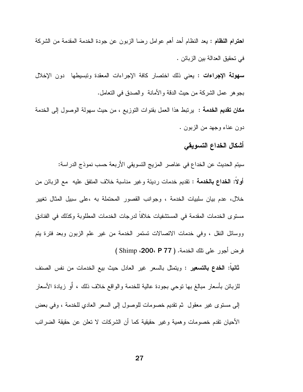ا**حترام النظام :** يعد النظام أحد أهم عوامل رضا الزبون عن جودة الخدمة المقدمة من الشركة في نحقيق الحدالة بين الزبائن . **سهولة الإجراءات :** يعني ذلك اختصار كافة الإجراءات المعقدة وتبسيطها دون الإخلال بجو هر عمل الشركة من حيث الدقة والأمانة ۖ والصدق في التعامل. **مكان تقديم الخدمة :** يرتبط هذا العمل بقنوات التوزيع ، من حيث سهولة الوصول إلى الخدمة دون عناء وجهد من الزبون .

#### أشكال الخداع التسويقى

سيتم الحديث عن الخداع في عناصر المزيج التسويقي الأربعة حسب نموذج الدراسة: أ**ولا: الخداع بالخدمة :** تقديم خدمات رديئة وغير مناسبة خلاف المتفق عليه مع الزبائن من خلال، عدم بيان سلبيات الخدمة ، وجوانب القصور المحتملة به ،على سبيل المثال تغيير مستوى الخدمات المقدمة في المستشفيات خلافا لدرجات الخدمات المطلوبة وكذلك في الفنادق ووسائل النقل ، وفي خدمات الاتصالات تستمر الخدمة من غير علم الزبون وبعد فترة يتم فرض أجور على تلك الخدمة. ( 200، P 77 ) Shimp )

**ثانياً: الخدع بالتسعير :** ويتمثّل بالسعر غير العادل حيث بيع الخدمات من نفس الصنف للزبائن بأسعار مبالغ بها نوحي بجودة عالية للخدمة والواقع خلاف ذلك ، أو زيادة الأسعار إلى مستوى غير معقول ثم نقديم خصومات للوصول إلى السعر العادي للخدمة ، وفي بعض الأحيان نقدم خصومات وهمية وغير حقيقية كما أن الشركات لا نعلن عن حقيقة الضرائب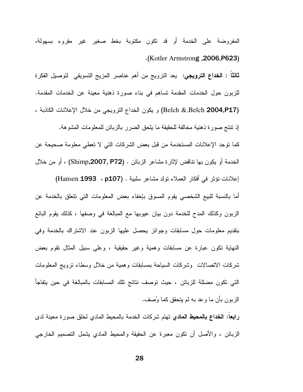المفروضة على الخدمة أو قد تكون مكتوبة بخط صغير غير مقروء بسهولة، (Kotler Armstrong , 2006, P623).

**ثالثاً : الخداع الترويجي:** يعد الترويج من أهم عناصر المزيج التسويقي لتوصيل الفكرة للزبون حول الخدمات المقدمة تساهم في بناء صورة ذهنية معينة عن الخدمات المقدمة. (Belch &.Belch 2004,P17) و يكون الخداع الترويجي من خلال الإعلانات الكاذبة ، إذ نتنتج صورة ذهنية مخالفة للحقيقة ما يلحق الضرر بالزبائن للمعلومات المشوهة. كما توجد الإعلانات المستخدمة من قبل بعض الشركات التي لا تعطي معلومة صحيحة عن الخدمة أو يكون بها نتاقض لإثارة مشاعر الزبائن . (Shimp,**2007, P72)** ، أو من خلال إعلانات نؤثر في أفكار العملاء نولد مشاعر سلبية . (Hansen 1993 ، p107) أما بالنسبة للبيع الشخصبي يقوم المسوق بإخفاء بعض المعلومات التي نتعلق بالخدمة عن الزبون وكذلك المدح للخدمة دون بيان عيوبها مع المبالغة في وصفها ، كذلك يقوم البائع بنقديم معلومات حول مسابقات وجوائز يحصل عليها الزبون عند الاشتراك بالخدمة وفي النهاية نكون عبارة عن مسابقات وهمية وغير حقيقية ، وعلى سبيل المثال نقوم بعض شركات الاتصالات وشركات السياحة بمسابقات وهمية من خلال وسطاء نرويج المعلومات التي نكون مضللة للزبائن ، حيث توصف نتائج تلك المسابقات بالمبالغة في حين يتفاجأ الزبون بأن ما وعد به لم يتحقق كما وُصف.

را**بعا: الخداع بالمحيط المادي** تهتم شركات الخدمة بالمحيط المادي لخلق صورة معينة لدى الزبائن ، والأصل أن نكون معبرة عن الحقيقة والمحيط المادي بشمل النصميم الخارجي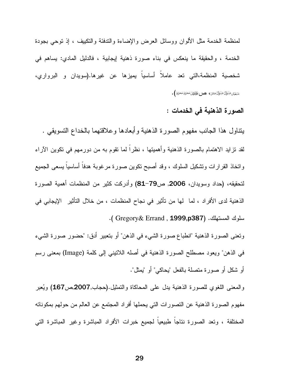لمنظمة الخدمة مثل الألوان ووسائل العرض والإضاءة والندفئة والنكبيف ، إذ نوحي بجودة الخدمة ، والحقيقة ما ينعكس في بناء صورة ذهنية إيجابية ، فالدليل المادي: يساهم في شخصية المنظمة،التي تعد عاملاً أساسياً يميزها عن غيرها.(سويدان و البرواري، شَعَبَّان شَخَّالٌ شَخَّالٌ صَنَفَنَ ﴾ مص الْخَاطَانُ مُحَنَّ مُحَنَّ مُحَمَّى ﴾.

#### الصورة الذهنية في الخدمات :

يتناول هذا الجانب مفهوم الصورة الذهنية وأبعادها وعلاقتهما بالخداع التسويقي . لقد تز ايد الاهتمام بالصور ة الذهنية وأهميتها ، نظر اً لما نقوم به من دور مهم في نكوين الآر اء واتخاذ القرارات ونتثكيل السلوك ، وقد أصبح نكوين صورة مرغوبة هدفا أساسيا بسعى الجميع لتحقيقه، (حداد وسويدان، 2006, ص79–81) وأدركت كثير من المنظمات أهمية الصورة الذهنية لدى الأفراد ، لما لها من تأثير في نجاح المنظمات ، من خلال التأثير الإيجابي في سلوك المستهلك. (Gregory& Errand, 1999,p387).

ونعني الصورة الذهنية "انطباع صورة الشيء في الذهن" أو بتعبير أدق: "حضور صورة الشيء في الذهن" ويعود مصطلح الصورة الذهنية في أصله اللانيني إلى كلمة (Image) بمعنى رسم أو شكل أو صور ة متصلة بالفعل "بِحاكي" أو "بِمثل".

والمعنى اللغوي للصورة الذهنية بدل على المحاكاة والنمثيل.(حجاب,2007,ص167) ويُعبر مفهوم الصورة الذهنية عن التصورات التي يحملها أفراد المجتمع عن العالم من حولهم بمكوناته المختلفة ، ونعد الصورة نتاجا طبيعيا لجميع خبرات الأفراد المباشرة وغير المباشرة التبي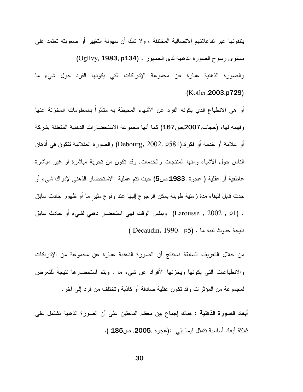يتلقونها عبر تفاعلاتهم الاتصالية المختلفة ، ولا شك أن سهولة التغيير أو صعوبته تعتمد على مستوى رسوخ الصورة الذهنية لدى الجمهور . (Ogllvy, 1983, p134) والصورة الذهنية عبارة عن مجموعة الإدراكات التي يكونها الفرد حول شيء ما  $(Kotler, 2003, p729)$ 

أو هي الانطباع الذي يكونه الفرد عن الأشياء المحيطة به متأثراً بالمعلومات المخزنة عنها وفهمه لها، (حجاب,2007,ص467) كما أنها مجموعة الاستحضارات الذهنية المتعلقة بشركة أو علامة أو خدمة أو فكرة.(Debourg, 2002, p581) والصورة العقلانية تتكون في أذهان الناس حول الأشياء ومنها المنتجات والخدمات, وقد نكون من نجربة مباشرة أو غير مباشرة عاطفية أو عقلية ( عجوة ,1983,ص5) حيث نتم عملية الاستحضار الذهني لإدراك شيء أو حدث قابل للبقاء مدة زمنية طويلة يمكن الرجوع إليها عند وقوع مثير ما أو ظهور حادث سابق . (Larousse , 2002 , p1) وبنفس الوقت فهي استحضار ذهني لشيء أو حادث سابق نتيجة حدوث نتبه ما . (Decaudin, 1990, p5 )

من خلال التعريف السابقة نستتتج أن الصورة الذهنية عبارة عن مجموعة من الإدراكات والانطباعات التبي يكونها ويخزنها الأفراد عن شيء ما , ويتم استحضارها نتيجة للتعرض لمجموعة من المؤثرات وقد نكون عقلية صادقة أو كاذبة وتختلف من فرد إلى آخر .

أ**بعاد الصورة الذهنية :** هناك إجماع بين معظم الباحثين على أن الصورة الذهنية نشتمل على ثلاثة أبعاد أساسية نتمثل فيما يلمي :(عجوه ,2005, ص185 ).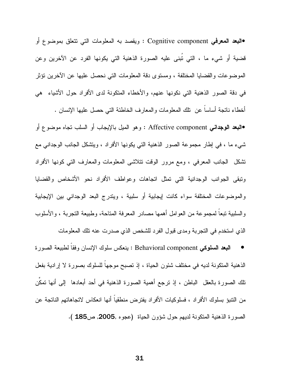البعد المعرفي Cognitive component : ويقصد به المعلومات التي نتعلق بموضوع أو قضية أو شيء ما ، التي تُبنى عليه الصورة الذهنية التي يكونها الفرد عن الآخرين وعن الموضوعات والقضايا المختلفة ، ومستوى دقة المعلومات التي نحصل عليها عن الآخرين نؤثر في دقة الصور الذهنية التي نكونها عنهم، والأخطاء المتكونة لدى الأفراد حول الأشياء ً هي أخطاء ناتجة أساسا عن نلك المعلومات والمعارف الخاطئة التي حصل عليها الإنسان .

•النبعد الوجدانـي Affective component : وهو الميل بالإيجاب أو السلب نـجاه موضـوع أو شيء ما ، في إطار مجموعة الصور الذهنية التي يكونها الأفراد ، ويتشكل الجانب الوجداني مع تشكل ً الجانب المعرفي ، ومع مرور الوقت نتلاشى المعلومات والمعارف النبي كونها الأفراد ونبقى الجوانب الوجدانية التي تمثل انجاهات وعواطف الأفراد نحو الأشخاص والقضايا والموضوعات المختلفة سواء كانت إيجابية أو سلبية ، ويتدرج البعد الوجداني بين الإيجابية و السلبية تبعا لمجموعة من العوامل أهمها مصادر المعرفة المتاحة، وطبيعة التجربة ، والأسلوب الذي استخدم في التجربة ومدى قبول الفرد للشخص الذي صدرت عنه تلك المعلومات

النبعد السلوكي Behavioral component : بنعكس سلوك الإنسان وفقا لطبيعة الصورة الذهنية المتكونة لديه في مختلف شئون الحياة ، إذ نصبح موجها للسلوك بصورة لا إرادية بفعل نلك الصورة بالعقل الباطن ، إذ نرجع أهمية الصورة الذهنية في أحد أبعادها إلى أنها نمكَن من النتبؤ بسلوك الأفراد ، فسلوكيات الأفراد يفترض منطقيا أنها انعكاس لاتجاهاتهم الناتجة عن الصورة الذهنية المتكونة لديهم حول شؤون الحياة (عجوه ,2005, ص185 ).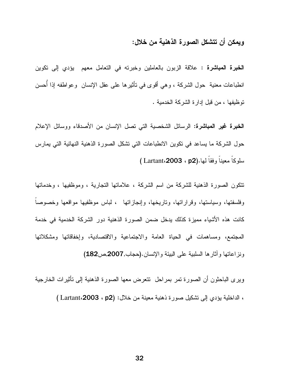#### ويمكن أن تتشكل الصورة الذهنية من خلال:

**الخبرة المباشرة :** علاقة الزبون بالعاملين وخبرته في التعامل معهم يؤدي إلى تكوين انطباعات معنية حول الشركة ، وهي أقوى في نـأثيرها علـي عقل الإنسان وعواطفه إذا أحسن نوظيفها ، من قبل إدارة الشركة الخدمية .

**الخبرة غير المباشرة:** الرسائل الشخصية التي تصل الإنسان من الأصدقاء ووسائل الإعلام حول الشركة ما يساعد في تكوين الانطباعات التي نشكل الصورة الذهنية النهائية التي يمارس سلوكا معينا وفقا لمها.(Lartant،2003 ، p2)

تتكون الصورة الذهنية للشركة من اسم الشركة ، علاماتها التجارية ، وموظفيها ، وخدماتها وفلسفتها، وسياستها، وقراراتها، وتاريخها، وإنجازاتها ، لباس موظفيها مواقعها وخصوصاً كانت هذه الأشياء مميزة كذلك يدخل ضمن الصورة الذهنية دور الشركة الخدمية في خدمة المجتمع، ومساهمات في الحياة العامة والاجتماعية والاقتصادية، وإخفاقاتها ومشكلاتها ونز اعاتها و آثار ها السلبية على البيئة و الإنسان.(حجاب,2007,ص182)

ويرى الباحثون أن الصورة تمر بمراحل تتعرض معها الصورة الذهنية إلى تأثيرات الخارجية ، الداخلية يؤدي إلى تشكيل صورة ذهنية معينة من خلال: (Lartant،2003 ، p2) [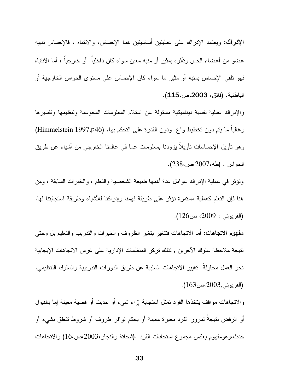**الإدراك:** ويعتمد الإدراك على عمليتين أساسيتين هما الإحساس، والانتباه ، فالإحساس تتبيه عضو من أعضاء الحس وتأثَّره بمثير أو منبه معين سواء كان داخلياً ۖ أو خارجياً ، أما الانتباه فهو نلقى الإحساس بمنبه أو مثير ما سواء كان الإحساس على مستوى الحواس الخارجية أو الباطنية. (فائق، 2003،ص،115).

والإدراك عملية نفسية ديناميكية مسئولة عن استلام المعلومات المحوسبة ونتظيمها وتفسيرها وغالبا ما يتم دون تخطيط واع ودون القدرة على التحكم بها. (Himmelstein,1997,p46) وهو نأويل الإحساسات نأويلا يزودنا بمعلومات عما في عالمنا الخارجي من أشياء عن طريق الحواس . (طه،2007،ص،238).

ونَوْثَر في عملية الإدراك عوامل عدة أهمها طبيعة الشخصية والنعلم ، والخبرات السابقة ، ومن هنا فإن النعلم كعملية مستمرة نؤثر على طريقة فهمنا وإدراكنا للأشياء وطريقة استجابتنا لمها. (القريوتي ، 2009، ص126).

**مفهوم الاتجاهات:** أما الاتجاهات فتتغير بتغير الظروف والخبرات والتدريب والتعليم بل وحتى نتيجة ملاحظة سلوك الآخرين , لذلك تركز المنظمات الإدارية على غرس الاتجاهات الإيجابية نحو العمل محاولة تغيير الاتجاهات السلبية عن طريق الدورات التدريبية والسلوك التنظيمي. (القريوتي,2003،ص163).

والاتجاهات مواقف يتخذها الفرد تمثل استجابة إزاء شيء أو حديث أو قضية معينة إما بالقبول أو الرفض نتيجة لمرور الفرد بخبرة معينة أو بحكم نوافر ظروف أو شروط نتعلق بشيء أو حدث،و هومفهوم يعكس مجموع استجابات الفرد .(شحانة والنجار،2003،ص،16) والاتجاهات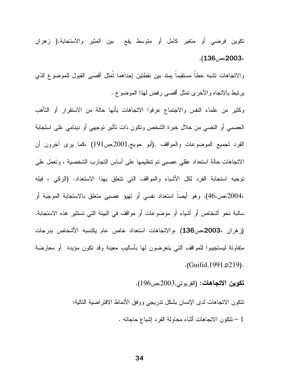تكوين فرضىي أو متغير كامل أو متوسط يقع بين المثير والاستجابة.( زهران ،2003،ص136).

والاتجاهات نشبه خطأ مستقيماً يمتد بين نقطتين إحداهما تُمثل أقصىى القبول للموضوع الذي برنبط بالاتجاه والأخرى نمثل أقصىي رفض لهذا الموضوع .

وكثير من علماء النفس والاجتماع عرفوا الاتجاهات بأنها حالة من الاستقرار أو التأهب العصبي أو النفسي من خلال خبرة الشخص ونكون ذات نأثير توجهي أو دينامي على استجابة الفرد لمجميع الموضوعات والمواقف .(أبو حويج,2001,ص191) ،كما برى أخرون أن الاتجاهات حالة استعداد عقلي عصبي تم تتظيمها على أساس التجارب الشخصية ، وتعمل على توجيه استجابة الفرد لكل الأشياء والمواقف التي نتعلق بهذا الاستعداد. (الزكبي ، فيله ،2004،ص،46). وهو أيضا استعداد نفسى أو تهيؤ عصبي متعلق بالاستجابة الموجبة أو سالبة نحو أشخاص أو أشياء أو موضوعات أو مواقف في البيئة التي تستثير هذه الاستجابة. (زهران ،2003مص136) ،والاتجاهات استعداد خاص عام يكتسبه الأشخاص بدرجات متفاونة ليستجيبوا للمواقف التي يتعرضون لمها بأساليب معينة وقد نكون مؤيدة ۖ أو معارضة .(Guifid, 1991, p219).

تكوين الاتجاهات: (القريوتي,2003,ص196).

نتكون الانجاهات لدى الإنسان بشكل ندريجي ووفق الأنماط الافنراضية النالية: 1 – تتكون الاتجاهات أثناء محاولة الفرد إشباع حاجاته .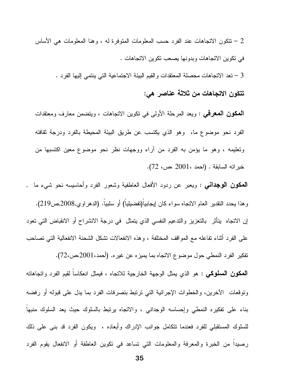تنكون الاتجاهات عند الفرد حسب المعلومات المنوفر ة له ، و هنا المعلومات هي الأساس  $2\,$ في نكوين الاتجاهات وبدونها يصعب نكوين الاتجاهات .

3 – تعد الاتجاهات محصلة المعتقدات والقيم البيئة الاجتماعية التي ينتمي إليها الفرد .

### تتكون الاتجاهات من ثلاثة عناصر هي:

**المكون المعرفمي :** ويعد المرحلة الأولى في نكوين الاتجاهات ، ويتضمن معارف ومعتقدات الفرد نحو موضوع ما، وهو الذي يكتسب عن طريق البيئة المحيطة بالفرد ودرجة ثقافته وتعليمه ، وهو ما يؤمن به الفرد من أراء ووجهات نظر نحو موضوع معين اكتسبها من خبر اته السابقة . (احمد ،2001 ،ص، 72).

**المكون الوجدانـي :** ويعبر عن ردود الأفعال العاطفية وشعور الفرد وأحاسيسه نحو شيء ما , و هذا يحدد النقدير العام الاتجاه سواء كان ايجابيا(تفضيليا) أو سلبيا. (الدهر او ي,2008,ص219). إن الاتجاه يتأثَّر بالتعزيز والندعيم النفسي الذي يتمثَّل في درجة الانشراح أو الانقباض التي تعود على الفرد أثناء تفاعله مع المواقف المختلفة ، وهذه الانفعالات نشكل الشحنة الانفعالية التي نصاحب تفكير الفرد النمطي حول موضوع الاتجاه بما يميزه عن غيره. (أحمد،2001،ص،72). **المكون السلوكي :** هو الذي يمثل الوجهة الخارجية للانجام ، فيمثل انعكاسا لقيم الفرد وانجاهانه وتوقعات الأخرين، والخطوات الإجرائية التي ترتبط بتصرفات الفرد بما يدل على قبوله أو رفضه بناء على نفكيره النمطي وإحساسه الوجداني ، والاتجاه برنبط بالسلوك حبث بعد السلوك منبها للسلوك المستقبلي للفرد فعندما نتكامل جوانب الإدراك وأبعاده ، ويكون الفرد قد بنبي على ذلك رصيدًا من الخبرة والمعرفة والمعلومات التي تساعد في نكوين العاطفة أو الانفعال يقوم الفرد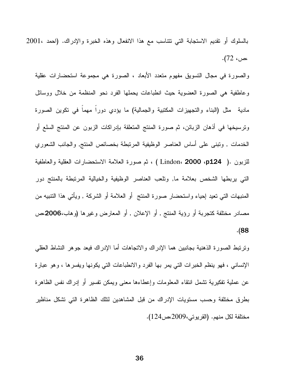بالسلوك أو نقديم الاستجابة التي نتناسب مع هذا الانفعال وهذه الخبرة والإدراك. (احمد ،2001 ،ص، 72).

والصورة في مجال التسويق مفهوم متعدد الأبعاد ، الصورة هي مجموعة استحضارات عقلية وعاطفية هي الصورة العضوية حيث انطباعات بحملها الفرد نحو المنظمة من خلال ووسائل مادية مثل (البناء والنجهيزات المكتبية والجمالية) ما يؤدي دورا مهما في نكوين الصورة ونرسيخها في أذهان الزبائن، ثم صورة المنتج المتعلقة بإدراكات الزبون عن المنتج السلع أو الخدمات , ونبنى على أساس العناصر الوظيفية المرنبطة بخصائص المنتج, والجانب الشعوري للزبون .( Lindon، **2000 ،p124 )** ، ثم صورة العلامة الاستحضارات العقلية والعاطفية التبي بربطها الشخص بعلامة ما, ونلعب العناصر الوظيفية والخيالية المرنبطة بالمنتج دور المنبهات التـي نعيد إحياء واستحضـار صورة المنتج ۖ أو العلامة أو الشركة , ويأتـي هذا النتبيه من مصادر مختلفة كتجربة أو رؤية المنتج , أو الإعلان , أو المعارض وغيرها (وهاب،2006مص  $. (88)$ 

ونرنبط الصورة الذهنية بجانبين هما الإدراك والانجاهات أما الإدراك فيعد جوهر النشاط العقلبي الإنساني ، فهو ينظم الخبرات التي يمر بها الفرد والانطباعات التي يكونها ويفسرها ، وهو عبارة عن عملية نفكيرية نشمل انتقاء المعلومات وإعطاءها معنى ويمكن نفسير أو إدراك نفس الظاهرة بطرق مختلفة وحسب مستويات الإدراك من قبل المشاهدين لنلك الظاهرة التي تشكل مناظير مختلفة لكل منهم. (القريوني،2009،ص124).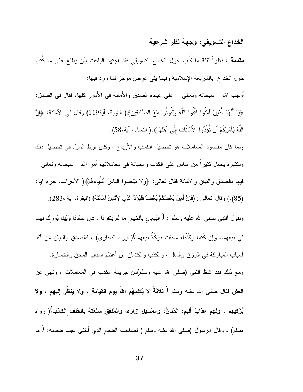# الخداع التسويقي: وجهة نظر شرعية

مقدمة : نظراً لقلة ما كُتِبَ حول الخداع التسويقي فقد اجتهد الباحث بأن يطلع على ما كُتب حول الخداع بالشريعة الإسلامية وفيما يلي عرض موجز لما ورد فيها:

أوجب الله – سبحانه وتعالى – على عباده الصدق والأمانة في الأمور كلها، فقال في الصدق: ﴿يَا أَيُّهَا الَّذِينَ آمَنُوا اتَّقُوا اللَّهَ وَكُونُوا مَعَ الصَّادِقِينَ﴾( التوبة، آية119) وقال في الأمانة: ﴿إِنَّ اللَّهَ يَأْمُرُكُمْ أَنْ تُؤَدُّوا الأَمَانَاتِ إِلَى أَهْلِهَا﴾.( النساء، آية،58).

ولما كان مقصود المعاملات هو تحصيل الكسب والأرباح ، وكان فرط الشرَه في تحصيل ذلك ونكثيره يحمل كثيراً من الناس على الكذب والخيانة في معاملاتهم أمر الله – سبحانه وتعالى – فيها بالصدق والبيان والأمانة فقال نعالى: ﴿وَلا نَبْخُسُوا النَّاسَ أَشْيَاءَهُمْ﴾( الأعراف، جزء آية: (85).) وقال تعالى : (فَإِنْ أَمِنَ بَعْضُكُمْ بَعْضًا فَلْيُوَدِّ الَّذِي اوْتُمِنَ أَمَانَتَهُ) (البقرة، أية ،283). ولقول النبي صلى الله عليه وسلم : ﴿ الْبَيعِانِ بِالْخَيَارِ ما لَم يَتَفَرِقَا ، فَإِن صَدَقَا وَبَيّنا بُورك لهما في بَيعِهما، وَإِن كَتما وَكَذْبا، مَحقت بَرِكَةُ بَيعِهما)( رواه البخاري) ، فالصدق والبيان من أكد أسباب المباركة في الرزق والمال ، والكذب والكتمان من أعظم أسباب المحق والخسارة. ومع ذلك فقد غَلَّظ النبي (صلى الله عليه وسلم)من جريمة الكذب في المعاملات ، ونهى عن الغش فقال صلى الله عليه وسلم ( ثَلاثةُ لا يُكلِمهُم اللهُ يَومَ القِيامَةِ ، وَلا ينظُر إليهم ، وَلا يُزكيهم ، ولهم عذابٌ أليم: المَنانُ، والمُسبل إزاره، والمُنفِق سلِعَتهُ بالحَلف الكاذب)( رواه مسلم) ، وقال الرسول (صلى الله عليه وسلم ) لصـاحب الطعام الذي أخفى عيب طعامه: ( ما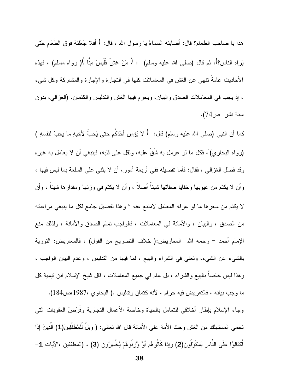هذا يا صـاحب الطعام؟ قال: أصـابته السماءُ يا رسول الله ، قال: ﴿ أَفَلا جَعَلْتَهَ فَوقَ الطَّعَام حَتي يَراه الناس؟)، ثم قال (صلى الله عليه وسلم) : ( مَنْ غشَ فَلَيسَ مِنَّا )( رواه مسلم) ، فهذه الأحاديث عامةً نتهي عن الغش في المعاملات كلها في النجارة والإجارة والمشاركة وكل شيء ، إذ يجب في المعاملات الصدق والبيان، ويحرم فيها الغش والندليس والكنمان. (الغزالي، بدون سنة نشر ص74).

كما أن النبي (صلى الله عليه وسلم) قال: ( لا يُؤمِن أَحَدُكُم حتى يُحبَّ لأخيهِ ما يحبُّ لنفسهِ ) (ر و اه البخار ي) ، فكل ما لو عومل به شَقٍّ عليه، وثقل علي قليه، فبنبغي أن لا بعامل به غير ه وقد فصلَّل الغزالـي ، فقال: فأما نفصيله ففي أربعة أمورٍ ، أن لا ينتـي علـي السلعة بما ليس فيها ، وأن لا يكتم من عبوبها وخفايا صفاتها شيئاً أصلاً ، وأن لا يكتم في وزنها ومقدارها شيئاً ، وأن لا يكتم من سعرها ما لو عرفه المعامل لامتنع عنه ' وهذا تفصيل جامع لكل ما ينبغي مراعاته من الصدق ، والبيان ، والأمانة في المعاملات ، فالواجب تمام الصدق والأمانة ، ولذلك منع الإمام أحمد – رحمه الله –المعاريض:( خلاف النصريح من القول) ، فالمعاريض: النورية بالشَّبِيء عن الشَّبيء، ونعني في الشَّراء والبيع ، لما فيها من التَّذليس ، وعدم البيان الواجب ، وهذا ليس خاصا بالبيع والشراء ، بل عام في جميع المعاملات ، قال شيخ الإسلام ابن نيمية كل ما وجب بيانه ، فالنعريض فيه حرام ، لأنه كتمان وندليس .( البحاوي ،1987،ص184).

وجاء الإسلام بإطار أخلاقي للنعامل بالحياة وخاصة الأعمال النجارية وفرَضَ العقوبات النبي نحمي المستهلك من الغش وحث الأمة على الأمانة قال الله نعالى: ( ويلٌ لَّلمُطَفَّفِينَ(1) الَّذِينَ إذَا اْكِتالوُا عَلَى النَّاس يَسْتَوْفُون(2) وَإِذا كَالُوهُم أَوِّ وَّزَنُوهُمْ يُخُسِرُون (3) ، (المطففين ،الآيات 1-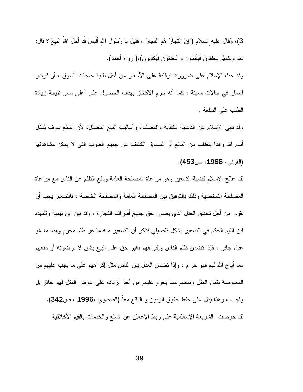3)، وَقالَ عليه السلام ( إِنَ النُّجاَرَ هُم الفُجارَ ، فَقيلَ يا رَسُولَ الله أَلَيسَ قُد أَحلَ اللهُ البيعَ ؟ قال: نعم ولكنَّهُم يحلفونَ فَيَأْتُمون و يُحَدِّثُونَ فَيَكْذِبُونِ)،( رواه أحمد). وقد حث الإسلام على ضرورة الرقابة على الأسعار من أجل نلبية حاجات السوق ، أو فرض أسعار في حالات معينة ، كما أنه حرم الاكتناز بهدف الحصول على أعلى سعر نتيجة زيادة الطلب على السلعة .

وقد نهي الإسلام عن الدعاية الكاذبة والمضللة، وأساليب البيع المضلل، لأن البائع سوف يُسْأَل أمام الله وهذا ينطلب من البائع أو المسوق الكشف عن جميع العيوب التبي لا يمكن مشاهدتها (القرني، 1988، ص453).

لقد عالج الإسلام قضية التسعير وهو مراعاة المصلحة العامة ودفع الظلم عن الناس مع مراعاة المصلحة الشخصية وذلك بالنوفيق بين المصلحة العامة والمصلحة الخاصة ، فالتسعير يجب أن يقوم ً من أجل تحقيق العدل الذي يصون حق جميع أطراف النجارة ، وقد بين ابن تيمية وتلميذه ابن القيم الحكم في التسعير بشكل تفصيلي فذكر أن التسعير منه ما هو ظلم محرم ومنه ما هو عدل جائر ، فإذا نضمن ظلم الناس وإكراههم بغير حق على البيع بثمن لا يرضونه أو منعهم مما أباح الله لهم فهو حرام ، وإذا نضمن العدل بين الناس مثل إكراههم على ما يجب عليهم من المعاوضة بثمن المثل ومنعهم مما يحرم عليهم من أخذ الزيادة علىي عوض المثل فهو جائز بل واجب ، وهذا بيل على حفظ حقوق الزبون و البائع معا (الطحاوي ،1996 ، ص342). لقد حرصت الشريعة الإسلامية على ربط الإعلان عن السلع والخدمات بالقيم الأخلاقية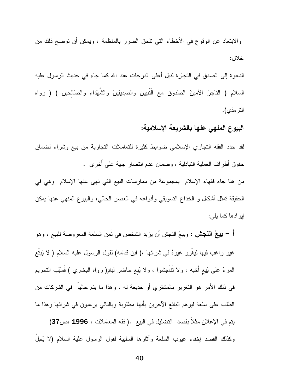والابتعاد عن الوقوع في الأخطاء التي تلحق الضرر بالمنظمة ، ويمكن أن نوضح ذلك من خلال:

الدعوة إلى الصدق في التجارة لنيل أعلى الدرجات عند الله كما جاء في حديث الرسول عليه السلام ( التاجرُ الأمينُ الصَدوق مع النبيين والصدِيقِينَ والشَّهَداءِ والصَّالحين ) ( رواه التر مذى).

## البيوع المنهي عنها بالشريعة الإسلامية:

لقد حدد الفقه التجاري الإسلامي ضوابط كثيرة للتعاملات التجارية من بيع وشراء لضمان حقوق أطراف العملية النبادلية ، وضمان عدم انتصار جهة على أخرى .

من هنا جاء فقهاء الإسلام بمجموعة من ممارسات البيع التي نهي عنها الإسلام وهي في الحقيقة تمثَّل أشكال و الخداع التسويقي وأنواعه في العصر الحالي، والبيوع المنهي عنها يمكن ابر ادها كما يلي:

أ – بَ**بيعُ النجش** : وبيعَ النجش أن يزيد الشخص في ثَمن السلعة المعروضة للبيع ، وهو غير راغب فيها ليغرر غيرهُ في شرائها ،( ابن قدامه) لقول الرسول عليه السلام ( لا يَبتع المرءُ على بَيع أُخيه ، ولا نَنَاجشوا ، ولا يَبِع حاضر لبادِ( رواه البخاري ) فَسَبَب النحريم في ذلك الأمر هو التغرير بالمشتري أو خديعة له ، وهذا ما يتم حاليا ً في الشركات من الطلب على سلعة ليوهم البائع الأخرين بأنها مطلوبة وبالنالبي برغبون في شرائها وهذا ما يتم في الإعلان مثلا بقصد التضليل في البيع .( فقه المعاملات ، 1996 ،ص37) وكذلك القصد إخفاء عيوب السلعة وأثارها السلبية لقول الرسول علية السلام (لا يَحِلُ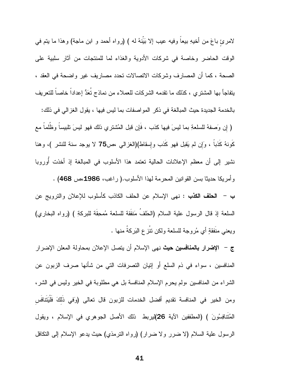لامرئ باعَ من أخيهِ بيعاً وفيه عيب إلا بَيِّنهُ له ) (رواه أحمد و ابن ماجة) وهذا ما يتم في الوقت الحاضر وخاصة في شركات الأدوية والغذاء لما للمنتجات من آثار سلبية على الصحة ، كما أن المصارف وشركات الاتصالات تحدد مصاريف غير واضحة في العقد ، يتفاجأ بها المشتر ي ، كذلك ما نقدمه الشركات للعملاء من نماذج تعَدُّ إعدادا خاصا للتعريف بالخدمة الجديدة حيث المبالغة في ذكر المو اصفات بما ليس فيها ، يقول الغزالي في ذلك: ( إن وَصفهُ للسلعةِ بما ليسَ فيها كذب ، فَإن قَبل المُشترىِ ذلك فهو ليسَ تلبيساً وظُلَماً مع كونهُ كذبا ، وَإِن لم يَقبل فهو كذب وإسقاط)(الغزالبي ،ص75 لا يوجد سنة للنشر )، وهنا نشير إلى أن معظم الإعلانات الحالية تعتمد هذا الأسلوب في المبالغة إذ أخذت أوروبا

وأمريكا حديثًا بسن القوانين المحرمة لمهذا الأسلوب.( راغب، 1986،ص 468) . ب – الحلف الكذب : نهى الإسلام عن الحلف الكاذب كأسلوب للإعلان والترويج عن السلعة إذ قال الرسول علية السلام (الحَلفُ مَنفَقَة للسلعة مُمحِقَة للبركةِ ) (رواه البخاري) ويعني منَفقةٍ أي مُروحة للسلعة ولكن نتُز ع البَركةُ منها .

ج – **الإضرار بالمنافسين حيث** نهى الإسلام أن يتصل الإعلان بمحاولة المعلن الإضرار المنافسين ، سواء في ذم السلع أو إنيان التصرفات التي من شأنها صرف الزبون عن الشراء من المنافسين ،ولم يحرم الإسلام المنافسة بل هي مطلوبة في الخير وليس في الشر، ومن الخير في المنافسة نقديم أفضل الخدمات للزبون قال تعالى (وَفَى ذلكَ فلْيَتنافس الْمُتنافِسُونَ ) (المطففين الآية 26)ليربط نلك الأصل الجوهري في الإسلام ، ويقول الرسول علية السلام (لا ضرر ولا ضرار) (رواه النرمذي) حيث يدعو الإسلام إلىي النكافل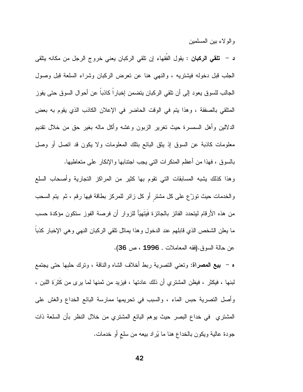و الو لاء بين المسلمين

**د** – **تلقي الركبان** : يقول الفَقهاء إن تلقي الركبان يعني خروج الرجل من مكانه يتلقى الْجَلْبِ قَبْلِ دَخُولِه فَيَشْتَرِيهِ ، والنَّهِي هَنَّا عَنْ تَعْرِضَ الرَّكْبَانِ وَشَرَّاء السُّلعة قبل وصول الجالب للسوق يعود إلى أن نلقى الركبان بنضمن إخبارا كاذبا عن أحوال السوق حتى يفوز المنلقى بالصفقة ، وهذا بنم في الوقت الحاضر في الإعلان الكاذب الذي بقوم به بعض الدلالين وأهل السمسرة حيث تغرير الزبون وغشه وأكل ماله بغير حق من خلال نقديم معلومات كاذبة عن السوق إذ يثق البائع بنلك المعلومات ولا يكون قد انصل أو وصل بالسوق ، فهذا من أعظم المنكرات التي يجب اجتنابها والإنكار على متعاطيها.

وهذا كذلك يشبه المسابقات التي نقوم بها كثير من المراكز التجارية وأصحاب السلع والخدمات حيث نوزِّع على كل مشترٍ أو كل زائرٍ للمركزِ بطاقةٍ فيها رقم ، ثم يتم السحب من هذه الأرقام ليتحدد الفائز بالجائزة فَيَتَهيَأ للزوار أن فرصة الفوز ستكون مؤكدة حسب ما يعلن الشخص الذي قابلهم عند الدخول وهذا بماثل نلقى الركبان النهي وهي الإخبار كذبا عن حالة السوق.(فقه المعاملات , 1996 ، ص 36).

ه – بيع المصراة: ونعني النصرية ربط أخلاف الشاه والناقة ، ونرك حلبها حتى يجتمع لبنها ، فيكثر ، فيظن المشتري أن ذلك عادتها ، فيزيد من ثمنها لما يرى من كثرَةِ اللبن ، وأصل النصرية حبس الماء ، والسبب في نحريمها ممارسة البائع الخداع والغش على المشتري في خداع البصر حيث يوهم البائع المشتري من خلال النظر بأن السلعة ذات جودة عالية ويكون بالخداع هنا ما يُركد بيعه من سلع أو خدمات.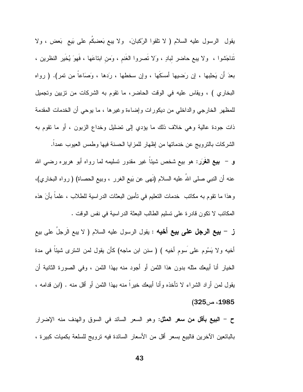يقول الرسول عليه السلام ( لا نلقوا الرُكبانَ، ولا يبع بَعضكِم على بَيع بَعض ، ولا نَتَاجَشُوا ، ۖ ولا يبع حاضر لبادٍ ، وَلا نَصروا الغَنم ، وَمن ابناعَها ، فَهوَ يُخَير النظرين ، بعدَ أن يَحلِبها ، إن رَضيها أمسكَها ، وإن سخطها ، رَدها ، وَصَاعاً مِن نَمرٍ). ( رواه البخاري ) ، ويقاس عليه في الوقت الحاضر، ما نقوم به الشركات من نزيين ونجميل للمظهر الخارجي والداخلي من ديكورات وإضاءة وغيرها ، ما يوحى أن الخدمات المقدمة ذات جودة عالية وهي خلاف ذلك ما يؤدي إلى نضليل وخداع الزبون ، أو ما نقوم به الشركات بالترويج عن خدماتها من إظهار للمزايا الحسنة فيها وطمس العيوب عمدا. و – بيع الغُرَر: هو بيع شخص شيئاً غير مقدور تسليمه لما رواه أبو هريره رضي الله عنه أن النبي صلى اللهُ عليه السلام (نَهى عن بَيع الغرر ، وبيع الحصاة) ( رواه البخاري)، وهذا ما نقوم به مكانب خدمات النعليم في نأمين البعثات الدراسية للطلاب ، علماً بأنَ هذه المكانب لا نكون قادرة على نسليم الطالب البعثة الدراسية في نفس الوقت .

ز – بيع الرجل على بيع أخيه : يقول الرسول عليه السلام ( لا يبع الَرجلَ على بيع أخيه ولا يَسُوم على سوم أخيه ) ( سنن ابن ماجه) كأن يقول لمن اشترى شيئاً في مدة الخيار أنا أبيعك مثله بدون هذا الثمن أو أجود منه بهذا الثمن ، وفي الصورة الثانية أن بقول لمن أراد الشراء لا تأخذه وأنا أبيعك خيراً منه بهذا الثمن أو أقل منه . (ابن قدامه ، 1985، ص325)

ح – ا**لنبيع بأقل من سعر المثل**: وهو السعر السائد في السوق والهدف منه الإضرار بالبائعين الآخرين فالبيع بسعر أقل من الأسعار السائدة فيه ترويج للسلعة بكميات كبيرة ،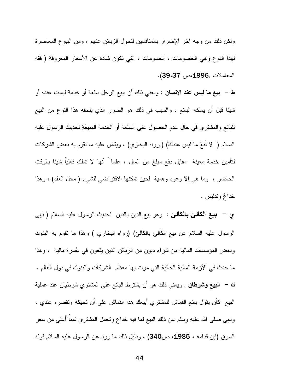ولكن ذلك من وجه آخر الإضرار بالمنافسين لتحول الزبائن عنهم ، ومن البيوع المعاصرة لمهذا النوع وهي الخصومات ، الحسومات ، التي نكون شاذة عن الأسعار المعروفة ( فقه المعاملات ,1996،ص 39،37).

**ط – بيع ما ليس عند الإنسان :** ويعني ذلك أن يبيع الرجل سلعة أو خدمة ليست عنده أو شيئًا قبل أن يملكه البائع ، والسبب في ذلك هو الضرر الذي يلحقه هذا النوع من البيع للبائع والمشتري في حال عدم الحصول على السلعة أو الخدمة المبيعَةِ لـحديث الرسول عليه السلام ( لا نتبعْ ما ليس عندكَ) ( رواه البخاري) ، ويقاس عليه ما نقوم به بعض الشركات لتأمين خدمة معينة مقابل دفع مبلغ من المال ، علما ً أنها لا نملك فعلياً شيئا بالوقت الحاضر ، وما هي إلا وعود وهمية لحين تمكنها الافتراضي للشيء (محل العقد) ، وهذا خدائم وندليس .

ي – بيع الكالئ بالكالئ : وهو بيع الدين بالدين لحديث الرسول عليه السلام ( نهى الرسول عليه السلام عن بيع الكَالئ بالكَالئ) (رواه البخاري ) وهذا ما نقوم به البنوك وبعض المؤسسات المالية من شراء ديون من الزبائن الذين يقعون في عُسرة مالية ، وهذا ما حدث في الأزمة المالية الحالية التي مرت بها معظم الشركات والبنوك في دول العالم . **ك – النبيع وشرطان** , ويعنبي ذلك هو أن يشترط البائع على المشتري شرطيان عند عملية البيع كأن يقول بائع القماش للمشتري أبيعك هذا القماش على أن تحيكه وتقصره عندي ، ونهي صلَّى الله عليه وسلَّم عن ذلك البيع لما فيه خداع ونحمل المشتري ثمنا أعلى من سعر السوق (ابن قدامه ، 1985، ص340) ، ودليل ذلك ما ورد عن الرسول عليه السلام قوله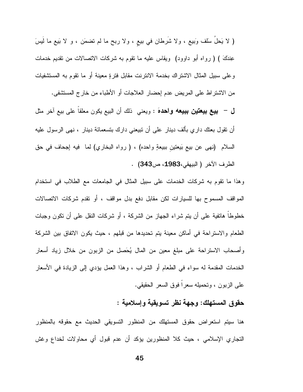( لا يَحلُ سَلَّف وَبيعٍ ، ولا شَرطان في بيعٍ ، ولا ربحٍ ما لم نضمَن ، و لا بَيعٍ ما ليسَ عِندَكَ ) ( رواه أبو داوود) ويقاس عليه ما نقوم به شركات الانصالات من نقديم خدمات وعلى سبيل المثال الاشتراك بخدمة الانترنت مقابل فترةٍ معينة أو ما تقوم به المستشفيات من الاشتراط على المريض عدم إحضار العلاجات أو الأطباء من خارج المستشفى.

ل – بيع بيعتين ببيعه واحدهَ : ويعني ذلك أن البيع يكون معلقاً على بيع آخر مثل أن نقول بعنك داري بألف دينار على أن نبيعني دارك بنسعمائة دينار ، نهى الرسول عليه السلام (نهى عن بيع بَيعتينِ ببيعةٍ واحده) ، ( رواه البخاري) لما فيه إجحاف في حق الطرف الآخر (البيهقي،1983، ص343) .

وهذا ما نقوم به شركات الخدمات على سبيل المثال في الجامعات مع الطلاب في استخدام المواقف المسموح بها للسيارات لكن مقابل دفع بدل مواقف ، أو نقدم شركات الاتصالات خطوطاً هانفية على أن يتم شراء الجهاز من الشركة ، أو شركات النقل على أن نكون وجبات الطعام والاستراحة في أماكن معينة يتم تحديدها من قبلهم ، حيث يكون الاتفاق بين الشركة وأصحاب الاستراحة على مبلغ معين من المال يُحَصل من الزبون من خلال زياد أسعار الخدمات المقدمة له سواء في الطعام أو الشراب ، وهذا العمل يؤدي إلى الزيادة في الأسعار على الزبون ، وتحميله سعراً فوق السعر الحقيقي.

حقوق المستهلك: وجهة نظر تسويقية وإسلامية :

هنا سيتم استعراض حقوق المستهلك من المنظور التسويقي الحديث مع حقوقه بالمنظور التجاري الإسلامي ، حيث كلا المنظورين يؤكد أن عدم قبول أي محاولات لخداع وغش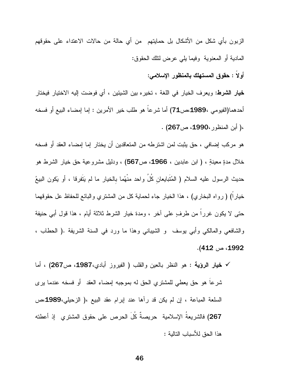الزبون بأي شكل من الأشكال بل حمايتهم من أي حالة من حالات الاعتداء على حقوقهم المادية أو المعنوية وفيما يلي عرض لنلك الحقوق: أولا : حقوق المستهلك بالمنظور الإسلامى:

**خيار الشرط:** ويعرف الخيار في اللغة ، تخيره بين الشيئين ، أي فوضت إليه الاختيار فيختار أحدهما(الفيومي ،1989مص71) أما شرعاً هو طلب خير الأمرين : إما إمضاء البيع أو فسخه ،( أبن المنظور ،1990، ص267) .

هو مركب إضافي ، حق يثبت لمن اشترطه من المتعاقدين أن يختار إما إمضاء العقد أو فسخه خلال مدةٍ معينةٍ ، ( ابن عابدين ، 1966، ص567) ، ودليل مشروعية حق خيار الشرط هو حديث الرسول عليه السلام ( المُتَبايعان كُلُ واحد منْهُما بالخيار ما لم يَتَفرقا ، أو يَكون البيعُ خيارًا) ( رواه البخاري) ، هذا الخيار جاء لحماية كلَّ من المشترى والبائع للحفاظ عل حقوقهما حتى لا يكون غررا من طرفٍ على آخرٍ ، ومدة خيار الشرط ثلاثة أيام ، هذا قول أبي حنيفة والشافعي والمالكي وأبي يوسف و الشيباني وهذا ما ورد في السنة الشريفة .( الحطاب ، 1992، ص 412).

√ خيار الرؤية : هو النظر بالعين والقلب ( الفيروز أبادي،1987، ص267) ، أما شرعًا هو حقٍّ يعطي للمُشتري الحقِّ له بموجبه إمضاء العقد ۖ أو فسخه عندما يرى السلعة المباعة ، إن لم يكن قد رأها عند إبرام عقد البيع ،( الزحيلي،1989مص 267) فالشريعةُ الإسلامية ۖ حريصةٌ كُلِّ الحرص على حقوق المشتري ۖ إذ أعطته هذا الحق للأسباب النالية :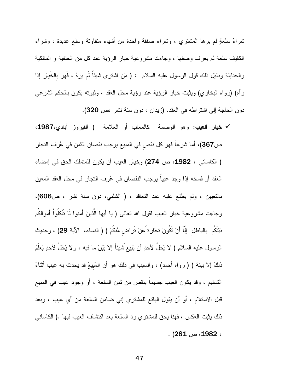شراءُ سلعةٍ لم يرها المشترى ، وشراء صفقة واحدة من أشياء متفاوتة وسلع عديدة ، وشراء الكفيف سلعة لم يعرف وصفها ، وجاءت مشروعية خيار الرؤية عند كل من الحنفية و المالكية والحنابلة ودليل ذلك قول الرسول عليه السلام : ( مَن اشترى شيئًا لَم يرهُ ، فَهو بالخَيار إذا رأه) (رواه البخاري) ويثبت خيار الرؤية عند رؤية محل العقد ، وثبوته يكون بالحكم الشرعي دون الحاجة إلى اشتراطه في العقد. (زيدان ، دون سنة نشر ،ص 320).

**√ خيار العيب:** وهو الوصمة كالمعاب أو العلامة ( الفيروز آبادي،1987، ص367)، أما شرعا فهو كل نقص في المبيع يوجب نقصان الثمن في عُرِف النجار ( الكاساني ، 1982، ص 274) وخيار العيب أن يكون للمتملك الحق في إمضاء العقد أو فسخه إذا وجد عيبا يوجب النقصان في عُرف النجار في محل العقد المعين بالتعبين ، ولم يطلع عليه عند التعاقد ، ( الشلبي، دون سنة نشر ، ص606)، وجاءت مشروعية خيار العيب لقول الله نعالى ( يا أيها الَّذينَ أَمنوا لَا نَأكلُواْ أَموالكُم بَيْنَكُم بالبَاطِل إِلَّا أَنْ نَكُونَ تِجَارة ًعَنْ تَراض مِّنكُمْ ) ( النساء، الآية 29) ، وحديث الرسول عليه السلام ( لا يَحِلُ لأحدِ أن يَبيعُ شيئاً إلا بَيَنَ ما فيه ، ولا يَحَلُ لأحدٍ يَعلَّمُ ذلكَ إلا بينهُ ) ( رواه أحمد) ، والسبب في ذلك هو أن المَبيعَ قد يحدث به عيب أثناءَ التسليم ، وقد يكون العيب جسيماً ينقص من ثمن السلعة ، أو وجود عيب في المبيع قبل الاستلام ، أو أن يقول البائع للمشتري إني ضامن السلعة من أي عيب ، وبعد ذلك يثبت العكس ، فهنا يحق للمشتري رد السلعة بعد اكتشاف العيب فيها .( الكاساني  $(281 \omega 1982)$  .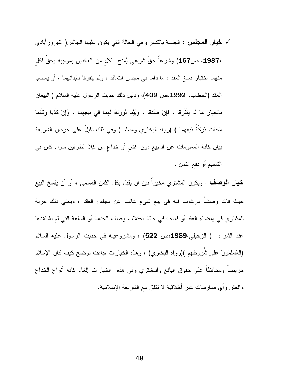**√ خيار المجلس :** الجلسة بالكسر وهي الحالة التي يكون عليها الجالس( الفيروزأبادي ،1987، ص167) وشرعاً حقٌ شرعي يُمنح لكل من العاقدين بموجبه يحقَ لكلِ منهما اختيار فسخ العقد ، ما داما في مجلس التعاقد ، ولم يتفرقا بأبدانهما ، أو يمضيا العقد (الحطاب، 1992،ص 409)، ودليل ذلك حديث الرسول عليه السلام ( البيعان بالخيار ما لم يَتَفَرِقا ، فإنْ صدَقا ، وبَيَّنا بُوركَ لهما في بَيعِهما ، وَإِنْ كَذبا وكَتما مُحقِّت بَركَةُ بَيعِهما ) (رواه البخاري ومسلم ) وفي ذلك دليلٌ على حرص الشريعة بيان كافة المعلومات عن المبيع دون غش أو خداع من كِلا الطرفين سواء كان في التسليم أو دفع الثمن .

**خيار الوصف** : ويكون المشتري مخيرًا بين أن يقبل بكل الثمن المسمى ، أو أن يفسخ البيع حيث فات وصفٌ مرغوب فيه في بيع شيءٍ غائب عن مجلس العقد ، ويعني ذلك حرية للمشتري في إمضاء العقد أو فسخه في حالة اختلاف وصف الخدمة أو السلعة التي لم يشاهدها عند الشراء ( الزحيلي،1989مص 522) ، ومشروعيته في حديث الرسول عليه السلام (الْمُسْلَمُونَ عْلَى شَرُوطِهِم )(رواه البخاري) ، وهذه الخيارات جاءت نوضح كيف كان الإسلام حريصاً ومحافظاً على حقوق البائع والمشتري وفي هذه الخيارات الغاء كافة أنواع الخداع والغش وأي ممارسات غير أخلاقية لا نتفق مع الشريعة الإسلامية.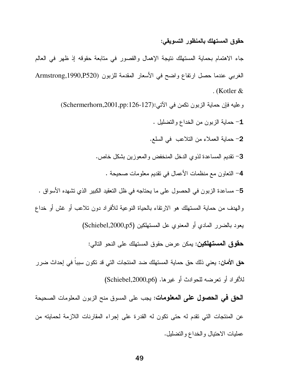#### حقوق المستهلك بالمنظور التسويقي:

جاء الاهتمام بحماية المستهلك نتيجة الإهمال والقصور في متابعة حقوقه إذ ظهر في العالم الغربي عندما حصل ارتفاع واضح في الأسعار المقدمة للزبون (Armstrong,1990,P520 . (Kotler  $\&$ 

وعليه فإن حماية الزبون نكمن في الآتي:(Schermerhorn,2001,pp:126-127)

- 1- حماية الزبون من الخداع والتضليل .
- 2- حماية العملاء من التلاعب في السلع.
- 3– نقديم المساعدة لذوى الدخل المنخفض والمعوزين بشكل خاص.
	- 4– النعاون مع منظمات الأعمال في نقديم معلومات صحيحة .

5– مساعدة الزبون في الحصول على ما يحتاجه في ظل التعقيد الكبير الذي تشهده الأسواق . والهدف من حماية المستهلك هو الارتقاء بالحياة النوعية للأفراد دون نلاعب أو غش أو خداع

يعود بالضرر المادي أو المعنوي عل المستهلكين (Schiebel,2000,p5)

**حقوق المستهلكين:** يمكن عرض حقوق المستهلك على النحو التالي:

**حق الأمان:** يعني ذلك حق حماية المستهلك ضد المنتجات التي قد تكون سببا في إحداث ضرر للأفراد أو تعرضه للحوادث أو غيرها. (Schiebel,2000,p6)

الحق في الحصول على المعلومات: يجب على المسوق منح الزبون المعلومات الصحيحة عن المنتجات التي نقدم له حتى نكون له القدرة على إجراء المقارنات اللازمة لحمايته من عمليات الاحتيال والخداع والتضليل.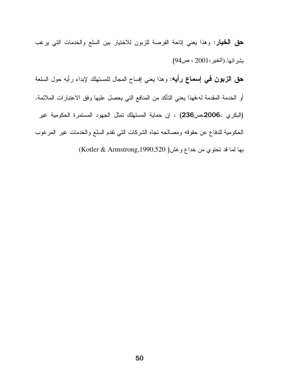**حق الخيار**: وهذا يعني إناحة الفرصة للزبون للاختيار بين السلع والخدمات التي يرغب بشر ائها. (الخير، 2001 ، ص94) **حق الزبون فمي إسماع رأيه:** وهذا يعني إفساح المحال للمستهلك لإبداء رأيه حول السلعة أو الخدمة المقدمة له،فهذا يعني التأكد من المنافع التي يحصل عليها وفق الاعتبارات الملائمة. (البكري ،2006،ص236) ، إن حماية المستهلك نمثل الجهود المستمرة الحكومية غير الحكومية للدفاع عن حقوقه ومصالحه نجاه الشركات الني نقدم السلع والخدمات غير المرغوب بها لما قد تحتوي من خداع وغش( Kotler & Armstrong,1990,520)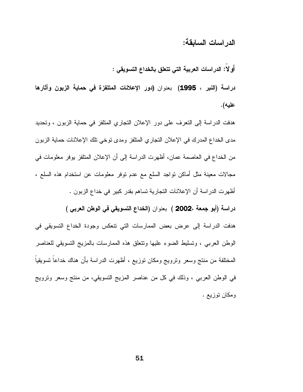الدر اسات السابقة:

أولا: الدراسات العربية التي تتعلق بالخداع التسويقي :

دراسة (النبر ، 1995) بعنوان (دور الإعلانات المتلفزة في حماية الزبون وأثارها عليه).

هدفت الدراسة إلى النعرف على دور الإعلان النجاري المنلفز في حماية الزبون ، ونحديد مدى الخداع المدرك في الإعلان النجاري المنلفز ومدى نوخي نلك الإعلانات حماية الزبون من الخداع في العاصمة عمان، أظهرت الدراسة إلى أن الإعلان المتلفز يوفر معلومات في مجالات معينة مثل أماكن نواجد السلع مع عدم نوفر معلومات عن استخدام هذه السلع ، أظهرت الدراسة أن الإعلانات التجارية تساهم بقدر كبير في خداع الزبون . دراسة (أبو جمعة ،2002 ) بعنوان (الخداع التسويقي في الوطن العربي )

هدفت الدراسة إلى عرض بعض الممارسات التي نتعكس وجودة الخداع التسويقي في الوطن العربي ، وتسليط الضوء عليها ونتعلق هذه الممارسات بالمزيج التسويقي للعناصر المختلفة من منتج وسعر ونرويج ومكان نوزيع ، أظهرت الدراسة بأن هناك خداعاً نسويقياً في الوطن العربي ، وذلك في كل من عناصر المزيج النسويقي، من منتج وسعر ونرويج ومكان توزيع .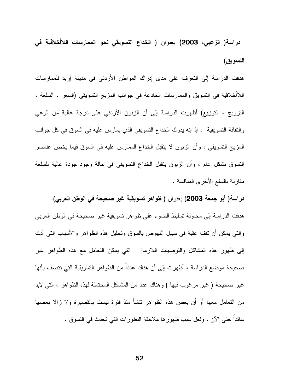دراسة( الزعبى، 2003) بعنوان ( الخداع التسويقي نحو الممارسات اللاأخلاقية في التسويق)

هدفت الدراسة إلى التعرف على مدى إدراك المواطن الأردني في مدينة إربد للممارسات اللاأخلاقية في النسويق والممارسات الخادعة في جوانب المزيج النسويقي (السعر ، السلعة ، الترويج ، التوزيع) أظهرت الدراسة إلى أن الزبون الأردني على درجة عالية من الوعي والثقافة التسويقية ، إذ إنه يدرك الخداع التسويقي الذي يمارس عليه في السوق في كل جوانب المزيج التسويقي ، وأن الزبون لا ينقبل الخداع الممارس عليه في السوق فيما يخص عناصر النسوق بشكل عام ، وأن الزبون بنقبل الخداع النسويقي في حالة وجود جودة عالية للسلعة مقارنة بالسلع الأخرى المنافسة .

دراسة( أبو جمعة 2003) بعنوان ( ظواهر تسويقية غير صحيحة في الوطن العربي). هدفت الدراسة إلى محاولة تسليط الضوء على ظواهر تسويقية غير صحيحة في الوطن العربي والتبي يمكن أن نقف عقبة في سبيل النهوض بالسوق ونحليل هذه الظواهر والأسباب التبي أدت إلى ظهور هذه المشاكل والتوصيات اللازمة التي يمكن التعامل مع هذه الظواهر غير صحيحة موضع الدراسة ، أظهرت إلى أن هناك عددا من الظواهر التسويقية التي تتصف بأنها غير صحيحة ( غير مرغوب فيها ) وهناك عدد من المشاكل المحتملة لهذه الظواهر ، التبي لابد من النعامل معها أو أن بعض هذه الظواهر نتشأ منذ فترة ليست بالقصيرة ولا زالا بعضها سائدا حتى الآن ، ولعل سبب ظهورها ملاحقة النطورات التي نحدث في النسوق .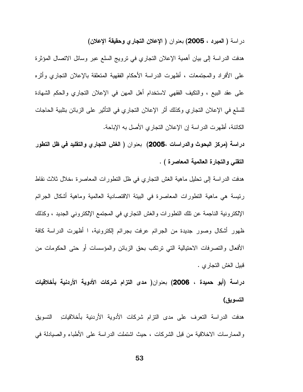دراسة ( المبرد ، 2005) بعنوان ( الإعلان التجاري وحقيقة الإعلان)

هدفت الدراسة إلى بيان أهمية الإعلان التجاري في نزويج السلع عبر وسائل الاتصال المؤثرة على الأفراد والمجتمعات ، أظهرت الدراسة الأحكام الفقهية المتعلقة بالإعلان التجاري وأثره على عقد البيع ، والنكيف الفقهي لاستخدام أهل المهن في الإعلان النجاري والحكم الشهادة للسلع في الإعلان التجاري وكذلك أثر الإعلان التجاري في التأثير على الزبائن بتلبية الحاجات الكائنة، أظهرت الدراسة إن الإعلان النجاري الأصل به الإباحة.

دراسة (مركز البحوث والدراسات ،2005) بعنوان ( الغش التجاري والتقليد في ظل التطور التقني والتجارة العالمية المعاصرة ) .

هدفت الدراسة إلى تحليل ماهية الغش التجاري في ظل التطورات المعاصرة ،خلال ثلاث نقاط رئيسة هي ماهية النطورات المعاصرة في البيئة الاقتصادية العالمية وماهية أشكال الجرائم الإلكترونية الناجمة عن تلك التطورات والغش التجاري في المجتمع الإلكتروني الجديد ، وكذلك ظهور أشكال وصور جديدة من الجرائم عرفت بجرائم الكترونية، ا أظهرت الدراسة كافة الأفعال والنصرفات الاحتيالية التي ترتكب بحق الزبائن والمؤسسات أو حتى الحكومات من قبيل الغش التجاري .

دراسة (أبو حميدة ، 2006) بعنوان( مدى التزام شركات الأدوية الأردنية بأخلاقيات التسويق)

هدفت الدراسة التعرف على مدى التزام شركات الأدوية الأردنية بأخلاقيات التسويق والممارسات الاخلاقية من قبل الشركات ، حيث اشتملت الدراسة على الأطباء والصيادلة في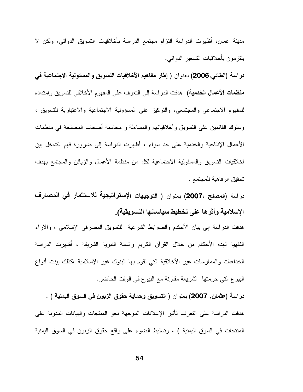مدينة عمان، أظهرت الدراسة النزام مجتمع الدراسة بأخلاقيات التسويق الدوائي، ولكن لا يلتز مون بأخلاقيات التسعير الدوائبي.

دراسة (الطائي,2006) بعنوان ( إطار مفاهيم الأخلاقيات التسويق والمسئولية الاجتماعية في **منظمات الأعمال الخدمية)** هدفت الدراسة إلى النعرف على المفهوم الأخلاقي للتسويق وامتداده للمفهوم الاجتماعي والمجتمعي، والتركيز على المسؤولية الاجتماعية والاعتبارية للتسويق ، وسلوك القائمين على النسويق وأخلاقياتهم والمساءلة و محاسبة أصحاب المصلحة في منظمات الأعمال الإنتاجية والخدمية على حد سواء ، أظهرت الدراسة إلى ضرورة فهم التداخل بين أخلاقيات التسويق والمسئولية الاجتماعية لكل من منظمة الأعمال والزبائن والمجتمع بهدف تحقيق الرفاهية للمجتمع .

دراسة (المصلح ،2007) بعنوان ( التوجيهات الإستراتيجية للاستثمار في المصارف الإسلامية وأثرها على تخطيط سياساتها التسويقية).

هدفت الدراسة إلى بيان الأحكام والضوابط الشرعية للتسويق المصرفي الإسلامي ، والأراء الفقهية لهذه الأحكام من خلال القرآن الكريم والسنة النبوية الشريفة ، أظهرت الدراسة الخداعات والممارسات غير الأخلاقية التي نقوم بها البنوك غير الإسلامية ،كذلك بينت أنواع البيوع التي حرمتها الشريعة مقارنة مع البيوع في الوقت الحاضر .

دراسة (عثمان, 2007) بعنوان ( التسويق وحماية حقوق الزبون في السوق اليمنية ) . هدفت الدراسة على التعرف تأثير الإعلانات الموجهة نحو المنتجات والبيانات المدونة على المنتجات في السوق اليمنية ) ، وتسليط الضوء على واقع حقوق الزبون في السوق اليمنية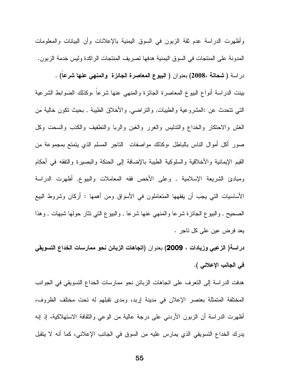وأظهرت الدراسة عدم ثقة الزبون في السوق اليمنية بالإعلانات وأن البيانات والمعلومات المدونة على المنتجات في السوق اليمنية هدفها تصريف المنتجات الراكدة وليس خدمة الزبون. دراسة ( شحاتة ،2008) بعنوان ( البيوع المعاصرة الجائزة والمنهى عنها شرعا) . بينت الدراسة أنواع البيوع المعاصرة الجائزة والمنهى عنها شرعا ،وكذلك الضوابط الشرعية النَّبي نتحدث عن :المشروعية والطِّيبات, والنراضـي, والأخلاق الطَّيبة , بـحيث نكون خالية من الغش والاحتكار والخداع والتدليس والغرر والغبن والربا والنطفيف والكذب والسحت وكل صور أكل أموال الناس بالباطل ،وكذلك مواصفات الناجر المسلم الذي يتمتع بمجموعة من القيم الإيمانية والأخلاقية والسلوكية الطيبة بالإضافة إلى الحنكة والبصيرة والتفقه في أحكام ومبادئ الشريعة الإسلامية , وعلى الأخص فقه المعاملات والبيوع, أظهرت الدراسة الأساسيات التي يجب أن يفقهها المتعاملون في الأسواق ومن أهمها : أركان وشروط البيع الصحيح , والبيوع الجائزة شرعا والمنهي عنها شرعا , والبيوع التي نثار حولها شبهات , وهذا يعد فرض عين على كل ناجر .

دراسة( الزعبي وزيادات ، 2009) بعنوان (اتجاهات الزبائن نحو ممارسات الخداع التسويقي في الجانب الإعلاني ).

هدفت الدراسة إلى التعرف على اتجاهات الزبائن نحو ممارسات الخداع التسويقي في الجوانب المختلفة المتمثلة بعنصر الإعلان في مدينة إربد، ومدى تقبلهم له تحت مختلف الظروف، أظهرت الدراسة أن الزبون الأردنبي على درجة عالية من الوعبي والثقافة الاستهلاكية، إذ إنه يدرك الخداع التسويقي الذي يمارس عليه من السوق في الجانب الإعلاني، كما أنه لا يتقبل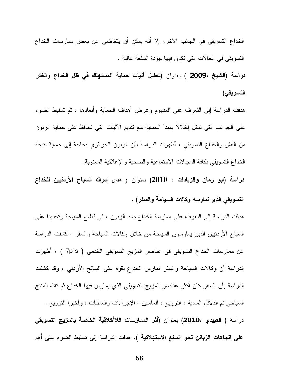الخداع التسويقي في الجانب الآخر ، إلا أنه يمكن أن يتغاضى عن بعض ممارسات الخداع النسويقي في الحالات النبي نكون فيها جودة السلعة عالية .

دراسة (الشيخ ،2009 ) بعنوان (تحليل آليات حماية المستهلك في ظل الخداع والغش التسويقي)

هدفت الدراسة إلى النعرف على المفهوم وعرض أهداف الحماية وأبعادها ، ثم نسليط الضوء على الجوانب التي تمثل إخلالا بمبدأ الحماية مع تقديم الآليات التي تحافظ على حماية الزبون من الغش والخداع التسويقي ، أظهرت الدراسة بأن الزبون الجزائري بحاجة إلى حماية نتيجة الخداع النسويقي بكافة المجالات الاجتماعية والصحية والإعلانية المعنوية.

دراسة (أبو رمان والزيادات ، 2010) بعنوان ( مدى إدراك السياح الأردنيين للخداع التسويقي الذي تمارسه وكالات السياحة والسفر) .

هدفت الدراسة إلى النعرف على ممارسة الخداع ضد الزبون ، في قطاع السياحة وتحديدا على السياح الأردنبين الذين بمارسون السياحة من خلال وكالات السياحة والسفر ، كشفت الدراسة عن ممارسات الخداع التسويقي في عناصر المزيج التسويقي الخدمي ( 7p's ) ، أظهرت الدراسة أن وكالات السياحة والسفر نمارس الخداع بقوة على السائح الأردنبي ، وقد كشفت الدراسة بأن السعر كان أكثر عناصر المزيج التسويقي الذي يمارس فيها الخداع ثم تلاه المنتج السياحي ثم الدلائل المادية ، النرويج ، العاملين ، الإجراءات والعمليات ، وأخيرًا النوزيع . دراسة ( العبيدي ،2010) بعنوان (أثر الممارسات اللاأخلاقية الخاصة بالمزيج التسويقى **على اتجاهات الزبائن نحو السلع الاستهلاكية ).** هدفت الدراسة إلى نسليط الضوء على أهم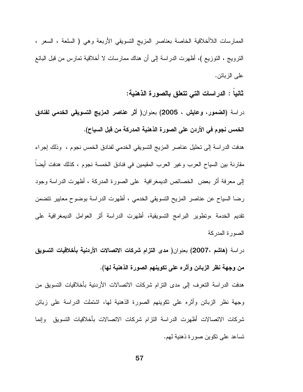الممارسات اللاأخلاقية الخاصة بعناصر المزيج النسويقى الأربعة وهي ( السلعة ، السعر ، النَّزويج ، النَّوزيع )، أظهرت الدراسة إلى أن هناك ممارسات لا أخلاقية تمارس من قبل البائع على الزبائن.

ثانيا : الدراسات التي تتعلق بالصورة الذهنية:

دراسة (الضمور، وعايش ، 2005) بعنوان( أثر عناصر المزيج التسويقي الخدمي لفنادق الخمس نجوم في الأردن على الصورة الذهنية المدركة من قبل السياح).

هدفت الدراسة إلى تحليل عناصر المزيج التسويقي الخدمي لفنادق الخمس نجوم ، وذلك إجراء مقارنة بين السياح العرب وغير العرب المقيمين في فنادق الخمسة نجوم ، كذلك هدفت أيضاً إلى معرفة أثر بعض الخصائص الديمغرافية على الصورة المدركة ، أظهرت الدراسة وجود رضا السياح عن عناصر المزيح التسويقي الخدمي ، أظهرت الدراسة بوضوح معايير نتضمن تقديم الخدمة ،وتطوير البرامج التسويقية، أظهرت الدراسة أثر العوامل الديمغرافية على الصورة المدركة

دراسة (هاشم ،2007) بعنوان( مدى التزام شركات الاتصالات الأردنية بأخلاقيات التسويق من وجهة نظر الزبائن وأثره على تكوينهم الصورة الذهنية لها).

هدفت الدراسة النعرف إلى مدى النزام شركات الاتصالات الأردنية بأخلاقيات التسويق من وجهة نظر الزبائن وأثره على نكوينهم الصورة الذهنية لها، اشتملت الدراسة على زبائن شركات الاتصالات أظهرت الدراسة النزام شركات الاتصالات بأخلاقيات التسويق وإنما تساعد علي تكوين صورة ذهنية لهم.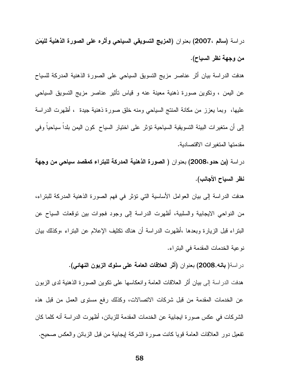دراسة (سالم ،2007) بعنوان (المزيج التسويقي السياحي وأثره على الصورة الذهنية لليَمَن من وجهة نظر السياح).

هدفت الدراسة بيان أثر عناصر مزيج التسويق السياحي على الصورة الذهنية المدركة للسياح عن اليمن ، ونكوين صورة ذهنية معينة عنه و قياس نأثير عناصر مزيج التسويق السياحي عليها، ۖ وبما يعزز من مكانة المنتج السياحي ومنه خلق صورة ذهنية جيدة ۖ ، أظهرت الدراسة إلى أن متغيرات البيئة التسويقية السياحية تؤثر على اختيار السياح كون اليمن بلدا سياحيا وفي مقدمتها المتغبر ات الاقتصادبة.

دراسة (بن حدو ،2008) بعنوان ( الصورة الذهنية المدركة للبتراء كمقصد سياحي من وجهة نظر السياح الأجانب).

هدفت الدراسة إلى بيان العوامل الأساسية التي نؤثر في فهم الصورة الذهنية المدركة للبتراء، من النواحي الايجابية والسلبية، أظهرت الدراسة إلى وجود فجوات بين توقعات السياح عن البنراء قبل الزيارة وبعدها ،أظهرت الدراسة أن هناك نكثيف الإعلام عن البنراء ،وكذلك بيان نو عية الخدمات المقدمة في البتر اء.

در اسة( **بانـ4,2008)** بعنوان (أثر الـعلاقات الـعامـة على سلوك الزبون النـهائـي).

هدفت الدراسة إلى بيان أثر العلاقات العامة وانعكاسها على نكوين الصورة الذهنية لدى الزبون عن الخدمات المقدمة من قبل شركات الاتصالات، وكذلك رفع مستوى العمل من قبل هذه الشركات في عكس صورة ايجابية عن الخدمات المقدمة للزبائن، أظهرت الدراسة أنه كلما كان تفعيل دور العلاقات العامة قويا كانت صورة الشركة ليجابية من قبل الزبائن والعكس صحيح.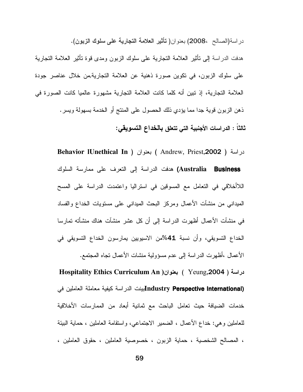در اسة(الصالح ،2008) بعنوان( تأثير العلامة التجارية على سلوك الزبون). هدفت الدراسة إلى نأثير العلامة النجارية على سلوك الزبون ومدى قوة نأثير العلامة النجارية على سلوك الزبون، في نكوين صورة ذهنية عن العلامة التجارية,من خلال عناصر جودة العلامة التجارية، إذ نبين أنه كلما كانت العلامة التجارية مشهورة عالميا كانت الصورة في ذهن الزبون قوية جدا مما يؤدي ذلك الحصول على المنتج أو الخدمة بسهولة ويسر . ثالثاً : الدر اسات الأجنبية التي تتعلق بالخداع التسويقي:

> Behavior IUnethical In ) بعنوان ( Andrew, Priest,2002 ) دراسة Australia) هدفت الدراسة إلى التعرف على ممارسة السلوك **Business** اللاأخلاقي في التعامل مع المسوقين في استراليا واعتمدت الدراسة على المسح المبداني من منشآت الأعمال ومركز البحث المبداني على مستويات الخداع والفساد في منشآت الأعمال أظهرت الدراسة إلى أن كل عشر منشآت هناك منشأته تمارسا الخداع التسويقي، وأن نسبة 41%من الاسيويين يمارسون الخداع التسويقي في الأعمال ،أظهرت الدر اسة إلى عدم مسؤولية منشات الأعمال تجاه المجتمع.

> دراسة ( Yeung,2004 ) بعنوان ( Hospitality Ethics Curriculum An Industry Perspective International)بينت الدراسة كيفية معاملة العاملين في خدمات الضيافة حيث تعامل الباحث مع ثمانية أبعاد من الممارسات الأخلاقية للعاملين وهي: خداع الأعمال ، الضمير الاجتماعي، واستقامة العاملين ، حماية البيئة ، المصـالـح الشخصية ، حماية الزبون ، خصوصية العاملين ، حقوق العاملين ،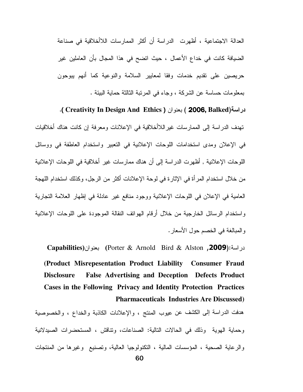العدالة الإجتماعية ، أظهرت الدراسة أن أكثر الممارسات اللاأخلاقية في صناعة الضيافة كانت في خداع الأعمال ، حيث انضح في هذا المجال بأن العاملين غير حريصين على نقديم خدمات وفقا لمعايير السلامة والنوعية كما أنهم يبوحون بمعلومات حساسة عن الشركة ، وجاء في المرتبة الثالثة حماية البيئة .

دراسة(2006, Balked ) بعنوان ( Creativity In Design And Ethics ). نهدف الدراسة إلى الممارسات غيراللاأخلاقية في الإعلانات ومعرفة إن كانت هناك أخلاقيات في الإعلان ومدى استخدامات اللوحات الإعلانية في التعبير واستخدام العاطفة في ووسائل اللو حات الإعلانية , أظهر ت الدر اسة إلى أن هناك ممار سات غير أخلاقية في اللو حات الإعلانية من خلال استخدام المرأة في الإثارة في لوحة الإعلانات أكثر من الرجل، وكذلك استخدام اللهجة العامية في الإعلان في اللوحات الإعلانية ووجود منافع غير عادلة في إظهار العلامة التجارية واستخدام الرسائل الخارجية من خلال أرقام الهواتف النقالة الموجودة على اللوحات الإعلانية والمبالغة في الخصم حول الأسعار .

دراسة:(Porter & Arnold Bird & Alston ,2009) بعنوان(Capabilities (Product Misrepesentation Product Liability Consumer Fraud **False Advertising and Deception Defects Product Disclosure** Cases in the Following Privacy and Identity Protection Practices **Pharmaceuticals Industries Are Discussed)** 

هدفت الدراسة إلى الكشف عن عيوب المنتج ، والإعلانات الكاذبة والخداع ، والخصوصية وحماية الهوية وذلك في الحالات التالية: الصناعات، وتناقش ، المستحضرات الصيدلانية والرعاية الصحية ، المؤسسات المالية ، التكنولوجيا العالية، وتصنيع وغيرها من المنتجات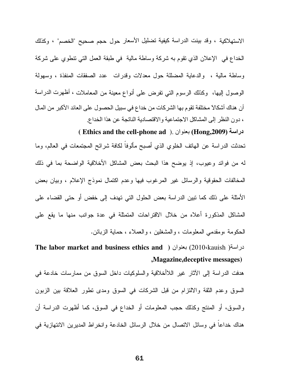الاستهلاكية ، وقد بينت الدراسة كيفية تضليل الأسعار حول حجم صحيح "الخصم" ، وكذلك الخداع في الإعلان الذي نقوم به شركة وساطة مالية ۖ في طبقة العمل النبي نتطوى على شركة وساطة مالية ، والدعاية المضللة حول معدلات وقدرات عدد الصفقات المنفذة ، وسهولة الوصول إليها، وكذلك الرسوم التي نفرض على أنواع معينة من المعاملات ، أظهرت الدراسة أن هناك أشكالا مختلفة تقوم بها الشركات من خداع في سبيل الحصول على العائد الأكبر من المال ، دون النظر إلى المشاكل الاجتماعية والاقتصادية الناتجة عن هذا الخداع

دراسة (Hong,2009) بعنوان . ( Ethics and the cell-phone ad ) تحدثت الدراسة عن الهاتف الخلوي الذي أصبح مألوفاً لكافة شرائح المجتمعات في العالم، وما له من فوائد وعيوب، إذ يوضح هذا البحث بعض المشاكل الأخلاقية الواضحة بما في ذلك المخالفات الحقوقية والرسائل غير المرغوب فيها وعدم اكتمال نموذج الإعلام ، وبيان بعض الأمثلة على ذلك كما نبين الدراسة بعض الحلول الني نهدف إلى خفض أو حتى القضاء على المشاكل المذكورة أعلاه من خلال الاقتراحات المتمثلة في عدة جوانب منها ما يقع على الحكومة ،ومقدمي المعلومات ، والمشغلين ، والعملاء ، حماية الزبائن.

دراسة( 2010،kauish) بعنوان ( The labor market and business ethics and , Magazine, deceptive messages)

هدفت الدراسة إلى الأثار غير اللاأخلاقية والسلوكيات داخل السوق من ممارسات خادعة في السوق وعدم الثقة والالتزام من قبل الشركات في السوق ومدى نطور العلاقة بين الزبون والسوق، أو المنتج وكذلك حجب المعلومات أو الخداع في السوق، كما أظهرت الدراسة أن هناك خداعا في وسائل الاتصال من خلال الرسائل الخادعة وانخراط المديرين الانتهازية في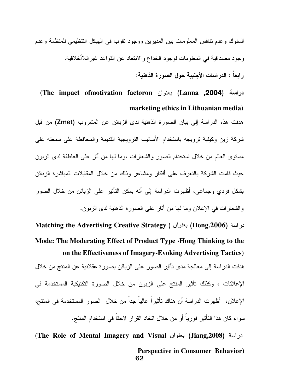السلوك و عدم نتافس المعلومات بين المديرين ووجود ثقوب في الهيكل التنظيمي للمنظمة و عدم وجود مصداقية في المعلومات لوجود الخداع والابتعاد عن القواعد غيراللاأخلاقية. ر ابعاً : الدر اسات الأجنبية حول الصور ة الذهنية:

دراسة (Lanna ,2004) بعنوان The impact ofmotivation factoron) marketing ethics in Lithuanian media)

هدفت هذه الدراسة إلى بيان الصورة الذهنية لدى الزبائن عن المشروب (Zmet) من قبل شركة زبن وكبفية تروبجه باستخدام الأساليب التروبجية القديمة والمحافظة على سمعته على مستوى العالم من خلال استخدام الصور والشعارات ،وما لها من أثر على العاطفة لدى الزبون حيث قامت الشركة بالتعرف على أفكار ومشاعر وذلك من خلال المقابلات المباشرة الزبائن بشكل فر دي وجماعي، أظهر ت الدر اسة إلى أنه يمكن التأثير على الزبائن من خلال الصور والشعار ات في الإعلان وما لها من أثار ً على الصور ة الذهنية لدى الزبون.

لدراسة (Hong,2006) بعنوان ( Matching the Advertising Creative Strategy Mode: The Moderating Effect of Product Type «Hong Thinking to the on the Effectiveness of Imagery-Evoking Advertising Tactics) هدفت الدراسة إلى معالجة مدى نأثير الصور على الزبائن بصورة عقلانية عن المنتج من خلال الإعلانات ، وكذلك تأثير المنتج على الزبون من خلال الصورة التكتيكية المستخدمة في الإعلان، أظهرت الدراسة أن هناك تأثيراً عالياً جداً من خلال الصور المستخدمة في المنتج، سواء كان هذا التأثير فورياً أو من خلال اتخاذ القرار الاحقاً في استخدام المنتج.

دراسة (Jiang,2008) بعنوان The Role of Mental Imagery and Visual) **Perspective in Consumer Behavior**) 62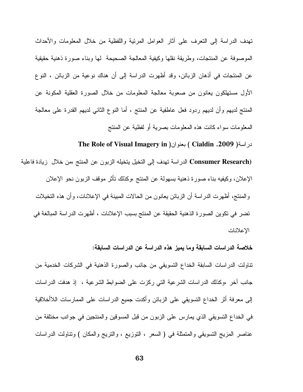تهدف الدراسة إلى النعرف على أثار العوامل المرئية واللفظية من خلال المعلومات والأحداث الموصوفة عن المنتجات، وطريقة نقلها وكيفية المعالجة الصحيحة لها وبناء صورة ذهنية حقيقية عن المنتجات في أذهان الزبائن، وقد أظهرت الدراسة إلى أن هناك نوعية من الزبائن ، النوع الأول مستهلكون يعانون من صعوبة معالجة المعلومات من خلال الصورة العقلية المكونة عن المنتج لديهم وأن لديهم ردود فعل عاطفية عن المنتج ، أما النوع الثاني لديهم القدرة على معالجة المعلومات سواء كانت هذه المعلومات بصرية أو لفظية عن المنتج

دراسة( Cialdin ,2009) بعنوان( The Role of Visual Imagery in

Consumer Research) الدراسة تهدف إلى التخيل يتخيله الزبون عن المنتج ،من خلال زيادة فاعلية الإعلان، وكيفيه بناء صورة ذهنية بسهولة عن المنتج ،وكذلك نأثر موقف الزبون نحو الإعلان و المنتج، أظهر ت الدر اسة أن الز بائن يعانون من الحالات المبينة في الإعلانات، و أن هذه التخيلات

تضر في تكوين الصورة الذهنية الحقيقة عن المنتج بسبب الإعلانات ، أظهرت الدراسة المبالغة في الإعلانات

خلاصة الدراسات السابقة وما يميز. هذه الدراسة عن الدراسات السابقة:

نتاولت الدراسات السابقة الخداع التسويقي من جانب والصورة الذهنية في الشركات الخدمية من جانب أخر ،وكذلك الدراسات الشرعية التي ركزت على الضوابط الشرعية ، ۖ إذ هدفت الدراسات إلىي معرفة أثر الخداع التسويقي علىي الزبائن وأكدت جميع الدراسات علىي الممارسات اللاأخلاقية في الخداع التسويقي الذي يمارس على الزبون من قبل المسوقين والمنتجين في جوانب مختلفة من عناصر المزيج النسويقي والمتمثلة في ( السعر ، النوزيع ، والنريج والمكان ) ونتاولت الدراسات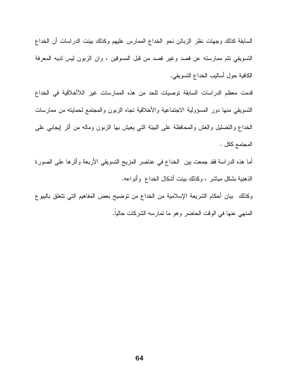السابقة كذلك وجهات نظر الزبائن نحو الخداع الممارس عليهم وكذلك بينت الدراسات أن الخداع التسويقي نتم ممارسته عن قصد وغير قصد من قبل المسوقين ، وان الزبون ليس لديه المعرفة الكافية حول أساليب الخداع النسويقي.

قدمت معظم الدراسات السابقة توصيات للحد من هذه الممارسات غير اللاأخلاقية في الخداع النسويقي منها دور المسؤولية الاجتماعية والأخلاقية نجاه الزبون والمجتمع لحمايته من ممارسات الخداع والنضليل والغش والمحافظة على البيئة النبي يعيش بها الزبون وماله من أثر إيجابي على المجتمع ككل .

أما هذه الدراسة فقد جمعت بين الخداع في عناصر المزيج التسويقي الأربعة وأثرها على الصورة الذهنية بشكل مباشر ، وكذلك بينت أشكال الخداع وأنواعه.

وكذلك بيان أحكام الشريعة الإسلامية من الخداع من نوضيح بعض المفاهيم التي نتعلق بالبيوع المنهى عنها في الوقت الحاضر وهو ما تمارسه الشركات حاليا.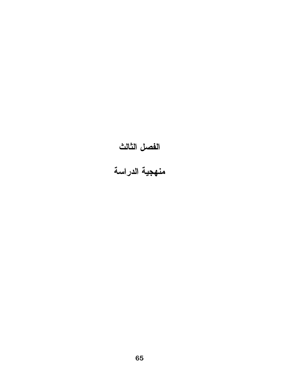# الفصل الثالث<br>منهجية الدراسة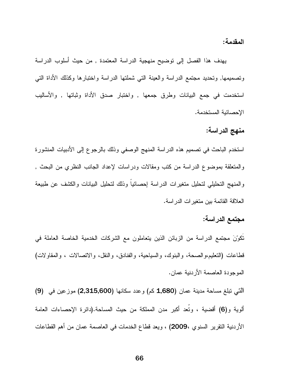المقدمة :

يهدف هذا الفصل إلى توضيح منهجية الدراسة المعتمدة , من حيث أسلوب الدراسة ونصميمها, ونحديد مجتمع الدراسة والعينة النبي شملتها الدراسة واختبارها وكذلك الأداة التبي استخدمت في جمع البيانات وطرق جمعها , واختبار صدق الأداة وثباتها , والأساليب الإحصائية المستخدمة.

منهج الدراسة:

استخدم الباحث في نصميم هذه الدراسة المنهج الوصفي وذلك بالرجوع إلى الأدبيات المنشورة والمتعلقة بموضوع الدراسة من كتب ومقالات ودراسات لإعداد الجانب النظري من البحث , والمنهج التحليلي لتحليل متغيرات الدراسة إحصائيا وذلك لتحليل البيانات والكشف عن طبيعة العلاقة القائمة بين متغير ات الدر اسة.

#### مجتمع الدراسة:

نَكُوِّنَ مجتمع الدراسة من الزبائن الذين يتعاملون مع الشركات الخدمية الخاصة العاملة في قطاعات (التعليم،والصحة، والبنوك، والسياحية، والفنادق، والنقل، والاتصالات ، والمقاولات) الموجودة العاصمة الأردنية عمان.

التي تبلغ مساحة مدينة عمان (1,680 كم) وعدد سكانها (2,315,600) موزعين في (9) ألوية و(6) أقضية ، وتُعد أكبر مدن المملكة من حيث المساحة.(دائرة الإحصاءات العامة الأردنية التقرير السنوي ،2009) ، ويعد قطاع الخدمات في العاصمة عمان من أهم القطاعات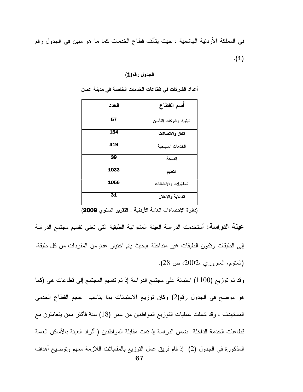في المملكة الأردنية الهاشمية ، حيث يتألف قطاع الخدمات كما ما هو مبين في الجدول رقم  $\cdot(1)$ 

الجدول رقم(**1**)

| العدد | أسم القطاع            |
|-------|-----------------------|
| 57    | البنوك وشركات التأمين |
| 154   | النقل والاتصالات      |
| 319   | الخدمات السياحية      |
| 39    | الصحة                 |
| 1033  | التعليم               |
| 1056  | المقاولات والانشائات  |
| 31    | الدعاية والإعلان      |

أعداد الشركات في قطاعات الخدمات الخاصة في مدينة عمان

(دائرة الإحصاءات العامة الأردنية , التقرير السنوى 2009)

**عينة الدراسة:** أستخدمت الدراسة العينة العشوائية الطبقية التي تعني تقسيم مجتمع الدراسة إلى الطبقات ونكون الطبقات غير منداخلة ،بحيث يتم اختيار عددٍ من المفردات من كل طبقة. (العتوم، العاروري ،2002، ص 28).

وقد نم نوزيع (1100) استبانة على مجتمع الدراسة إذ نم نقسيم المجتمع إلى قطاعات هي (كما هو موضح في الجدول رقم(2) وكان توزيع الاستبانات بما يناسب حجم القطاع الخدمي المستهدف ، وقد شملت عمليات النوزيع المواطنين من عمر (18) سنة فأكثر ممن يتعاملون مع قطاعات الخدمة الداخلة ضمن الدراسة إذ نمت مقابلة المواطنين ( أفراد العينة بالأماكن العامة المذكورة في الجدول (2) إذ قام فريق عمل النوزيع بالمقابلات اللازمة معهم ونوضيح أهداف 67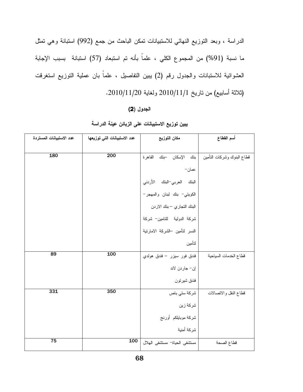الدراسة ، وبعد النوزيع النهائي للاستبيانات تمكن الباحث من جمع (992) استبانة وهي تمثل ما نسبة (91%) من المجموع الكلي ، علماً بأنه تم استبعاد (57) استبانة بسبب الإجابة العشوائية للاستبانات والجدول رقم (2) بببين التفاصيل ، علماً بان عملية التوزيع استغرقت (ثلاثة أسابيع) من تاريخ 2010/11/1 ولغاية 2010/11/20.

#### الجدول (2)

| عدد الاستبيانات المستردة | عدد الاستبيانات التي توزيعها | مكان التوزيع                   | أسم القطاع                 |
|--------------------------|------------------------------|--------------------------------|----------------------------|
|                          |                              |                                |                            |
| 180                      | 200                          | القاهرة<br>بنك الإسكان –بنك    | قطاع البنوك وشركات النأمين |
|                          |                              | عمان−                          |                            |
|                          |                              | البنك العربي–البنك الأردني     |                            |
|                          |                              | الكويتي- بنك لبنان والمهجر-    |                            |
|                          |                              | البنك التجاري – بنك الاردن     |                            |
|                          |                              | شركة الدولية للتامين- شركة     |                            |
|                          |                              | النسر لتأمين –الشركة الامارتية |                            |
|                          |                              | لتأمين                         |                            |
| 89                       | 100                          | فندق فور سيزر – فندق هولدي     | قطاع الخدمات السياحية      |
|                          |                              | إن– جاردن لاند                 |                            |
|                          |                              | فندق شيرتون                    |                            |
| 331                      | 350                          | شركة ستى باص                   | قطاع النقل والاتصالات      |
|                          |                              | شركة زين                       |                            |
|                          |                              | شركة موبايلكم أورنج            |                            |
|                          |                              | شركة أمنية                     |                            |
| $\overline{75}$          | 100                          | مستشفى الحياة - مستشفى الهلال  | قطاع الصحة                 |

#### يبين توزيع الاستبيانات على الزبائن عينة الدراسة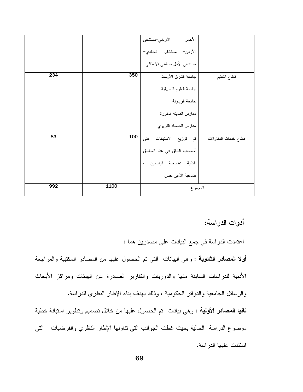|     |      | الأحمر<br>الأردني-مستشفى     |                      |
|-----|------|------------------------------|----------------------|
|     |      | الأردن– مستشفى الخالدي–      |                      |
|     |      | مستشفى الأمل مسشفى الايطالبي |                      |
| 234 | 350  | جامعة الشرق الأوسط           | قطاع التعليم         |
|     |      | جامعة العلوم التطبيقية       |                      |
|     |      | جامعة الزيتونة               |                      |
|     |      | مدارس المدينة المنورة        |                      |
|     |      | مدارس الحصاد التربوي         |                      |
| 83  | 100  | تم توزيع الاستبانات على      | قطاع خدمات المقاولات |
|     |      | أصحاب الشقق في هذه المناطق   |                      |
|     |      | التالية :ضاحية الياسمين ،    |                      |
|     |      | ضاحية الأمير حسن             |                      |
| 992 | 1100 | المجموع                      |                      |

أدوات الدراسة:

اعتمدت الدراسة في جمع البيانات على مصدرين هما :

**أولا المصادر الثانوية** : وهي البيانات التي تم الحصول عليها من المصادر المكتبية والمراجعة الأدبية للدراسات السابقة منها والدوريات والتقارير الصادرة عن الهيئات ومراكز الأبحاث والرسائل الجامعية والدوائر الحكومية ، وذلك بهدف بناء الإطار النظري للدراسة.

**ثانيا المصادر الأولية** : وهي بيانات تم الحصول عليها من خلال تصميم وتطوير استبانة خطية موضوع الدراسة الحالية بحيث غطت الجوانب التي نتاولها الإطار النظري والفرضيات التي استندت عليها الدر اسة.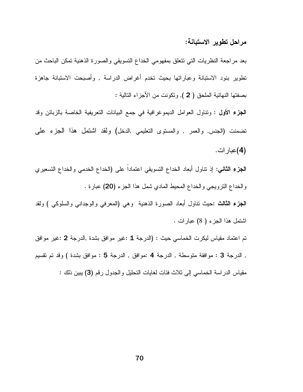#### مراحل تطوير الاستبانـة:

بعد مراجعة النظريات التي نتعلق بمفهومي الخداع النسويقي والصورة الذهنية نمكن الباحث من تطوير بنود الاستبانة وعباراتها بحيث تخدم أغراض الدراسة , وأصبحت الاستبانة جاهزة بصفتها النهائية الملحق ( 2 ), ونكونت من الأجزاء التالية :

**الجزء الأول :** ونتاول العوامل الديموغرافية في جمع البيانات التعريفية الخاصة بالزبائن وقد نضمنت (الجنس, والعمر , والمستوى النعليمي ,الدخل) ولقد اشتمل هذا الجزء علمى (4)عبار ات.

**الجزء الثاني:** إذ نتاول أبعاد الخداع التسويقي اعتماداً على (الخداع الخدمي والخداع التسعيري والخداع النرويجي والخداع المحيط المادي شمل هذا الجزء (20) عبارة .

**الْجِزْءِ الثَّالث :**حيث نَّناول أبعاد الصورة الذهنية وهي (المعرفي والوجداني والسلوكي ) ولقد اشتمل هذا الجزء ( 8) عبارات .

تم اعتماد مقياس ليكرت الخماسي حيث : (الدرجة 1 :غير موافق بشدة ,الدرجة 2 :غير موافق , الدرجة 3 : موافقة متوسطة , الدرجة 4 :موافق , الدرجة 5 : موافق بشدة ) وقد تم تقسيم مقياس الدراسة الخماسي إلى ثلاث فئات لغايات التحليل والجدول رقم (3) ببين ذلك :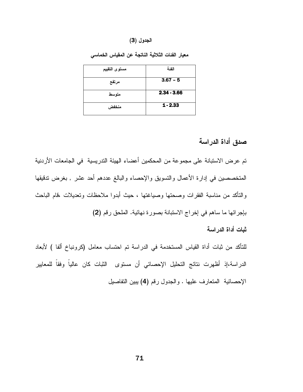#### الجدول (3)

| مستوى التقييم | الفئة         |
|---------------|---------------|
| مرتفع         | $3.67 - 5$    |
| متوسط         | $2.34 - 3.66$ |
| منخفض         | $1 - 2.33$    |

معيار الفئات الثلاثية الناتجة عن المقياس الخماسي

#### صدق أداة الدراسة

تم عرض الاستبانة على مجموعة من المحكمين أعضاء الهيئة التدريسية في الجامعات الأردنية المتخصصين في إدارة الأعمال والتسويق والإحصاء والبالغ عددهم أحد عشر , بغرض تنقيقها والتأكد من مناسبة الفقرات وصحتها وصباغتها ، حيث أبدوا ملاحظات وتعديلات ،قام الباحث بإجرائها ما ساهم في إخراج الاستبانة بصورة نهائية. الملحق رقم (2) ثبات أداة الدر اسة

للتأكد من ثبات أداة القياس المستخدمة في الدراسة تم احتساب معامل (كرونباخ ألفا ) لأبعاد الدراسة،إذ أظهرت نتائج التحليل الإحصائي أن مستوى الثبات كان عالياً وفقاً للمعايير الإحصائية المتعارف عليها . والجدول رقم (4) يبين التفاصيل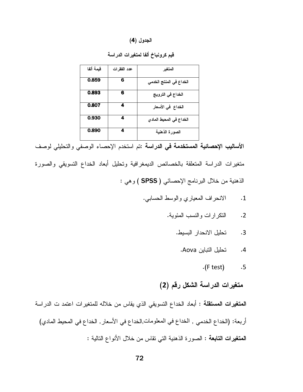#### الجدول (4)

| قيمة ألفا | عدد الفقرات | المتغبر                 |
|-----------|-------------|-------------------------|
| 0.859     | 6           | الخداع في المنتج الخدمي |
| 0.893     | 6           | الخداع في الترويج       |
| 0.807     | 4           | الخداع في الأسعار       |
| 0.930     | 4           | الخداع في المحيط المادي |
| 0.890     |             | الصورة الذهنية          |

قيم كرونباخ ألفا لمتغيرات الدراسة

الأساليب الإحصائية <mark>المستخدمة في الدراسة :تم استخدم الإحص</mark>اء الوصفي والتحليلي لوصف متغيرات الدراسة المتعلقة بالخصائص الديمغرافية وتحليل أبعاد الخداع التسويقي والصورة الذهنية من خلال البرنامج الإحصائي ( SPSS ) وهي :

- الانحراف المعياري والوسط الحسابي.  $\cdot$ 1
	- النكر ارات والنسب المئوية.  $\cdot$ .2
		- تحليل الانحدار البسيط.  $\cdot$ 3
			- تحليل التباين Aova.  $.4$ 
				- $\cdot$ (F test)  $.5$

#### متغيرات الدراسة الشكل رقم (2)

ا**لمتغيرات المستقلة** : أبعاد الخداع التسويقي الذي يقاس من خلاله للمتغيرات اعتمد ت الدراسة أربعة: (الخداع الخدمي , الخداع في المعلومات,الخداع في الأسعار , الخداع في المحيط المادي) المقغيرات التابعة : الصورة الذهنية التي تقاس من خلال الأنواع التالية :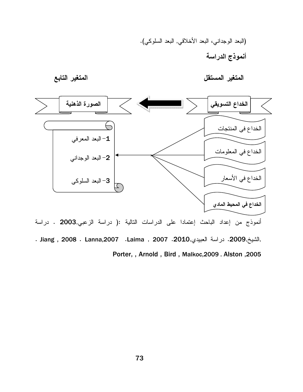

Porter, , Arnold, Bird, Malkoc, 2009. Alston, 2005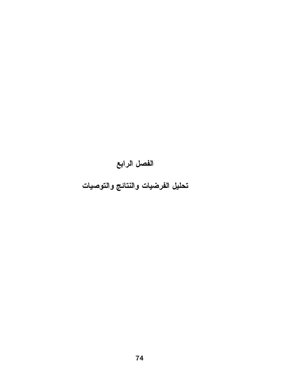# الفصل الرابع

## تحليل الفرضيات والنتائج والتوصيات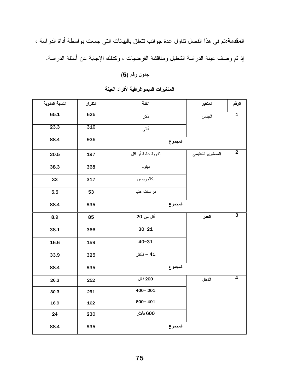ا**لمقدمة:**نتم في هذا الفصل نتاول عدة جوانب نتعلق بالبيانات التي جمعت بواسطة أداة الدراسة ، إذ تم وصف عينة الدراسة التحليل ومناقشة الفرضيات ، وكذلك الإجابة عن أسئلة الدراسة.

#### جدول رقم (5)

| النسبة المئوية | التكرار | الفئة              | المتغير          | الرقم                   |
|----------------|---------|--------------------|------------------|-------------------------|
| 65.1           | 625     | ذكر                | الجنس            | $\overline{\mathbf{1}}$ |
| 23.3           | 310     | أنثى               |                  |                         |
| 88.4           | 935     | المجموع            |                  |                         |
| 20.5           | 197     | ثانوية عامة أو اقل | المستوى التعليمي | $\overline{2}$          |
| 38.3           | 368     | دبلوم              |                  |                         |
| 33             | 317     | بكالوريوس          |                  |                         |
| 5.5            | 53      | در اسات عليا       |                  |                         |
| 88.4           | 935     | المجموع            |                  |                         |
| 8.9            | 85      | أقل من 20          | العمر            | $\overline{\mathbf{3}}$ |
| 38.1           | 366     | $30 - 21$          |                  |                         |
| 16.6           | 159     | $40 - 31$          |                  |                         |
| 33.9           | 325     | 41 – فأكثر         |                  |                         |
| 88.4           | 935     | المجموع            |                  |                         |
| 26.3           | 252     | 200 فأقل           | الدخل            | $\overline{4}$          |
| 30.3           | 291     | $400 - 201$        |                  |                         |
| 16.9           | 162     | $600 - 401$        |                  |                         |
| 24             | 230     | 600 فأكثر          |                  |                         |
| 88.4           | 935     | المجموع            |                  |                         |

#### المتغيرات الديموغرافية لأفراد العينة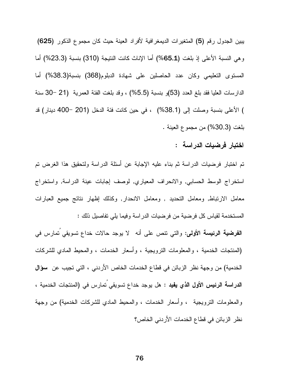بيين الجدول رقم (5) المتغيرات الديمغرافية لأفراد العينة حيث كان مجموع الذكور (625) وهي النسبة الأعلى إذ بلغت (65.1%) أما الإناث كانت النتيجة (310) بنسبة (23.3%) أما المستوى التعليمي وكان عدد الحاصلين على شهادة الدبلوم(368) بنسبة(38.3%) أما الدارسات العليا فقد بلغ العدد (53)و بنسبة (5.5%) ، وقد بلغت الفئة العمرية (21 –30 سنة ) الأعلى بنسبة وصلت إلى (38.1%) ، في حين كانت فئة الدخل (201 -400 دينار) قد بلغت (30.3%) من مجموع العينة .

#### اختبار فرضيات الدراسة :

تم اختبار فرضيات الدراسة ثم بناء عليه الإجابة عن أسئلة الدراسة ولتحقيق هذا الغرض تم استخراج الوسط الحسابي, والانحراف المعياري, لوصف إجابات عينة الدراسة, واستخراج معامل الارنباط, ومعامل النحديد , ومعامل الانحدار, وكذلك إظهار نتائج جميع العبارات المستخدمة لقياس كل فرضية من فرضيات الدراسة وفيما يلي تفاصيل ذلك :

**الفرضية الرئيسة الأولى:** والتي نتص على أنه لا يوجد حالات خداع نسويقي نمارس في (المنتجات الخدمية ، والمعلومات الترويجية ، وأسعار الخدمات ، والمحيط المادي للشركات الخدمية) من وجهة نظر الزبائن في قطاع الخدمات الخاص الأردني ، التي تجيب عن سؤال الدراسة الرئيس الأول الذي يفيد : هل يوجد خداع نسويقي تمارس في (المنتجات الخدمية ، والمعلومات النزويجية ، وأسعار الخدمات ، والمحيط المادي للشركات الخدمية) من وجهة نظر الزبائن في قطاع الخدمات الأردنى الخاص؟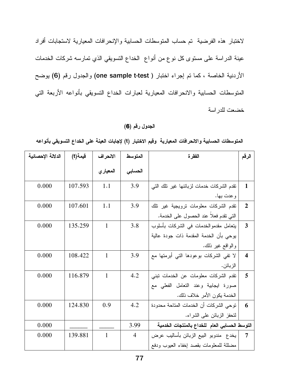لاختبار هذه الفرضية تم حساب المتوسطات الحسابية والإنحرافات المعيارية لاستجابات أفراد عينة الدراسة على مستوى كل نوع من أنواع الخداع التسويقي الذي تمارسه شركات الخدمات الأردنية الخاصة ، كما تم إجراء اختبار ( one sample t-test) والجدول رقم (6) يوضح المتوسطات الحسابية والانحرافات المعيارية لعبارات الخداع التسويقي بأنواعه الأربعة التي خضعت للدر اسة

#### الجدول رقم (6)

المتوسطات الحسابية والانحرافات المعيارية وقيم الاختبار (t) لإجابات العينة على الخداع التسويقي بأنواعه

| الدلالة الإحصائية | فيمة(t) | الانحراف     | المتوسط        | الفقر ة                                       | الرقم                   |
|-------------------|---------|--------------|----------------|-----------------------------------------------|-------------------------|
|                   |         | المعيار ي    | الحسابى        |                                               |                         |
| 0.000             | 107.593 | 1.1          | 3.9            | نقدم الشركات خدمات لزبائنها غير نلك التي      | $\mathbf{1}$            |
|                   |         |              |                | و عدت بها.                                    |                         |
| 0.000             | 107.601 | 1.1          | 3.9            | نقدم الشركات معلومات نرويجية غير نلك          | $\overline{2}$          |
|                   |         |              |                | التي نقدم فعلا عند الحصول على الخدمة.         |                         |
| 0.000             | 135.259 | $\mathbf{1}$ | 3.8            | بتعامل مقدموالخدمات في الشركات بأسلوب         | 3                       |
|                   |         |              |                | يوحى بأن الخدمة المقدمة ذات جودة عالية        |                         |
|                   |         |              |                | والواقع غير ذلك.                              |                         |
| 0.000             | 108.422 | $\mathbf{1}$ | 3.9            | لا تفي الشركات بوعودها التـي أبرمتها مع       | $\overline{\mathbf{4}}$ |
|                   |         |              |                | الزبائن.                                      |                         |
| 0.000             | 116.879 | $\mathbf{1}$ | 4.2            | نقدم الشركات معلومات عن الخدمات نبنى          | 5                       |
|                   |         |              |                | صورة ايجابية وعند النعامل الفعلى مع           |                         |
|                   |         |              |                | الخدمة يكون الأمر خلاف ذلك.                   |                         |
| 0.000             | 124.830 | 0.9          | 4.2            | توحى الشركات أن الخدمات المتاحة محدودة        | 6                       |
|                   |         |              |                | لتحفز الزبائن على الشراء.                     |                         |
| 0.000             |         |              | 3.99           | التوسط الحسابي العام للخداع بالمنتجات الخدمية |                         |
| 0.000             | 139.881 | $\mathbf{1}$ | $\overline{4}$ | يخدع  مندوبو  البيع الزبائن بأساليب عرض       | $\overline{7}$          |
|                   |         |              |                | مضللة للمعلومات بقصد إخفاء العيوب ودفع        |                         |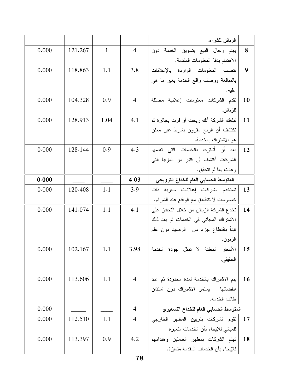|    | الزبائن للشراء.                                |                |              |         |       |
|----|------------------------------------------------|----------------|--------------|---------|-------|
| 8  | يهتم رجال البيع بتسويق الخدمة دون              | $\overline{4}$ | $\mathbf{1}$ | 121.267 | 0.000 |
|    | الاهتمام بدقة المعلومات المقدمة.               |                |              |         |       |
| 9  | نتصف المعلومات الواردة بالإعلانات              | 3.8            | 1.1          | 118.863 | 0.000 |
|    | بالمبالغة ووصف واقع الخدمة بغير ما هي          |                |              |         |       |
|    | عليه.                                          |                |              |         |       |
| 10 | نقدم الشركات معلومات إعلانية مضللة             | $\overline{4}$ | 0.9          | 104.328 | 0.000 |
|    | للزبائن.                                       |                |              |         |       |
| 11 | نبلغك الشركة أنك ربحت أو فزت بجائزة ثم         | 4.1            | 1.04         | 128.913 | 0.000 |
|    | نكتشف أن الربح مقرون بشرط غير معلن             |                |              |         |       |
|    | هو الاشتر اك بالخدمة.                          |                |              |         |       |
| 12 | بعد أن أشترك بالخدمات التي تقدمها <sup>ا</sup> | 4.3            | 0.9          | 128.144 | 0.000 |
|    | الشركات أكتشف أن كثير من المزايا التي          |                |              |         |       |
|    | وعدت بها لم تتحقق.                             |                |              |         |       |
|    | المتوسط الحسابي العام للخداع الترويجي          | 4.03           |              |         | 0.000 |
| 13 | تستخدم الشركات إعلانات سعريه ذات               | 3.9            | 1.1          | 120.408 | 0.000 |
|    | خصومات لا نتطابق مع الواقع عند الشراء.         |                |              |         |       |
| 14 | تخدع الشركة الزبائن من خلال التحفيز على        | 4.1            | 1.1          | 141.074 | 0.000 |
|    | الاشتراك المجاني في الخدمات ثم بعد ذلك         |                |              |         |       |
|    | تبدأ باقتطاع جزء من  الرصيد دون علم            |                |              |         |       |
|    | الزبون.                                        |                |              |         |       |
| 15 | الأسعار المعلنة لا نمثل جودة الخدمة            | 3.98           | 1.1          | 102.167 | 0.000 |
|    | الحقيقى .                                      |                |              |         |       |
|    |                                                |                |              |         |       |
| 16 | يتم الاشتراك بالخدمة لمدة محدودة ثم عند        | $\overline{4}$ | 1.1          | 113.606 | 0.000 |
|    | انقضائها يستمر الاشتراك دون استذان             |                |              |         |       |
|    | طالب الخدمة.                                   |                |              |         |       |
|    | المتوسط الحسابي العام للخداع التسعيري          | $\overline{4}$ |              |         | 0.000 |
| 17 | نقوم الشركات بتزيين المظهر الخارجى             | $\overline{4}$ | 1.1          | 112.510 | 0.000 |
|    | للمباني للإيحاء بأن الخدمات متميزة.            |                |              |         |       |
| 18 | نهتم الشركات بمظهر العاملين وهندامهم           | 4.2            | 0.9          | 113.397 | 0.000 |
|    | للإيحاء بأن الخدمات المقدمة متميز ة.           |                |              |         |       |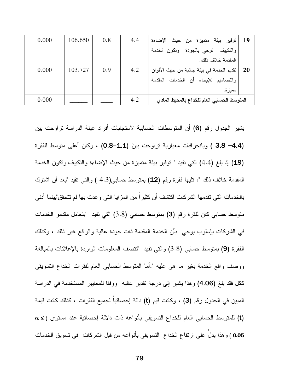| -19 | توفير بيئة متميزة من حيث الإضاءة               | 4.4 | 0.8 | 106.650 | 0.000 |
|-----|------------------------------------------------|-----|-----|---------|-------|
|     | والتكييف توحى بالجودة وتكون الخدمة             |     |     |         |       |
|     | المقدمة خلاف ذلك.                              |     |     |         |       |
|     | 20   تقديم الخدمة في بيئة جاذبة من حيث الألوان | 4.2 | 0.9 | 103.727 | 0.000 |
|     | والتصاميم للإيحاء أن الخدمات المقدمة           |     |     |         |       |
|     | مميز ة.                                        |     |     |         |       |
|     | المتوسط الحسابي العام للخداع بالمحيط المادى    | 4.2 |     |         | 0.000 |

يشير الجدول رقم (6) أن المتوسطات الحسابية لاستجابات أفراد عينة الدراسة تراوحت بين (3.8 –4.4 ) وبانحرافات معيارية نراوحت بينَ (1.1-0.8) ، وكان أعلى متوسط للفقرة (19) إذ بلغ (4.4) التي تفيد " توفير بيئة متميزة من حيث الإضاءة والتكييف وتكون الخدمة المقدمة خلاف ذلك "، تلبها فقرة رقم (12) بمتوسط حسابي(4.3 ) والتبي تفيد "بعد أن اشترك بالخدمات التي نقدمها الشركات اكتشف أن كثيرا من المزايا التي وعدت بها لم نتحقق"بينما أدني متوسط حسابي كان لفقرة رقم (3) بمتوسط حسابي (3.8) التي تفيد "يتعامل مقدمو الخدمات في الشركات بإسلوب بوحي بأن الخدمة المقدمة ذات جودة عالية والواقع غير ذلك ، وكذلك الْفَقَرَة (9) بمنوسط حسابـي (3.8) والنَّبي نفيد "تنصف المعلومات الواردة بالإعلانات بالمبالغة ووصف واقع الخدمة بغير ما هي عليه ".أما المتوسط الحسابـي العام لفقرات الخداع التسويقي ككل فقد بلغ (4.06) وهذا يشير إلى درجة نقدير عاليه ۖ ووفقًا للمعايير المستخدمة في الدراسة المبين في الجدول رقم (3) ، وكانت قيم (t) دالة إحصائيا لجميع الفقرات ، كذلك كانت قيمة (t) للمتوسط الحسابي العام للخداع التسويقي بأنواعه ذات دلالة إحصائية عند مستوى ( ≥ α 0.05 ) وهذا يدلُّ على ارتفاع الخداع النسويقي بأنواعه من قبل الشركات ً في تسويق الخدمات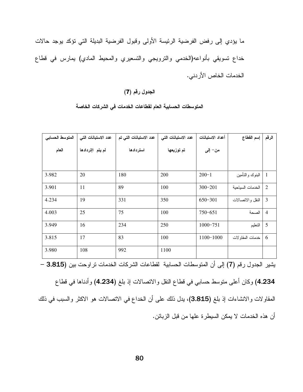ما يؤدي إلى رفض الفرضية الرئيسة الأولى وقبول الفرضية البديلة التي تؤكد يوجد حالات خداع تسويقي بأنواعه(الخدمي والترويجي والتسعيري والمحيط المادي) يمارس في قطاع الخدمات الخاص الأردني.

#### الجدول رقم (7)

| المتوسط الحسابى | عدد الاستبانات التي | عدد الاستبانات التي تم | عدد الاستبانات التي | أعداد الاستبانات | إسم القطاع       | الرقم          |
|-----------------|---------------------|------------------------|---------------------|------------------|------------------|----------------|
| العام           | لم يتم اإتردادها    | استردادها              | تم توزيعها          | من– إلى          |                  |                |
|                 |                     |                        |                     |                  |                  |                |
| 3.982           | 20                  | 180                    | 200                 | $200 - 1$        | البنوك والتأمين  | $\mathbf{1}$   |
| 3.901           | 11                  | 89                     | 100                 | $300 - 201$      | الخدمات السياحية | $\overline{2}$ |
| 4.234           | 19                  | 331                    | 350                 | $650 - 301$      | النقل والاتصالات | 3              |
| 4.003           | 25                  | 75                     | 100                 | $750 - 651$      | الصحة            | $\overline{4}$ |
| 3.949           | 16                  | 234                    | 250                 | $1000 - 751$     | النعليم          | 5              |
| 3.815           | 17                  | 83                     | 100                 | 1100-1000        | خدمات المقاولات  | 6              |
| 3.980           | 108                 | 992                    | 1100                |                  |                  |                |

#### المتوسطات الحسابية العام لقطاعات الخدمات في الشركات الخاصة

يشير الجدول رقم (7) إلى أن المتوسطات الحسابية لقطاعات الشركات الخدمات تراوحت بين (3.815 –

4.234) وكان أعلى متوسط حسابي في قطاع النقل والانصالات إذ بلغ (4.234) وأدناها في قطاع المقاولات والانشاءات إذ بلغ (3.815)، يدل ذلك على أن الخداع في الاتصالات هو الاكثر والسبب في ذلك أن هذه الخدمات لا يمكن السيطر ة علها من قبل الزبائن.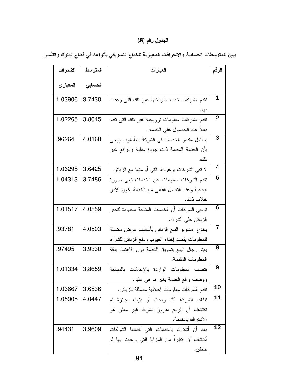### الجدول رقم (8)

| يبين المتوسطات الحسابية والانحرافات المعيارية للخداع التسويقي بأنواعه في قطاع البنوك والتأمين |  |  |  |
|-----------------------------------------------------------------------------------------------|--|--|--|
|-----------------------------------------------------------------------------------------------|--|--|--|

| الانحراف  | المتوسط | العبارات                                         | الرقم           |
|-----------|---------|--------------------------------------------------|-----------------|
| المعيار ي | الحسابى |                                                  |                 |
| 1.03906   | 3.7430  | نقدم الشركات خدمات لزبائنها غير نلك التى وعدت    | 1               |
|           |         | بها.                                             |                 |
| 1.02265   | 3.8045  | نقدم الشركات معلومات نرويجية غير نلك النى نقدم   | $\overline{2}$  |
|           |         | فعلا عند الحصول على الخدمة.                      |                 |
| .96264    | 4.0168  | يتعامل مقدمو الخدمات في الشركات بأسلوب يوحى      | 3               |
|           |         | بأن الخدمة المقدمة ذات جودة عالية والواقع غير    |                 |
|           |         | <u>ذالك .</u>                                    |                 |
| 1.06295   | 3.6425  | لا نفي الشركات بوعودها الني أبرمنها مع الزبائن   | 4               |
| 1.04313   | 3.7486  | نقدم الشركات معلومات عن الخدمات نبنى صورة        | 5               |
|           |         | ايجابية وعند النعامل الفعلي مع الخدمة يكون الأمر |                 |
|           |         | خلاف ذلك.                                        |                 |
| 1.01517   | 4.0559  | نوحي الشركات أن الخدمات المتاحة محدودة لتحفز     | 6               |
|           |         | الزبائن على الشراء.                              |                 |
| .93781    | 4.0503  | يخدع  مندوبو  البيع الزبائن بأساليب عرض مضللة    | 7               |
|           |         | للمعلومات بقصد إخفاء العيوب ودفع الزبائن للشراء  |                 |
| .97495    | 3.9330  | يهتم رجال البيع بتسويق الخدمة دون الاهتمام بدقة  | 8               |
|           |         | المعلومات المقدمة.                               |                 |
| 1.01334   | 3.8659  | نتصف المعلومات الواردة بالإعلانات بالمبالغة      | 9               |
|           |         | ووصف واقع الخدمة بغير ما هي عليه.                |                 |
| 1.06667   | 3.6536  | نقدم الشركات معلومات إعلانية مضللة للزبائن.      | <b>10</b>       |
| 1.05905   | 4.0447  | تبلغك الشركة أنك ربحت أو فزت بجائزة ثم           | $\overline{11}$ |
|           |         | نكتشف أن الربح مقرون بشرط غير معلن هو            |                 |
|           |         | الاشتراك بالخدمة.                                |                 |
| .94431    | 3.9609  | بعد أن أشترك بالخدمات التي تقدمها الشركات        | 12              |
|           |         | أكتشف أن كثيراً من المزايا التي وعدت بها لم      |                 |
|           |         | تتحقق .                                          |                 |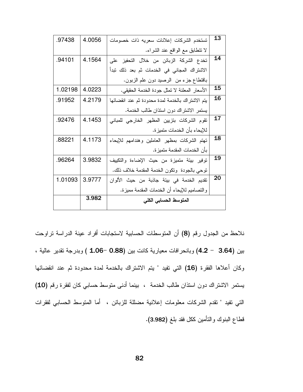| .97438  | 4.0056 | تستخدم الشركات إعلانات سعريه ذات خصومات          | 13 |  |  |
|---------|--------|--------------------------------------------------|----|--|--|
|         |        | لا نتطابق مع الواقع عند الشراء.                  |    |  |  |
| .94101  | 4.1564 | تخدع الشركة الزبائن من خلال التحفيز على          | 14 |  |  |
|         |        | الاشتراك المجاني في الخدمات ثم بعد ذلك تبدأ      |    |  |  |
|         |        | باقتطاع جزء من الرصيد دون علم الزبون.            |    |  |  |
| 1.02198 | 4.0223 | الأسعار المعلنة لا تمثل جودة الخدمة الحقيقي.     | 15 |  |  |
| .91952  | 4.2179 | يتم الاشتراك بالخدمة لمدة محدودة ثم عند انقضائها | 16 |  |  |
|         |        | يستمر الاشتراك دون استذان طالب الخدمة.           |    |  |  |
| .92476  | 4.1453 | تقوم الشركات بتزيين المظهر الخارجي للمباني       | 17 |  |  |
|         |        | للإيحاء بأن الخدمات متميزة.                      |    |  |  |
| .88221  | 4.1173 | تهتم الشركات بمظهر العاملين وهندامهم للإيحاء     | 18 |  |  |
|         |        | بأن الخدمات المقدمة متميز ة.                     |    |  |  |
| .96264  | 3.9832 | توفير بيئة متميزة من حيث الإضاءة والتكييف        | 19 |  |  |
|         |        | نوحي بالجودة ونكون الخدمة المقدمة خلاف ذلك.      |    |  |  |
| 1.01093 | 3.9777 | نقديم الخدمة في بيئة جاذبة من حيث الألوان        | 20 |  |  |
|         |        | و النصاميم للإيحاء أن الخدمات المقدمة مميزة.     |    |  |  |
|         | 3.982  | المتوسط الحسابي الكلى                            |    |  |  |
|         |        |                                                  |    |  |  |

نلاحظ من الجدول رقم (8) أن المتوسطات الحسابية لاستجابات أفراد عينة الدراسة نراوحت بين (3.64 - 4.2) وبانحرافات معيارية كانت بين (0.88 -1.06 ) وبدرجة تقدير عالية ، وكان أعلاها الفقرة (16) التي تفيد " يتم الاشتراك بالخدمة لمدة محدودة ثم عند انقضائها يستمر الاشتراك دون استذان طالب الخدمة ، بينما أدنى متوسط حسابي كان لفقرة رقم (10) التي نفيد " نقدم الشركات معلومات إعلانية مضللة للزبائن ، أما المنوسط الحسابي لفقرات قطاع البنوك والتأمين ككل فقد بلغ (3.982).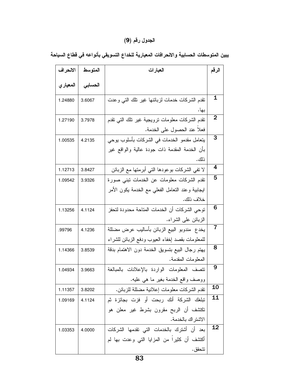#### الجدول رقم (9)

| الانحراف  | المتوسط | العبارات                                         | الرقم       |  |  |
|-----------|---------|--------------------------------------------------|-------------|--|--|
| المعيار ي | الحسابى |                                                  |             |  |  |
| 1.24880   | 3.6067  | نقدم الشركات خدمات لزبائنها غير نلك التي وعدت    | $\mathbf 1$ |  |  |
|           |         | بها.                                             | 2           |  |  |
| 1.27190   | 3.7978  | نقدم الشركات معلومات نرويجية غير نلك النبى نقدم  |             |  |  |
|           |         | فعلا عند الحصول على الخدمة.                      |             |  |  |
| 1.00535   | 4.2135  | يتعامل مقدمو الخدمات في الشركات بأسلوب يوحي      | 3           |  |  |
|           |         | بأن الخدمة المقدمة ذات جودة عالية والواقع غير    |             |  |  |
|           |         | ذلك.                                             |             |  |  |
| 1.12713   | 3.8427  | لا نفي الشركات بوعودها الني أبرمنها مع الزبائن   | 4           |  |  |
| 1.09542   | 3.9326  | نقدم الشركات معلومات عن الخدمات نبنى صورة        | 5           |  |  |
|           |         | ايجابية وعند النعامل الفعلي مع الخدمة يكون الأمر |             |  |  |
|           |         | خلاف ذلك.                                        |             |  |  |
| 1.13256   | 4.1124  | توحى الشركات أن الخدمات المتاحة محدودة لتحفز     |             |  |  |
|           |         | الزبائن على الشراء.                              |             |  |  |
| .99796    | 4.1236  | يخدع  مندوبو  البيع الزبائن بأساليب عرض مضللة    |             |  |  |
|           |         | للمعلومات بقصد إخفاء العيوب ودفع الزبائن للشراء  |             |  |  |
| 1.14366   | 3.8539  | يهتم رجال البيع بتسويق الخدمة دون الاهتمام بدقة  | 8           |  |  |
|           |         | المعلومات المقدمة.                               |             |  |  |
| 1.04934   | 3.9663  | نتصف المعلومات الواردة بالإعلانات بالمبالغة      | 9           |  |  |
|           |         | ووصف واقع الخدمة بغير ما هي عليه.                |             |  |  |
| 1.11357   | 3.8202  | نقدم الشركات معلومات إعلانية مضللة للزبائن.      | <b>10</b>   |  |  |
| 1.09169   | 4.1124  | تبلغك الشركة أنك ربحت أو فزت بجائزة ثم           | <b>11</b>   |  |  |
|           |         | نكتشف أن الربح مقرون بشرط غير معلن هو            |             |  |  |
|           |         | الاشتر اك بالخدمة.                               |             |  |  |
| 1.03353   | 4.0000  | بعد أن أشترك بالخدمات التي تقدمها الشركات        | <u>12</u>   |  |  |
|           |         | أكتشف أن كثيرًا من المزايا التي وعدت بها لم      |             |  |  |
|           |         | تتحقق .                                          |             |  |  |

يبين المتوسطات الحسابية والانحرافات المعيارية للخداع التسويقي بأنواعه في قطاع السياحة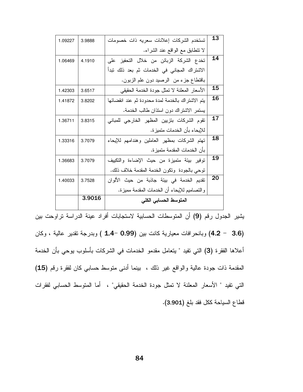| 1.09227 | 3.9888 | تستخدم الشركات إعلانات سعريه ذات خصومات          | 13 |  |  |  |
|---------|--------|--------------------------------------------------|----|--|--|--|
|         |        | لا نتطابق مع الواقع عند الشراء.                  |    |  |  |  |
| 1.06469 | 4.1910 | تخدع الشركة الزبائن من خلال التحفيز على          | 14 |  |  |  |
|         |        | الاشتراك المجاني في الخدمات ثم بعد ذلك نبدأ      |    |  |  |  |
|         |        | باقتطاع جزء من الرصيد دون علم الزبون.            |    |  |  |  |
| 1.42303 | 3.6517 | الأسعار المعلنة لا تمثل جودة الخدمة الحقيقي      | 15 |  |  |  |
| 1.41872 | 3.8202 | يتم الاشتراك بالخدمة لمدة محدودة ثم عند انقضائها | 16 |  |  |  |
|         |        | يستمر الاشتراك دون استذان طالب الخدمة.           |    |  |  |  |
| 1.36711 | 3.8315 | تقوم الشركات بتزيين المظهر الخارجى للمبانى       | 17 |  |  |  |
|         |        | للإيحاء بأن الخدمات متميز ة.                     |    |  |  |  |
| 1.33316 | 3.7079 | تهتم الشركات بمظهر العاملين وهندامهم للإيحاء     | 18 |  |  |  |
|         |        | بأن الخدمات المقدمة متميز ة.                     |    |  |  |  |
| 1.36683 | 3.7079 | توفير بيئة متميزة من حيث الإضاءة والتكييف        | 19 |  |  |  |
|         |        | نوحي بالجودة ونكون الخدمة المقدمة خلاف ذلك.      |    |  |  |  |
| 1.40033 | 3.7528 | تقديم الخدمة في بيئة جاذبة من حيث الألوان        |    |  |  |  |
|         |        | والتصاميم للإيحاء أن الخدمات المقدمة مميزة.      |    |  |  |  |
|         | 3.9016 | المتوسط الحسابي الكلى                            |    |  |  |  |

(3.6 - 4.2) وبانحرافات معيارية كانت بين (0.99 -1.4 ) وبدرجة تقدير عالية ، وكان أعلاها الفقرة (3) التي تفيد " يتعامل مقدمو الخدمات في الشركات بأسلوب يوحي بأن الخدمة المقدمة ذات جودة عالية والواقع غير ذلك ، بينما أدنى متوسط حسابي كان لفقرة رقم (15) التي نفيد " الأسعار المعلنة لا نمثل جودة الخدمة الحقيقي" ، أما المتوسط الحسابي لفقرات فطاع السياحة ككل فقد بلغ (3.901).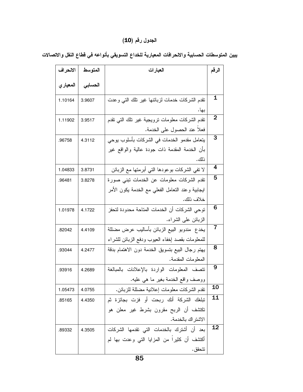#### الجدول رقم (**10**)

| الانحراف  | المتوسط | العبارات                                         |                |  |  |
|-----------|---------|--------------------------------------------------|----------------|--|--|
| المعيار ي | التسابى |                                                  |                |  |  |
| 1.10164   | 3.9607  | نقدم الشركات خدمات لزبائنها غير نلك التي وعدت    | 1              |  |  |
|           |         | بها.                                             |                |  |  |
| 1.11902   | 3.9517  | نقدم الشركات معلومات نرويجية غير نلك النبى نقدم  | $\overline{2}$ |  |  |
|           |         | فعلا عند الحصول على الخدمة.                      |                |  |  |
| .96758    | 4.3112  | يتعامل مقدمو الخدمات في الشركات بأسلوب يوحى      |                |  |  |
|           |         | بأن الخدمة المقدمة ذات جودة عالية والواقع غير    |                |  |  |
|           |         | ذلك.                                             |                |  |  |
| 1.04833   | 3.8731  | لا نفي الشركات بوعودها التي أبرمتها مع الزبائن   | 4              |  |  |
| .96481    | 3.8278  | نقدم الشركات معلومات عن الخدمات نبنى صورة        | 5              |  |  |
|           |         | ايجابية وعند النعامل الفعلي مع الخدمة يكون الأمر |                |  |  |
|           |         | خلاف ذلك.                                        |                |  |  |
| 1.01978   | 4.1722  | توحى الشركات أن الخدمات المتاحة محدودة لتحفز     |                |  |  |
|           |         | الزبائن على الشراء.                              |                |  |  |
| .82042    | 4.4109  | يخدع  مندوبو  البيع الزبائن بأساليب عرض مضللة    |                |  |  |
|           |         | للمعلومات بقصد إخفاء العيوب ودفع الزبائن للشراء  |                |  |  |
| .93044    | 4.2477  | يهتم رجال البيع بتسويق الخدمة دون الاهتمام بدقة  | 8              |  |  |
|           |         | المعلومات المقدمة.                               |                |  |  |
| .93916    | 4.2689  | نتصف المعلومات الواردة بالإعلانات بالمبالغة      | 9              |  |  |
|           |         | ووصف واقع الخدمة بغير ما هي عليه.                |                |  |  |
| 1.05473   | 4.0755  | نقدم الشركات معلومات إعلانية مضللة للزبائن.      | <b>10</b>      |  |  |
| .85165    | 4.4350  | تبلغك الشركة أنك ربحت أو فزت بجائزة ثم           | 11             |  |  |
|           |         | تكتشف أن الربح مقرون بشرط غير معلن هو            |                |  |  |
|           |         | الاشتر اك بالخدمة.                               |                |  |  |
| .89332    | 4.3505  | بعد أن أشترك بالخدمات التي تقدمها الشركات        | 12             |  |  |
|           |         | أكتشف أن كثيرا من المزايا التي وعدت بها لم       |                |  |  |
|           |         | تتحقق .                                          |                |  |  |

يبين المتوسطات الحسابية والاحرافات المعيارية للخداع التسويقي بأنواعه في قطاع النقل والاتصالات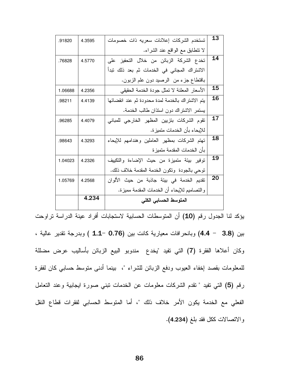| .91820  | 4.3595 | تستخدم الشركات إعلانات سعريه ذات خصومات          | 13 |  |  |  |
|---------|--------|--------------------------------------------------|----|--|--|--|
|         |        | لا نتطابق مع الواقع عند الشراء.                  |    |  |  |  |
| .76828  | 4.5770 | تخدع الشركة الزبائن من خلال التحفيز على          | 14 |  |  |  |
|         |        | الاشتراك المجاني في الخدمات ثم بعد ذلك تبدأ      |    |  |  |  |
|         |        | باقتطاع جزء من الرصيد دون علم الزبون.            |    |  |  |  |
| 1.06688 | 4.2356 | الأسعار المعلنة لا تمثل جودة الخدمة الحقيقي      | 15 |  |  |  |
| .98211  | 4.4139 | يتم الاشتراك بالخدمة لمدة محدودة ثم عند انقضائها | 16 |  |  |  |
|         |        | يستمر الاشتراك دون استذان طالب الخدمة.           |    |  |  |  |
| .96285  | 4.4079 | تقوم الشركات بتزيين المظهر الخارجي للمباني       | 17 |  |  |  |
|         |        | للإيحاء بأن الخدمات متميزة.                      |    |  |  |  |
| .98643  | 4.3293 | تهتم الشركات بمظهر العاملين وهندامهم للإيحاء     |    |  |  |  |
|         |        | بأن الخدمات المقدمة متميز ة                      |    |  |  |  |
| 1.04023 | 4.2326 | نوفير بيئة متميزة من حيث الإضاءة والتكييف        | 19 |  |  |  |
|         |        | نوحي بالجودة ونكون الخدمة المقدمة خلاف ذلك.      |    |  |  |  |
| 1.05769 | 4.2568 | تقديم الخدمة في بيئة جاذبة من حيث الألوان        | 20 |  |  |  |
|         |        | والنصاميم للإيحاء أن الخدمات المقدمة مميزة.      |    |  |  |  |
|         | 4.234  | المتوسط الحسابي الكلى                            |    |  |  |  |

يؤكد لنا الجدول رقم (10) أن المتوسطات الحسابية لاستجابات أفراد عينة الدراسة تراوحت بين (3.8 - 4.4) وبانحرافات معيارية كانت بين (0.76 -1.1 ) وبدرجة تقدير عالية ، وكان أعلاها الفقرة (7) التي تفيد "يخدع ً مندوبو البيع الزبائن بأساليب عرض مضللة للمعلومات بقصد إخفاء العيوب ودفع الزبائن للشراء "، بينما أدنى متوسط حسابي كان لفقرة رقم (5) التي تفيد " نقدم الشركات معلومات عن الخدمات نبني صورة ايجابية وعند النعامل الفعلي مع الخدمة يكون الأمر خلاف ذلك "، أما المتوسط الحسابي لفقرات قطاع النقل والاتصالات ككل فقد بلغ (4.234).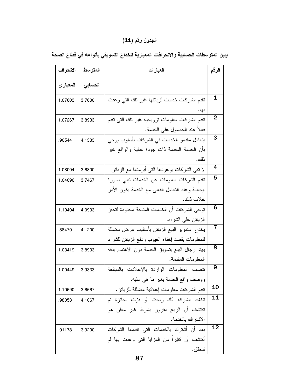#### الجدول رقم (**11**)

| الانحراف  | المتوسط | العبارات                                         |           |  |  |
|-----------|---------|--------------------------------------------------|-----------|--|--|
| المعيار ي | الحسابى |                                                  |           |  |  |
| 1.07603   | 3.7600  | نقدم الشركات خدمات لزبائنها غير نلك التبى وعدت   | 1         |  |  |
|           |         | بها.                                             |           |  |  |
| 1.07267   | 3.8933  | نقدم الشركات معلومات نرويجية غير نلك التبى نقدم  | 2         |  |  |
|           |         | فعلا عند الحصول على الخدمة.                      |           |  |  |
| .90544    | 4.1333  | يتعامل مقدمو الخدمات في الشركات بأسلوب يوحى      | 3         |  |  |
|           |         | بأن الخدمة المقدمة ذات جودة عالية والواقع غير    |           |  |  |
|           |         | ذلك .                                            |           |  |  |
| 1.08004   | 3.6800  | لا نفي الشركات بوعودها الني أبرمنها مع الزبائن   | 4         |  |  |
| 1.04096   | 3.7467  | نقدم الشركات معلومات عن الخدمات نبنى صورة        | 5         |  |  |
|           |         | ايجابية وعند النعامل الفعلي مع الخدمة يكون الأمر |           |  |  |
|           |         | خلاف ذلك.                                        |           |  |  |
| 1.10494   | 4.0933  | توحى الشركات أن الخدمات المتاحة محدودة لتحفز     |           |  |  |
|           |         | الزبائن على الشراء.                              |           |  |  |
| .88470    | 4.1200  | يخدع  مندوبو  البيع الزبائن بأساليب عرض مضللة    |           |  |  |
|           |         | للمعلومات بقصد إخفاء العيوب ودفع الزبائن للشراء  |           |  |  |
| 1.03419   | 3.8933  | يهتم رجال البيع بتسويق الخدمة دون الاهتمام بدقة  | 8         |  |  |
|           |         | المعلومات المقدمة.                               |           |  |  |
| 1.00449   | 3.9333  | تتصف المعلومات الواردة بالإعلانات بالمبالغة      | 9         |  |  |
|           |         | ووصف واقع الخدمة بغير ما هي عليه.                |           |  |  |
| 1.10690   | 3.6667  | نقدم الشركات معلومات إعلانية مضللة للزبائن.      | 10        |  |  |
| .98053    | 4.1067  | نبلغك الشركة أنك ربحت أو فزت بجائزة ثم           | 11        |  |  |
|           |         | نكتشف أن الربح مقرون بشرط غير معلن هو            |           |  |  |
|           |         | الاشتراك بالخدمة.                                |           |  |  |
| .91178    | 3.9200  | بعد أن أشترك بالخدمات التي تقدمها الشركات        | <u>12</u> |  |  |
|           |         | أكتشف أن كثيرا من المزايا التي وعدت بها لم       |           |  |  |
|           |         | تتحقق .                                          |           |  |  |

يبين المتوسطات الحسابية والالحرافات المعيارية للخداع التسويقي بأنواعه في قطاع الصحة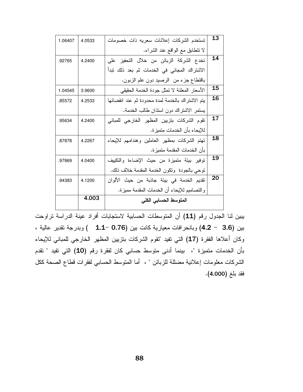| 1.06407 | 4.0533 | تستخدم الشركات إعلانات سعريه ذات خصومات          | 13 |  |  |
|---------|--------|--------------------------------------------------|----|--|--|
|         |        | لا نتطابق مع الواقع عند الشراء.                  |    |  |  |
| .92765  | 4.2400 | تخدع الشركة الزبائن من خلال التحفيز على          | 14 |  |  |
|         |        | الاشتراك المجاني في الخدمات ثم بعد ذلك تبدأ      |    |  |  |
|         |        | باقتطاع جزء من الرصيد دون علم الزبون.            |    |  |  |
| 1.04545 | 3.9600 | الأسعار المعلنة لا تمثل جودة الخدمة الحقيقي      | 15 |  |  |
| .85572  | 4.2533 | يتم الاشتراك بالخدمة لمدة محدودة ثم عند انقضائها | 16 |  |  |
|         |        | يستمر الاشتراك دون استذان طالب الخدمة.           |    |  |  |
| .95634  | 4.2400 | تقوم الشركات بتزيين المظهر الخارجي للمباني       |    |  |  |
|         |        | للإيحاء بأن الخدمات متميزة.                      |    |  |  |
| .87878  | 4.2267 | تهتم الشركات بمظهر العاملين وهندامهم للإيحاء     |    |  |  |
|         |        | بأن الخدمات المقدمة متميز ة.                     |    |  |  |
| .97869  | 4.0400 | نوفير بيئة متميزة من حيث الإضاءة والتكييف        | 19 |  |  |
|         |        | نوحي بالجودة ونكون الخدمة المقدمة خلاف ذلك.      |    |  |  |
| .94383  | 4.1200 | نقديم الخدمة في بيئة جاذبة من حيث الألوان        |    |  |  |
|         |        | والنصاميم للإيحاء أن الخدمات المقدمة مميزة.      |    |  |  |
|         | 4.003  | المتوسط الحسابي الكلى                            |    |  |  |

يبين لنا الجدول رقم (11) أن المتوسطات الحسابية لاستجابات أفراد عينة الدراسة تراوحت بين (3.6 - 4.2) وبانحرافات معيارية كانت بين (0.76 -1.1 ) وبدرجة نقدير عالية ، وكان أعلاها الفقرة (17) التي تفيد "تقوم الشركات بتزيين المظهر الخارجي للمباني للإيحاء بأن الخدمات متميزة "، بينما أدنى متوسط حسابي كان لفقرة رقم **(10)** التي تفيد " تقدم الشركات معلومات إعلانية مضللة للزبائن " ، أما المتوسط الحسابي لفقرات قطاع الصحة ككل فقد بلغ (4.000).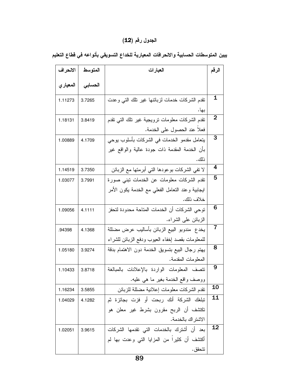#### الجدول رقم (**12**)

| الانحراف  | المتوسط | العبارات                                         | الرقم          |  |  |
|-----------|---------|--------------------------------------------------|----------------|--|--|
| المعيار ي | الحسابى |                                                  |                |  |  |
| 1.11273   | 3.7265  | نقدم الشركات خدمات لزبائنها غير نلك التي وعدت    | 1              |  |  |
|           |         | بها.                                             | 2              |  |  |
| 1.18131   | 3.8419  | نقدم الشركات معلومات نرويجية غير نلك النى نقدم   |                |  |  |
|           |         | فعلا عند الحصول على الخدمة.                      |                |  |  |
| 1.00889   | 4.1709  | يتعامل مقدمو الخدمات في الشركات بأسلوب يوحى      | 3              |  |  |
|           |         | بأن الخدمة المقدمة ذات جودة عالية والواقع غير    |                |  |  |
|           |         | ذلك.                                             |                |  |  |
| 1.14519   | 3.7350  | لا نفي الشركات بوعودها النبي أبرمنها مع الزبائن  | $\overline{4}$ |  |  |
| 1.03077   | 3.7991  | تقدم الشركات معلومات عن الخدمات نبني صورة        | 5              |  |  |
|           |         | ايجابية وعند النعامل الفعلى مع الخدمة يكون الأمر |                |  |  |
|           |         | خلاف ذلك.                                        |                |  |  |
| 1.09056   | 4.1111  | توحى الشركات أن الخدمات المتاحة محدودة لتحفز     |                |  |  |
|           |         | الزبائن على الشراء.                              |                |  |  |
| .94398    | 4.1368  | يخدع  مندوبو  البيع الزبائن بأساليب عرض مضللة    |                |  |  |
|           |         | للمعلومات بقصد إخفاء العيوب ودفع الزبائن للشراء  |                |  |  |
| 1.05180   | 3.9274  | يهتم رجال البيع بتسويق الخدمة دون الاهتمام بدقة  | 8              |  |  |
|           |         | المعلومات المقدمة.                               |                |  |  |
| 1.10433   | 3.8718  | نتصف المعلومات الواردة بالإعلانات بالمبالغة      | 9              |  |  |
|           |         | ووصف واقع الخدمة بغير ما هي عليه.                |                |  |  |
| 1.16234   | 3.5855  | نقدم الشركات معلومات إعلانية مضللة للزبائن       | <b>10</b>      |  |  |
| 1.04029   | 4.1282  | تبلغك الشركة أنك ربحت أو فزت بجائزة ثم           | 11             |  |  |
|           |         | نكتشف أن الربح مقرون بشرط غير معلن هو            |                |  |  |
|           |         | الاشتر اك بالخدمة.                               |                |  |  |
| 1.02051   | 3.9615  | بعد أن أشترك بالخدمات التي تقدمها الشركات        | <u>12</u>      |  |  |
|           |         | أكتشف أن كثيرًا من المزايا التي وعدت بها لم      |                |  |  |
|           |         | تتحقق .                                          |                |  |  |

يبين المتوسطات الحسابية والالحرافات المعيارية للخداع التسويقي بأنواعه في قطاع التعليم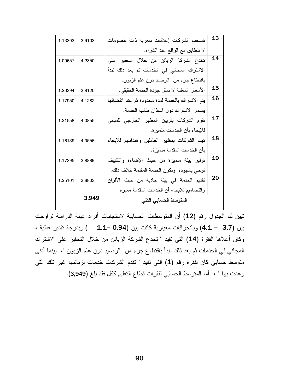| 1.13303 | 3.9103 | تستخدم الشركات إعلانات سعريه ذات خصومات          | 13 |  |  |  |
|---------|--------|--------------------------------------------------|----|--|--|--|
|         |        | لا نتطابق مع الواقع عند الشراء.                  |    |  |  |  |
| 1.00657 | 4.2350 | تخدع الشركة الزبائن من خلال التحفيز على          | 14 |  |  |  |
|         |        | الاشتراك المجاني في الخدمات ثم بعد ذلك تبدأ      |    |  |  |  |
|         |        | باقتطاع جزء من الرصيد دون علم الزبون.            |    |  |  |  |
| 1.20394 | 3.8120 | الأسعار المعلنة لا تمثل جودة الخدمة الحقيقي.     | 15 |  |  |  |
| 1.17950 | 4.1282 | يتم الاشتراك بالخدمة لمدة محدودة ثم عند انقضائها | 16 |  |  |  |
|         |        | يستمر الاشتراك دون استذان طالب الخدمة.           |    |  |  |  |
| 1.21558 | 4.0855 | تقوم الشركات بتزيين المظهر الخارجي للمباني       | 17 |  |  |  |
|         |        | للإيحاء بأن الخدمات متميزة.                      |    |  |  |  |
| 1.16139 | 4.0556 | تهتم الشركات بمظهر العاملين وهندامهم للإيحاء     | 18 |  |  |  |
|         |        | بأن الخدمات المقدمة متميز ة.                     |    |  |  |  |
| 1.17395 | 3.8889 | توفير بيئة متميزة من حيث الإضاءة والتكييف        | 19 |  |  |  |
|         |        | نوحي بالجودة ونكون الخدمة المقدمة خلاف ذلك.      |    |  |  |  |
| 1.25101 | 3.8803 | تقديم الخدمة في بيئة جاذبة من حيث الألوان        | 20 |  |  |  |
|         |        | والنصاميم للإيحاء أن الخدمات المقدمة مميزة.      |    |  |  |  |
|         | 3.949  | المتوسط الحسابي الكلى                            |    |  |  |  |

تبين لنا الجدول رقم (12) أن المتوسطات الحسابية لاستجابات أفراد عينة الدراسة تراوحت بين (3.7 - 4.1) وبانحرافات معيارية كانت بين (0.94 -1.1 ) وبدرجة نقدير عالية ، وكان أعلاها الفقرة (14) التي تفيد " تخدع الشركة الزبائن من خلال التحفيز على الاشتراك المجاني في الخدمات ثم بعد ذلك نبدأ باقتطاع جزء من الرصيد دون علم الزبون "، بينما أدنى منوسط حسابي كان لفقرة رقم (1) التي تفيد " نقدم الشركات خدمات لزبائنها غير نلك التي وعدت بها " ، أما المتوسط الحسابي لفقرات قطاع النعليم ككل فقد بلغ (3,949).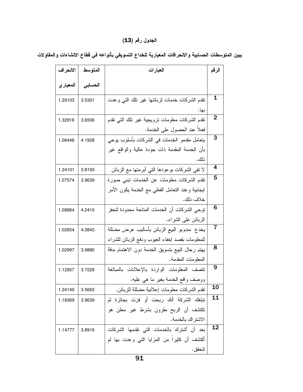#### الجدول رقم (**13**)

| الانحراف  | المتوسط | العبارات                                         |                |  |  |
|-----------|---------|--------------------------------------------------|----------------|--|--|
| المعيار ي | الحسابى |                                                  |                |  |  |
| 1.29103   | 3.5301  | نقدم الشركات خدمات لزبائنها غير نلك التبى وعدت   | 1              |  |  |
|           |         | بها.                                             |                |  |  |
| 1.32916   | 3.6506  | نقدم الشركات معلومات نرويجية غير نلك التبي نقدم  | 2              |  |  |
|           |         | فعلا عند الحصول على الخدمة.                      |                |  |  |
| 1.06448   | 4.1928  | يتعامل مقدمو الخدمات في الشركات بأسلوب يوحى      | 3              |  |  |
|           |         | بأن الخدمة المقدمة ذات جودة عالية والواقع غير    |                |  |  |
|           |         | ذلك.                                             |                |  |  |
| 1.24101   | 3.8193  | لا نفي الشركات بوعودها التي أبرمتها مع الزبائن   | 4              |  |  |
| 1.07574   | 3.9639  | نقدم الشركات معلومات عن الخدمات نبنى صورة        | 5              |  |  |
|           |         | ايجابية وعند النعامل الفعلي مع الخدمة يكون الأمر |                |  |  |
|           |         | خلاف ذلك.                                        |                |  |  |
| 1.08864   | 4.2410  | نوحي الشركات أن الخدمات المتاحة محدودة لتحفز     |                |  |  |
|           |         | الزبائن على الشراء.                              |                |  |  |
| 1.02654   | 4.0843  | يخدع  مندوبو  البيع الزبائن بأساليب عرض مضللة    | $\overline{7}$ |  |  |
|           |         | للمعلومات بقصد إخفاء العيوب ودفع الزبائن للشراء  |                |  |  |
| 1.02997   | 3.9880  | يهتم رجال البيع بتسويق الخدمة دون الاهتمام بدقة  | 8              |  |  |
|           |         | المعلومات المقدمة.                               |                |  |  |
| 1.12957   | 3.7229  | نتصف المعلومات الواردة بالإعلانات بالمبالغة      | 9              |  |  |
|           |         | ووصف واقع الخدمة بغير ما هي عليه.                |                |  |  |
| 1.24149   | 3.5663  | نقدم الشركات معلومات إعلانية مضللة للزبائن.      | 10             |  |  |
| 1.18369   | 3.9639  | نبلغك الشركة أنك ربحت أو فزت بجائزة ثم           | 11             |  |  |
|           |         | نكتشف أن الربح مقرون بشرط غير معلن هو            |                |  |  |
|           |         | الاشتراك بالخدمة.                                |                |  |  |
| 1.14777   | 3.8916  | بعد أن أشترك بالخدمات التي تقدمها الشركات        | <u>12</u>      |  |  |
|           |         | أكتشف أن كثيرًا من المزايا التي وعدت بها لم      |                |  |  |
|           |         | تتحقق .                                          |                |  |  |

يبين المتوسطات الحسابية والانحرافات المعيارية للخداع التسويقي بأنواعه في قطاع الانشاءات والمقاولات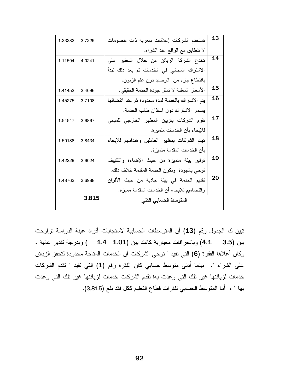| 1.23282 | 3.7229 | تستخدم الشركات إعلانات سعريه ذات خصومات          | 13 |  |  |
|---------|--------|--------------------------------------------------|----|--|--|
|         |        | لا نتطابق مع الواقع عند الشراء.                  |    |  |  |
| 1.11504 | 4.0241 | تخدع الشركة الزبائن من خلال التحفيز على          | 14 |  |  |
|         |        | الاشتراك المجاني في الخدمات ثم بعد ذلك تبدأ      |    |  |  |
|         |        | باقتطاع جزء من الرصيد دون علم الزبون.            |    |  |  |
| 1.41453 | 3.4096 | الأسعار المعلنة لا تمثل جودة الخدمة الحقيقي.     | 15 |  |  |
| 1.45275 | 3.7108 | يتم الاشتراك بالخدمة لمدة محدودة ثم عند انقضائها | 16 |  |  |
|         |        | يستمر الاشتراك دون استذان طالب الخدمة.           |    |  |  |
| 1.54547 | 3.6867 | تقوم الشركات بتزيين المظهر الخارجي للمباني       | 17 |  |  |
|         |        | للإيحاء بأن الخدمات متميزة.                      |    |  |  |
| 1.50188 | 3.8434 | تهتم الشركات بمظهر العاملين وهندامهم للإيحاء     | 18 |  |  |
|         |        | بأن الخدمات المقدمة متميز ة.                     |    |  |  |
| 1.42229 | 3.6024 | توفير بيئة متميزة من حيث الإضاءة والتكييف        | 19 |  |  |
|         |        | نوحي بالجودة ونكون الخدمة المقدمة خلاف ذلك.      |    |  |  |
| 1.48763 | 3.6988 | نقديم الخدمة في بيئة جاذبة من حيث الألوان        | 20 |  |  |
|         |        | والنصاميم للإيحاء أن الخدمات المقدمة مميزة.      |    |  |  |
|         | 3.815  | المتوسط الحسابي الكلى                            |    |  |  |

تبين لنا الجدول رقم (13) أن المتوسطات الحسابية لاستجابات أفراد عينة الدراسة تراوحت بين (3.5 - 4.1) وبانحرافات معيارية كانت بين (1.01 -1.4 ٪) وبدرجة تقدير عالية ، وكان أعلاها الفقرة (6) التي تفيد " توحي الشركات أن الخدمات المتاحة محدودة لتحفز الزبائن على الشراء "، بينما أدنى متوسط حسابي كان الفقرة رقم (1) التي تفيد " تقدم الشركات خدمات لزبائنها غير تلك التي وعدت بها تقدم الشركات خدمات لزبائنها غير تلك التي وعدت بها " ، أما المتوسط الحسابي لفقرات قطاع التعليم ككل فقد بلغ (3,815).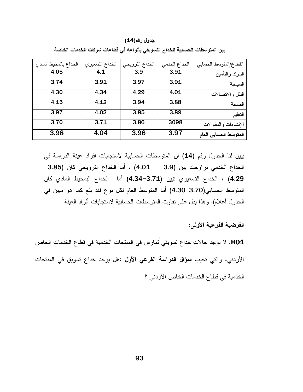جدول رقم(14)

| القطاع/المتوسط الحسابي | الخداع الخدمي | الخداع الترويجي | الخداع التسعيري | الخداع بالمحيط المادي |
|------------------------|---------------|-----------------|-----------------|-----------------------|
| البنوك والتأمين        | 3.91          | 3.9             | 4.1             | 4.05                  |
| السياحة                | 3.91          | 3.97            | 3.91            | 3.74                  |
| النقل والاتصالات       | 4.01          | 4.29            | 4.34            | 4.30                  |
| الصحة                  | 3.88          | 3.94            | 4.12            | 4.15                  |
| التعليم                | 3.89          | 3.85            | 4.02            | 3.97                  |
| الإنشاءات والمقاولات   | 3098          | 3.86            | 3.71            | 3.70                  |
| المتوسط الحسابي العام  | 3.97          | 3.96            | 4.04            | 3.98                  |

بين المتوسطات الحسابية للخداع التسويقي بأنواعه في قطاعات شركات الخدمات الخاصة

يبين لنا الجدول رقم (14) أن المتوسطات الحسابية لاستجابات أفراد عينة الدراسة في الخداع الخدمي تراوحت بين (3.9 - 4.01) ، أما الخداع الترويجي كان (3.85-4.29) ، الخداع التسعيري تبين (3.71–4.34) أما الخداع البمحيط المادي كان المتوسط الحسابي(3.70–4.30) أما المتوسط العام لكل نوع فقد بلغ كما هو مبين في الجدول أعلاه). وهذا يدل على تفاوت المتوسطات الحسابية لاستجابات أفراد العينة

الفرضية الفرعية الأولى:

HO1. لا يوجد حالات خداع تسويقي ُتمارس في المنتجات الخدمية في قطاع الخدمات الخاص الأردني، والتي تجيب سؤال الدراسة الفرعي الأول :هل يوجد خداع تسويق في المنتجات الخدمية في قطاع الخدمات الخاص الأردني ؟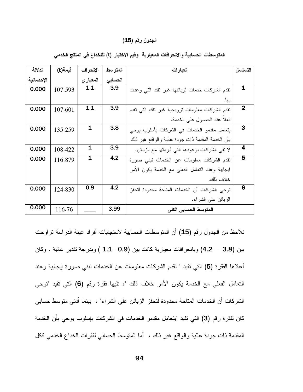#### الجدول رقم (15)

| الدلالة   | فيمة(t) | الإنحراف     | المتوسط | العبارات                                           | التسلسل                 |
|-----------|---------|--------------|---------|----------------------------------------------------|-------------------------|
| الإحصائية |         | المعيار ي    | الحسابى |                                                    |                         |
| 0.000     | 107.593 | 1.1          | 3.9     | نقدم الشركات خدمات لزبائنها غير نلك التبى وعدت     | $\mathbf 1$             |
|           |         |              |         | بها.                                               |                         |
| 0.000     | 107.601 | 1.1          | 3.9     | نقدم الشركات معلومات نرويجية غير نلك النبى نقدم    | $\mathbf 2$             |
|           |         |              |         | فعلا عند الحصول على الخدمة.                        |                         |
| 0.000     | 135.259 | $\mathbf{1}$ | 3.8     | يتعامل مقدمو الخدمات في الشركات بأسلوب بوحي        | 3                       |
|           |         |              |         | بأن الخدمة المقدمة ذات جودة عالية والواقع غير ذلك  |                         |
| 0.000     | 108.422 | 1            | 3.9     | لا نفي الشركات بوعودها التـي أبرمتها مـع الزبـائن. | $\overline{\mathbf{4}}$ |
| 0.000     | 116.879 | $\mathbf{1}$ | 4.2     | تقدم الشركات معلومات عن الخدمات نبنى صورة          | 5                       |
|           |         |              |         | ليجابية وعند النعامل الفعلى مع الخدمة يكون الأمر   |                         |
|           |         |              |         | خلاف ذلك.                                          |                         |
| 0.000     | 124.830 | 0.9          | 4.2     | توحى الشركات أن الخدمات المتاحة محدودة لتحفز       | 6                       |
|           |         |              |         | الزبائن على الشراء.                                |                         |
| 0.000     | 116.76  |              | 3.99    | المتوسط الحسابي الكلي                              |                         |

المتوسطات الحسابية والانحرافات المعيارية وقيم الاختبار (t) لللخداع في المنتج الخدمي

نلاحظ من الجدول رقم (15) أن المتوسطات الحسابية لاستجابات أفراد عينة الدراسة تراوحت بين (3.8 - 4.2) وبانحر افات معيارية كانت بين (0.9 -1.1 ) وبدرجة نقدير عالية ، وكان أعلاها الفقر ة (5) التي تفيد " تقدم الشركات معلومات عن الخدمات تبني صور ة إيجابية وعند التعامل الفعلي مع الخدمة يكون الأمر خلاف ذلك "، تليها فقرة رقم (6) التي تفيد "توحي الشركات أن الخدمات المتاحة محدودة لتحفز الزبائن على الشراء" ، ببنما أدنى متوسط حسابي كان لفقرة رقم (3) التي تفيد "يتعامل مقدمو الخدمات في الشركات بإسلوب يوحى بأن الخدمة المقدمة ذات جودة عالية والواقع غير ذلك ، أما المتوسط الحسابي لفقرات الخداع الخدمي ككل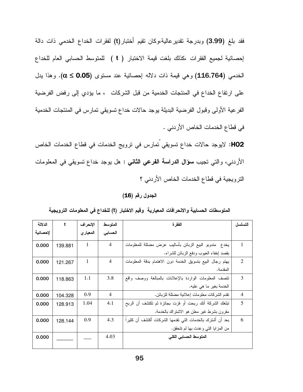فقد بلغ (3.99) وبدرجة تقدير عالية،وكان تقيم أختبار(t) لفقرات الخداع الخدمي ذات دالة إحصائية لجميع الفقرات ،كذلك بلغت قيمة الاختبار ( t ) للمتوسط الحسابي العام للخداع الخدمي (116.764) وهي قيمة ذات دلاله إحصائية عند مستوى (0.05  $\alpha \leq 0.05$ . وهذا يدل على ارتفاع الخداع في المنتجات الخدمية من قبل الشركات ، ما يؤدي إلى رفض الفرضية الفرعية الأولى وقبول الفرضية البديلة يوجد حالات خداع تسويقي تمارس في المنتجات الخدمية في قطاع الخدمات الخاص الأردني .

HO2: لايوجد حالات خداع تسويقي تمارس في ترويج الخدمات في قطاع الخدمات الخاص الأردني، والتي تجيب **سؤال الدراسة الفرعي الثاني** : هل يوجد خداع تسويقي في المعلومات الترويجية في قطاع الخدمات الخاص الأردني ؟

الجدول رقم (16)

| الدلالة  | t       | الإنحراف     | المتوسط        | الفقر ة                                                   | التسلسل        |
|----------|---------|--------------|----------------|-----------------------------------------------------------|----------------|
| لإحصائية |         | المعيار ي    | الحسابى        |                                                           |                |
| 0.000    | 139.881 | 1            | $\overline{4}$ | يخدع  مندوبو  البيع الزبائن بأساليب عرض مضللة للمعلومات   | $\overline{1}$ |
|          |         |              |                | بقصد إخفاء العيوب ودفع الزبائن للشراء.                    |                |
| 0.000    | 121.267 | $\mathbf{1}$ | $\overline{4}$ | يهتم رجال البيع بتسويق الخدمة دون الاهتمام بدقة المعلومات | $\mathfrak{D}$ |
|          |         |              |                | المقدمة.                                                  |                |
| 0.000    | 118.863 | 1.1          | 3.8            | نتصف المعلومات الواردة بالإعلانات بالمبالغة ووصف واقع     | 3              |
|          |         |              |                | الخدمة بغير ما هي عليه.                                   |                |
| 0.000    | 104.328 | 0.9          | $\overline{4}$ | نقدم الشركات معلومات إعلانية مضللة للزبائن.               | $\overline{4}$ |
| 0.000    | 128.913 | 1.04         | 4.1            | تبلغك الشركة أنك ربحت أو فزت بجائزة ثم تكتشف أن الربح     | 5              |
|          |         |              |                | مقرون بشرط غير معلن هو الاشتراك بالخدمة.                  |                |
| 0.000    | 128.144 | 0.9          | 4.3            | بعد أن أشترك بالخدمات التي تقدمها الشركات أكتشف أن كثيراً | 6              |
|          |         |              |                | من المزايا التي وعدت بها لم نتحقق.                        |                |
| 0.000    |         |              | 4.03           | المتوسط الحسابي الكلى                                     |                |

المتوسطات الحسابية والانحرافات المعيارية وقيم الاختبار (t) للخداع في المعلومات الترويجية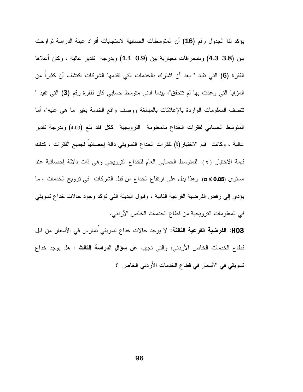يؤكد لنا الجدول رقم (16) أن المتوسطات الحسابية لاستجابات أفراد عينة الدراسة تراوحت بين (3.8–4.3) وبانحرافات معيارية بين (0.9–1.1) وبدرجة تقدير عالية ، وكان أعلاها الفقر ة (6) التي تفيد " بعد أن اشترك بالخدمات التي تقدمها الشركات اكتشف أن كثيراً من المزايا التي وعدت بها لم نتحقق"، بينما أدنى متوسط حسابي كان لفقرة رقم (3) التي نفيد " نتصف المعلومات الواردة بالإعلانات بالمبالغة ووصف واقع الخدمة بغير ما هي عليه"، أما المتوسط الحسابي لفقرات الخداع بالمعلومة النزويجية ككل فقد بلغ (4.03) وبدرجة نقدير عالية ، وكانت قيم الاختبار (t) لفقرات الخداع التسويقي دالة إحصائيا لجميع الفقرات ، كذلك قيمة الاختبار (t ) للمتوسط الحسابي العام للخداع الترويجي وهي ذات دلالة إحصائية عند مستوى (0.05≥ α). وهذا يدل على ارتفاع الخداع من قبل الشركات في ترويج الخدمات ، ما بؤدي إلى رفض الفرضية الفرعية الثانية ، وقبول البديلة التي نؤكد وجود حالات خداع نسويقي في المعلومات النزويجية من قطاع الخدمات الخاص الأردنبي.

HO3: الفرضية الفرعية الثالثة: لا يوجد حالات خداع تسويقي تمارس في الأسعار من قبل قطاع الخدمات الخاص الأردني، والتي تجيب عن **سؤال الدراسة الثالث** : هل يوجد خداع تسويقي في الأسعار في قطاع الخدمات الأردني الخاص ؟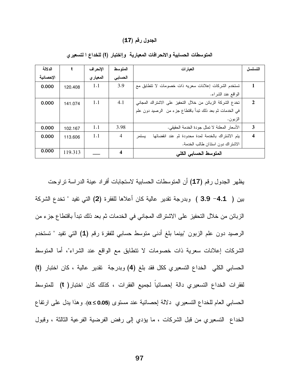#### الجدول رقم (17)

| الدلالة   | t       | الإنحراف  | المتوسط        | العبار ات                                                 | التسلسل      |
|-----------|---------|-----------|----------------|-----------------------------------------------------------|--------------|
| الإحصائية |         | المعيار ي | الحسابى        |                                                           |              |
| 0.000     | 120.408 | 1.1       | 3.9            | تستخدم الشركات إعلانات سعريه ذات خصومات لا نتطابق مع      |              |
|           |         |           |                | الواقع عند الشراء.                                        |              |
| 0.000     | 141.074 | 1.1       | 4.1            | تخدع الشركة الزبائن من خلال التحفيز على الاشتراك المجاني  | $\mathbf{2}$ |
|           |         |           |                | في الخدمات ثم بعد ذلك نبدأ باقتطاع جزء من الرصيد دون علم  |              |
|           |         |           |                | الزبون.                                                   |              |
| 0.000     | 102.167 | 1.1       | 3.98           | الأسعار المعلنة لا تمثل جودة الخدمة الحقيقي.              | 3            |
| 0.000     | 113.606 | 1.1       | $\overline{4}$ | يتم الاشتراك بالخدمة لمدة محدودة ثم عند انقضائها<br>يستمر | 4            |
|           |         |           |                | الاشتراك دون استذان طالب الخدمة.                          |              |
| 0.000     | 119.313 |           | 4              | المتوسط الحسابي الكلي                                     |              |

المتوسطات الحسابية والانحرافات المعيارية وإاختبار (t) للخداع ا لتسعير ي

يظهر الجدول رقم (17) أن المتوسطات الحسابية لاستجابات أفراد عينة الدراسة نراوحت بين ( 4.1− 3.9 ) وبدرجة تقدير عالية كان أعلاها للفقرة (2) التي تفيد " تخدع الشركة الزبائن من خلال التحفيز على الاشتراك المجاني في الخدمات ثم بعد ذلك نبدأ باقتطاع جزء من الرصيد دون علم الزبون "بينما بلغ أدنى متوسط حسابي للفقرة رقم (1) التي تفيد " تستخدم الشركات إعلانات سعرية ذات خصومات لا نتطابق مع الواقع عند الشراء"، أما المتوسط الحسابي الكلي الخداع التسعيري ككل فقد بلغ (4) وبدرجة تقدير عالية ، كان اختبار (t) لفقرات الخداع التسعيري دالة إحصائياً لجميع الفقرات ، كذلك كان اختبار( t) للمتوسط الحسابي العام للخداع التسعيري دلالة إحصائية عند مستوى (0.05≥α). وهذا يدل على ارتفاع الخداع التسعيري من قبل الشركات ، ما يؤدي إلى رفض الفرضية الفرعية الثالثة ، وقبول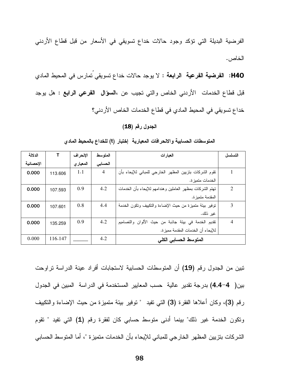الفرضية البديلة التي نؤكد وجود حالات خداع نسويقي في الأسعار من قبل قطاع الأردني الخاص.

H40: الفرضية الفرعية الرابعة : لا يوجد حالات خداع تسويقي نمارس في المحيط المادي قبل قطاع الخدمات الأردني الخاص والتي تجيب عن ،السؤال الفرعي الرابع : هل يوجد خداع تسويقي في المحيط المادي في قطاع الخدمات الخاص الأردني؟

### الجدول رقم (18)

| الدلالة   |         | الإنحراف  | المتوسط        | العبارات                                                 | التسلسل |
|-----------|---------|-----------|----------------|----------------------------------------------------------|---------|
| الإحصائية |         | المعيار ي | الحسابى        |                                                          |         |
| 0.000     | 113.606 | 1.1       | $\overline{4}$ | نقوم الشركات بتزيين المظهر الخارجي للمباني للإيحاء بأن   | 1       |
|           |         |           |                | الخدمات متميز ة.                                         |         |
| 0.000     | 107.593 | 0.9       | 4.2            | نهتم الشركات بمظهر العاملين وهندامهم للإيحاء بأن الخدمات | 2       |
|           |         |           |                | المقدمة متميز ة.                                         |         |
| 0.000     | 107.601 | 0.8       | 4.4            | توفير بيئة متميزة من حيث الإضاءة والتكييف وتكون الخدمة   | 3       |
|           |         |           |                | غير ذلك.                                                 |         |
| 0.000     | 135.259 | 0.9       | 4.2            | نقديم الخدمة في بيئة جاذبة من حيث الألوان والتصاميم      | 4       |
|           |         |           |                | للإيحاء أن الخدمات المقدمة مميز ة.                       |         |
| 0.000     | 116.147 |           | 4.2            | المتوسط الحسابي الكلي                                    |         |

المتوسطات الحسابية والانحرافات المعيارية إختبار (t) للخداع بالمحيط المادى

تبين من الجدول رقم (19) أن المتوسطات الحسابية لاستجابات أفراد عينة الدراسة تراوحت بين( 4-4.4) بدرجة تقدير عالية حسب المعايير المستخدمة في الدراسة المبين في الجدول رقم (3)، وكان أعلاها الفقرة (3) التي تفيد " توفير بيئة متميزة من حيث الإضاءة والتكييف ونكون الخدمة غير ذلك" بينما أدنى منوسط حسابي كان لفقرة رقم (1) التي تفيد " نقوم الشركات بتزيين المظهر الخارجي للمباني للإيحاء بأن الخدمات متميزة "، أما المتوسط الحسابي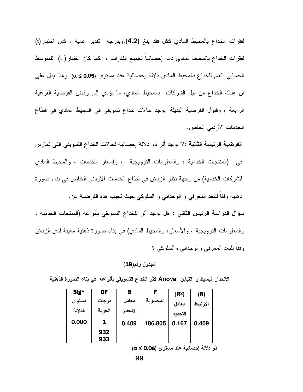لفقرات الخداع بالمحيط المادي ككل فقد بلغ (4.2).وبدرجة تقدير عالية ، كان اختبار(t) لفقرات الخداع بالمحيط المادي دالة إحصائيا لجميع الفقرات ، كما كان اختبار ( t) للمتوسط الحسابي العام للخداع بالمحيط المادي دلالة إحصائية عند مستوى (α≤0.05). وهذا يدل على أن هناك الخداع من قبل الشركات بالمحيط المادي، ما يؤدي إلى رفض الفرضية الفرعية الرابعة ، وقبول الفرضية البديلة ايوجد حالات خداع نسويقى في المحيط المادي في قطاع الخدمات الأردني الخاص.

ا**لفرضية الرئيسة الثانية** :لا يوجد أثر ذو دلالة إحصائية لحالات الخداع التسويقي التي تمارس في (المنتجات الخدمية ، والمعلومات النرويجية ، وأسعار الخدمات ، والمحيط المادي للشركات الخدمية) من وجهة نظر الزبائن في قطاع الخدمات الأردني الخاص في بناء صورة ذهنية وفقا للبعد المعرفي و الوجداني و السلوكي حيث نجيب هذه الفرضية عن. سوّال الدراسة الرئيس الثاني : هل يوجد أثر للخداع النسويقي بأنواعه (المنتجات الخدمية ، والمعلومات النزويجية ، والأسعار، والمحيط المادي) في بناء صورة ذهنية معينة لدى الزبائن

وفقا للبعد المعرفي والوجداني والسلوكي ؟

الانحدار البسيط و االتباين Anova لأثر الخداع التسويقي بأنواعه في بناء الصورة الذهنية

| Sig*    | DF     | В        |          | (R <sup>2</sup> ) | (R)      |
|---------|--------|----------|----------|-------------------|----------|
| مستوى   | درجات  | معامل    | المحسوبة | معامل             | الارتباط |
| الدلالة | الحرية | الانحدار |          | التحدبد           |          |
| 0.000   | 1      | 0.409    | 186.805  | 0.167             | 0.409    |
|         | 932    |          |          |                   |          |
|         | 933    |          |          |                   |          |

 $\alpha \leq 0.05$ ذو دلالة إحصائية عند مستوى (0.05 $\alpha \leq$ 

الجدول رقم(19)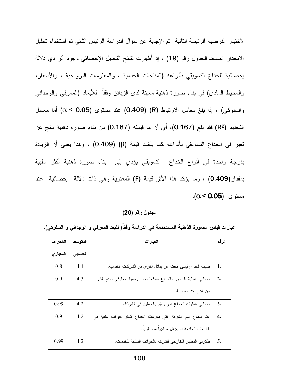لاختبار الفرضية الرئيسة الثانية ثم الإجابة عن سؤال الدراسة الرئيس الثاني تم استخدام تحليل الانحدار البسيط الجدول رقم (19) ، إذ أظهرت نتائج التحليل الإحصائي وجود أثر ذي دلالة إحصائية للخداع النسويقي بأنواعه (المنتجات الخدمية ، والمعلومات النرويجية ، والأسعار، والمحيط المادي) في بناء صورة ذهنية معينة لدى الزبائن وفقا للابعاد (المعرفي والوجداني والسلوكي) ، إذا بلغ معامل الارتباط (R) (0.409) عند مستوى (0.05  $\alpha \leq \alpha \leq \alpha$ ) أما معامل التحديد (R2) فقد بلغ (0.167)، أي أن ما قيمته (0.167) من بناء صورة ذهنية ناتج عن تغير في الخداع التسويقي بأنواعه كما بلغت قيمة (β) (0.409) ، وهذا يعنى أن الزيادة بدرجة واحدة في أنواع الخداع التسويقي يؤدي إلى بناء صورة ذهنية أكثر سلبية بمقدار(0.409) ، وما يؤكد هذا الأثر قيمة (F) المعنوية وهي ذات دلالة إحصائية عند  $\alpha \leq 0.05$ ). مستوى

الجدول رقم (20)

عبار ات قياس الصور ة الذهنية المستخدمة في الدر اسة وفقا( للبعد المعرفي و الوجداني و السلوكي).

| الانحراف  | المتو سط | العبارات                                                        | الرقم              |
|-----------|----------|-----------------------------------------------------------------|--------------------|
| المعيار ي | الحسابى  |                                                                 |                    |
| 0.8       | 4.4      | بسبب الخداع فإنني أبحث عن بدائل أخر ى من الشركات الخدمية.       | 1.                 |
| 0.9       | 4.3      | تجعلني عملية الشعور بالخداع مندفعا نحو نوصية معارفي بعدم الشراء | 2.                 |
|           |          | من الشركات الخادعة.                                             |                    |
| 0.99      | 4.2      | نجعلني عمليات الخداع غير وائق بالعاملين في الشركة.              | 3.                 |
| 0.9       | 4.2      | عند سماع اسم الشركة التي مارست الخداع أتذكر جوانب سلبية في      | $\boldsymbol{4}$ . |
|           |          | الخدمات المقدمة ما يجعل مزاجيا مضطربا.                          |                    |
| 0.99      | 4.2      | يذكرني المظهر الخارجي للشركة بالجوانب السلبية للخدمات.          | 5.                 |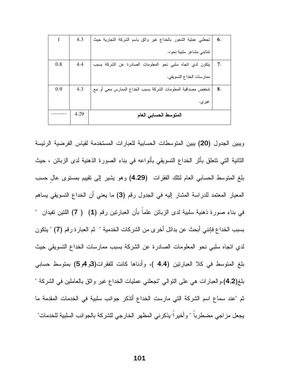|     | 4.3  | نجعلني عملية الشعور بالخداع غير واثق باسم الشركة النجارية حيث | 6. |
|-----|------|---------------------------------------------------------------|----|
|     |      | نتنابني مشاعر سلبية نحوه.                                     |    |
| 0.8 | 4.4  | يتكون لدي اتجاه سلبي نحو المعلومات الصادرة عن الشركة بسبب     | 7. |
|     |      | ممارسات الخداع التسويقي.                                      |    |
| 0.9 | 4.3  | تتخفض مصداقية المعلومات الشركة بسبب الخداع الممارس معى أو مع  | 8. |
|     |      | غير ي.                                                        |    |
|     | 4.29 | المتوسط الحسابي العام                                         |    |

ويبين الجدول (20) يبين المنوسطات الحسابية للعبارات المستخدمة لقياس الفرضية الرئيسة الثانية التي نتعلق بأثر الخداع التسويقي بأنواعه في بناء الصورة الذهنية لدى الزبائن ، حيث بلغ المنوسط الحسابي العام لنلك الفقرات (4.29) وهو يشير إلى نقييم بمستوى عالٍ حسب المعيار المعتمد للدراسة المشار إليه في الجدول رقم (3) ما يعني أن الخداع التسويقي يساهم في بناء صورة ذهنية سلبية لدى الزبائن علماً بأن العبارتين رقم **(1) ( 7)** اللتين تفيدان " بسبب الخداع فإنني أبحث عن بدائل أخرى من الشركات الخدمية " ثم العبار ة رقم (7) " يتكون لدي اتجاه سلبي نحو المعلومات الصادرة عن الشركة بسبب ممارسات الخداع التسويقي حيث بلغ المتوسط في كلا العبارتين (4.4 )، وأدناها كانت للفقرات(3و4و5) بمتوسط حسابي بلغ(4.2).والعبارات هي على النوالي "تجعلني عمليات الخداع غير واثق بالعاملين في الشركة " ثم "عند سماع اسم الشركة التي مارست الخداع أتذكر جوانب سلبية في الخدمات المقدمة ما يجعل مز اجي مضطرباً " و أخير اً" يذكرني المظهر الخارجي للشركة بالجو انب السلبية للخدمات"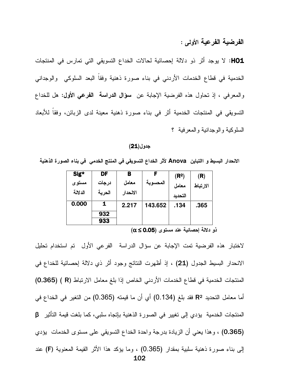الفرضية الفرعية الأولى :

HO1: لا يوجد أثر ذو دلالة إحصائية لحالات الخداع التسويقي التي تمارس في المنتجات الخدمية في قطاع الخدمات الأردني في بناء صورة ذهنية وفقا البعد السلوكي والوجداني والمعرفي ، إذ تحاول هذه الفرضية الإجابة عن سؤال الدراسة الفرعى الأول: هل للخداع التسويقي في المنتجات الخدمية أثر في بناء صورة ذهنية معينة لدى الزبائن، وفقا للأبعاد السلوكية والوجدانية والمعرفية ؟

#### جدول(21)

الانحدار البسيط و االتباين Anova لأثر الخداع التسويقي في المنتج الخدمي في بناء الصورة الذهنية

| Sig*    | DF     | В        |          | (R <sup>2</sup> ) | (R)      |
|---------|--------|----------|----------|-------------------|----------|
| مستوى   | درجات  | معامل    | المحسوبة | معامل             | الارتباط |
| الدلالة | الحرية | الانحدار |          | التحديد           |          |
| 0.000   | 1      | 2.217    | 143.652  | .134              | .365     |
|         | 932    |          |          |                   |          |
|         | 933    |          |          |                   |          |

 $(\alpha \leq 0.05)$  ذو دلالة إحصائية عند مستوى

لاختبار هذه الفرضية تمت الإجابة عن سؤال الدراسة الفرعي الأول تم استخدام تحليل الانحدار البسيط الجدول (21) ، إذ أظهرت النتائج وجود أثر ذي دلالة إحصائية للخداع في المنتجات الخدمية في قطاع الخدمات الأردني الخاص إذا بلغ معامل الارتباط (R ) (0.365) أما معامل التحديد R<sup>2</sup> فقد بلغ (0.134) أي أن ما قيمته (0.365) من التغير في الخداع في المنتجات الخدمية يؤدي إلى نغيير في الصورة الذهنية بإتجاه سلبي، كما بلغت قيمة التأثير β (0.365) ، وهذا يعني أن الزيادة بدرجة واحدة الخداع النسويقي على مستوى الخدمات يؤدي إلى بناء صورة ذهنية سلبية بمقدار (0.365) ، وما يؤكد هذا الأثر القيمة المعنوية (F) عند 102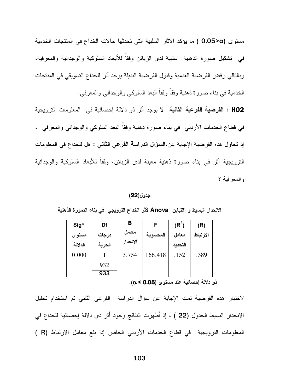مستوى (0.05>α ) ما يؤكد الآثار السلبية التي تحدثها حالات الخداع في المنتجات الخدمية في تشكيل صورة الذهنية سلبية لدى الزبائن وفقاً للأبعاد السلوكية والوجدانية والمعرفية، وبالتالي رفض الفرضية العدمية وقبول الفرضية البديلة يوجد أثر للخداع التسويقي في المنتجات الخدمية في بناء صورة ذهنية وفقا وفقا البعد السلوكي والوجداني والمعرفي.

HO2 : الفرضية الفرعية الثانية لا يوجد أثر ذو دلالة إحصائية في المعلومات الترويجية في قطاع الخدمات الأردني في بناء صورة ذهنية وفقا البعد السلوكي والوجداني والمعرفي ، إذ تحاول هذه الفرضية الإجابة عن،ا**لسؤال الدراسة الفرعى الثاني :** هل للخداع في المعلومات الترويجية أثر في بناء صورة ذهنية معينة لدى الزبائن، وفقا للأبعاد السلوكية والوجدانية والمعرفية ؟

جدول(22)

الانحدار البسيط و االتباين Anova لأثر الخداع الترويجي في بناء الصورة الذهنية

| $Sig*$  | Df     | В        | F        | $(R^2)$ | (R)      |
|---------|--------|----------|----------|---------|----------|
| مستوى   | درجات  | معامل    | المحسوبة | معامل   | الارتباط |
| الدلالة | الحرية | الانحدار |          | التحديد |          |
| 0.000   |        | 3.754    | 166.418  | .152    | .389     |
|         | 932    |          |          |         |          |
|         | 933    |          |          |         |          |

 $\cdot(\alpha \leq 0.05)$  ذو دلالة إحصائية عند مستوى (0.05

لاختبار هذه الفرضية تمت الإجابة عن سؤال الدراسة الفرعي الثاني تم استخدام تحليل الانحدار البسيط الجدول (22 ) ، إذ أظهرت النتائج وجود أثر ذي دلالة إحصائية للخداع في المعلومات الترويجية في قطاع الخدمات الأردني الخاص إذا بلغ معامل الارتباط (R)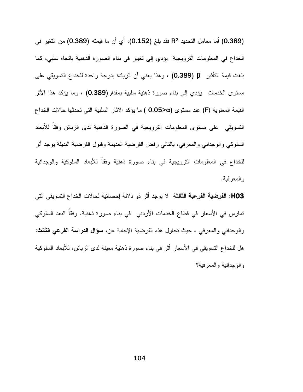(0.389) أما معامل التحديد R<sup>2</sup> فقد بلغ (0.152)، أي أن ما قيمته (0.389) من التغير في الخداع في المعلومات الترويجية يؤدي إلى نغيير في بناء الصورة الذهنية باتجاه سلبي، كما بلغت فيمة التأثير β (0.389) ، وهذا يعني أن الزيادة بدرجة واحدة للخداع التسويقي على مستوى الخدمات يؤدي إلى بناء صورة ذهنية سلبية بمقدار(0.389) ، وما يؤكد هذا الأثر القيمة المعنوية (F) عند مستوى (0.05>α ) ما يؤكد الآثار السلبية التي تحدثها حالات الخداع النسويقي ً على مستوى المعلومات الترويجية في الصورة الذهنية لدى الزبائن وفقاً للأبعاد السلوكي والوجداني والمعرفي، بالنالي رفض الفرضية العديمة وقبول الفرضية البديلة بوجد أثر للخداع في المعلومات الترويجية في بناء صورة ذهنية وفقاً للأبعاد السلوكية والوجدانية و المعرفية.

HO3: الفرضية الفرعية الثالثة لا يوجد أثر ذو دلالة إحصائية لحالات الخداع التسويقي التي تمارس في الأسعار في قطاع الخدمات الأردنبي في بناء صورة ذهنية. وفقا البعد السلوكي والوجداني والمعرفي ، حيث تحاول هذه الفرضية الإجابة عن، **سؤال الدراسة الفرعي الثالث:** هل للخداع النسويقي في الأسعار أثر في بناء صورة ذهنية معينة لدى الزبائن، للأبعاد السلوكية والوجدانية والمعرفية؟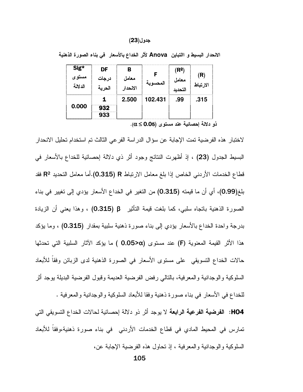#### جدول(23)

| الاحدار البسيط و االتباين Anova لأثر الخداع بالأسعار في بناء الصورة الذهنية |  |
|-----------------------------------------------------------------------------|--|

| Sig*<br>الدلالة | DF   | R<br>الانحدار | ىمجسو ب | $^{\prime}$ R <sup>2</sup> .<br>معامر<br>لتحديد | الارتباط |
|-----------------|------|---------------|---------|-------------------------------------------------|----------|
| 0.000           | <br> | 2.500         | 102.431 | .99                                             | .315     |

ذو دلالة إحصائية عند مستوى (0.05 $\alpha \leq 0.0$ .

لاختبار هذه الفرضية تمت الإجابة عن سؤال الدراسة الفرعي الثالث تم استخدام تحليل الانحدار البسيط الجدول (23) ، إذ أظهرت النتائج وجود أثَّر ذي دلالة إحصائية للخداع بالأسعار في قطاع الخدمات الأردنبي الخاص إذا بلغ معامل الارتباط R (0.315).أما معامل التحديد Rº فقد بلغ(0.99)، أي أن ما قيمته (0.315) من التغير في الخداع الأسعار يؤدي إلى تغيير في بناء الصورة الذهنية باتجاه سلبي، كما بلغت قيمة التأثير β (0.315) ، وهذا يعني أن الزيادة بدرجة واحدة الخداع بالأسعار يؤدي إلى بناء صورة ذهنية سلبية بمقدار (0.315) ، وما يؤكد هذا الأثر القيمة المعنوية (F) عند مستوى (O.O5>α ) ما يؤكد الآثار السلبية التي تحدثها حالات الخداع النسويقي على مستوى الأسعار في الصورة الذهنية لدى الزبائن وفقا للأبعاد السلوكية والوجدانية والمعرفية، بالتالي رفض الفرضية العديمة وقبول الفرضية البديلة يوجد أثر للخداع في الأسعار في بناء صورة ذهنية وفقا للأبعاد السلوكية والوجدانية والمعرفية .

HO4: الفرضية الفرعية الرابعة لا يوجد أثر ذو دلالة إحصائية لحالات الخداع التسويقي التي تمارس في المحيط المادي في قطاع الخدمات الأردني ۖ في بناء صورة ذهنية،وفقا للأبعاد السلوكية والوجدانية والمعرفية ، إذ تحاول هذه الفرضية الإجابة عن،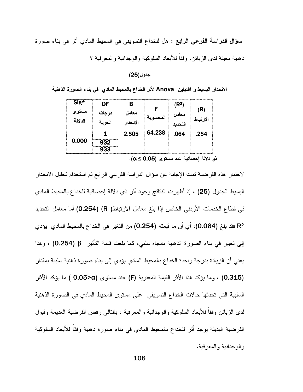**سؤال الدراسة الفرعي الرابع :** هل للخداع النسويقي في المحيط المادي أثر في بناء صورة ذهنية معبنة لدى الزبائن، وفقاً للأبعاد السلوكية والوجدانية والمعرفية ؟

#### جدول(25)

الانحدار البسيط و االتباين Anova لأثر الخداع بالمحيط المادي فمي بناء الصورة الذهنية

| Sig*    | DF    |          |          | (R <sup>2</sup> ) |          |
|---------|-------|----------|----------|-------------------|----------|
| مسٽو ي  | درجات | معامل    |          | معامل             | 'R)      |
| الدلالة |       | الانحدار | المحسوبا | التحديد           | الارتباط |
|         |       | 2.505    | 64.238   | .064              | .254     |
| 0.000   | 12    |          |          |                   |          |
|         | 933   |          |          |                   |          |

 $\cdot$ ذو دلالة إحصائية عند مستوى (0.05 $\alpha \leq 0.05$ 

لاختبار هذه الفرضية تمت الإجابة عن سؤال الدراسة الفر عي الرابع تم استخدام تحليل الانحدار البسيط الجدول (25) ، إذ أظهرت النتائج وجود أثر ذي دلالة إحصائية للخداع بالمحيط المادي في قطاع الخدمات الأردني الخاص إذا بلغ معامل الارتباط( R) (0.254).أما معامل التحديد R2 فقد بلغ (0.064)، أي أن ما قيمته (0.254) من التغير في الخداع بالمحيط المادي يؤدي الِّي تغيير في بناء الصورة الذهنية باتجاه سلبي، كما بلغت قيمة التأثير β (0.254) ، وهذا يعني أن الزيادة بدرجة واحدة الخداع بالمحيط المادي يؤدي إلى بناء صورة ذهنية سلبية بمقدار (0.315) ، وما يؤكد هذا الأثر القيمة المعنوية (F) عند مستوى (0.05>α ) ما يؤكد الآثار ) السلبية التي تحدثها حالات الخداع التسويقي على مستوى المحيط المادى في الصورة الذهنية لدى الزبائن وفقا للأبعاد السلوكية والوجدانية والمعرفية ، بالنالبي رفض الفرضية العديمة وقبول الفرضية البديلة بوجد أثر للخداع بالمحيط المادي في بناء صورة ذهنية وفقاً للأبعاد السلوكية و الو جدانية و المعر فية.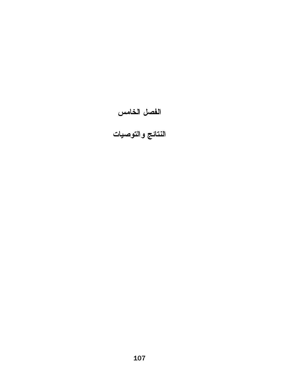# الفصل الخامس<br>النتائج والتوصيات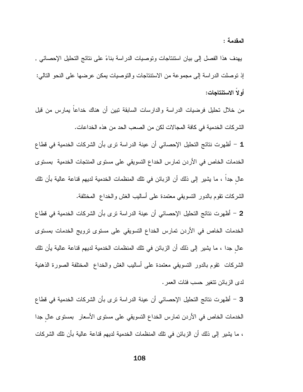المقدمة :

يهدف هذا الفصل إلى بيان استنتاجات وتوصيات الدراسة بناءً على نتائج التحليل الإحصائي , إذ نوصلت الدراسة إلى مجموعة من الاستنتاجات والتوصيات بمكن عرضها على النحو التالي: أو لا الاستنتاجات:

من خلال نحليل فرضيات الدراسة والدارسات السابقة نبين أن هناك خداعاً يمارس من قبل الشركات الخدمية في كافة المجالات لكن من الصعب الحد من هذه الخداعات.

1 – أظهرت نتائج التحليل الإحصائي أن عينة الدراسة نرى بأن الشركات الخدمية في قطاع الخدمات الخاص في الأردن تمارس الخداع التسويقي على مستوى المنتجات الخدمية بمستوى عال جدا ، ما يشير إلى ذلك أن الزبائن في نلك المنظمات الخدمية لديهم قناعة عالية بأن نلك الشركات نقوم بالدور التسويقي معتمدة علىي أساليب الغش والخداع المختلفة.

2 – أظهرت نتائج التحليل الإحصائي أن عينة الدراسة نرى بأن الشركات الخدمية في قطاع الخدمات الخاص في الأردن تمارس الخداع التسويقي على مستوى نرويج الخدمات بمستوى عال جدا ، ما يشير إلى ذلك أن الزبائن في تلك المنظمات الخدمية لديهم قناعة عالية يأن تلك الشركات نقوم بالدور النسويقي معتمدة على أساليب الغش والخداع المختلفة الصورة الذهنية لدى الزبائن تتغير حسب فئات العمر .

3 – أظهرت نتائج التحليل الإحصائي أن عينة الدراسة ترى بأن الشركات الخدمية في قطاع الخدمات الخاص في الأردن تمارس الخداع التسويقي على مستوى الأسعار بمستوى عال جدا ، ما يشير إلى ذلك أن الزبائن في تلك المنظمات الخدمية لديهم قناعة عالية بأن تلك الشركات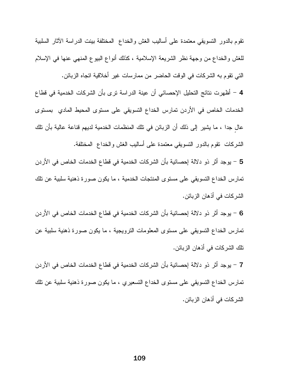نقوم بالدور النسويقي معتمدة على أساليب الغش والخداع المختلفة بينت الدراسة الأثار السلبية للغش والخداع من وجهة نظر الشريعة الإسلامية ، كذلك أنواع البيوع المنهى عنها في الإسلام النبي نقوم به الشركات في الوقت الحاضر من ممارسات غير أخلاقية انجاه الزبائن.

4 – أظهرت نتائج التحليل الإحصائي أن عينة الدراسة ترى بأن الشركات الخدمية في قطاع الخدمات الخاص في الأردن تمارس الخداع التسويقي على مستوى المحيط المادي بمستوى عال جدا ، ما يشير إلى ذلك أن الزبائن في نلك المنظمات الخدمية لديهم قناعة عالية بأن نلك الشركات نقوم بالدور النسويقي معتمدة على أساليب الغش والخداع المختلفة.

5 – يوجد أثر ذو دلالة إحصائية بأن الشركات الخدمية في قطاع الخدمات الخاص في الأردن تمارس الخداع التسويقي على مستوى المنتجات الخدمية ، ما يكون صورة ذهنية سلبية عن تلك الشركات في أذهان الزبائن.

6 – يوجد أثر ذو دلالة إحصائية بأن الشركات الخدمية في قطاع الخدمات الخاص في الأردن تمارس الخداع التسويقي على مستوى المعلومات الترويجية ، ما يكون صورة ذهنية سلبية عن تلك الشركات في أذهان الزبائن.

7 – يوجد أثر ذو دلالة إحصائية بأن الشركات الخدمية في قطاع الخدمات الخاص في الأردن تمارس الخداع النسويقي على مستوى الخداع النسعيري ، ما يكون صورة ذهنية سلبية عن تلك الشركات في أذهان الزبائن.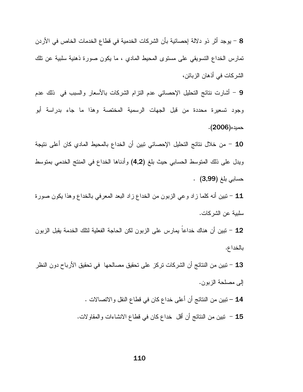8 – يوجد أثر ذو دلالة إحصائية بأن الشركات الخدمية في قطاع الخدمات الخاص في الأردن نمارس الخداع النسويقي على مستوى المحبط المادي ، ما يكون صورة ذهنية سلبية عن نلك الشركات في أذهان الزبائن،

9 – أشارت نتائج النحليل الإحصائي عدم النزام الشركات بالأسعار والسبب في ذلك عدم وجود تسعيرة محددة من قبل الجهات الرسمية المختصة وهذا ما جاء بدراسة أبو حميده(2006).

10 – من خلال نتائج التحليل الإحصائي نبين أن الخداع بالمحيط المادي كان أعلى نتيجة ويدل على ذلك المنوسط الحسابي حيث بلغ (4,2) وأدناها الخداع في المنتج الخدمي بمنوسط 

11 – نبين أنه كلما زاد وعي الزبون من الخداع زاد البعد المعرفي بالخداع وهذا يكون صورة سلبية عن الشركات.

12 – نبين أن هناك خداعا يمارس على الزبون لكن الحاجة الفعلية لنلك الخدمة يقبل الزبون بالخداع.

13 – تبين من النتائج أن الشركات تركز على تحقيق مصالحها في تحقيق الأرباح دون النظر إلى مصلحة الزبون.

> 14 – تبين من النتائج أن أعلى خداع كان في قطاع النقل والاتصالات . 15 – نبين من النتائج أن أقل خداع كان في قطاع الانشاءات والمقاولات.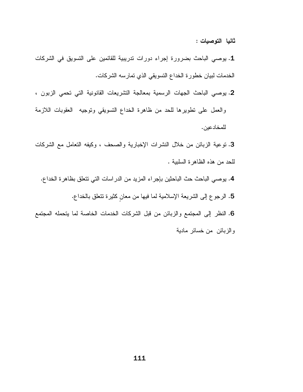ثانيا التوصيات :

1. يوصىي الباحث بضرورة إجراء دورات ندريبية للقائمين على التسويق في الشركات الخدمات لبيان خطورة الخداع التسويقي الذي تمارسه الشركات.

2. يوصبي الباحث الجهات الرسمية بمعالجة التشريعات القانونية التي تحمي الزبون ، والعمل على نطويرها للحد من ظاهرة الخداع النسويقى ونوجيه العقوبات اللازمة للمخادعين.

3. نوعية الزبائن من خلال النشرات الإخبارية والصحف ، وكيفه النعامل مع الشركات للحد من هذه الظاهر ة السلبية .

4. يوصىي الباحث حث الباحثين بإجراء المزيد من الدراسات التي تتعلق بظاهرة الخداع.

5. الرجوع إلى الشريعة الإسلامية لما فيها من معان كثيرة تتعلق بالخداع.

6. النظر إلى المجتمع والزبائن من قبل الشركات الخدمات الخاصة لما يتحمله المجتمع والزبائن من خسائر مادية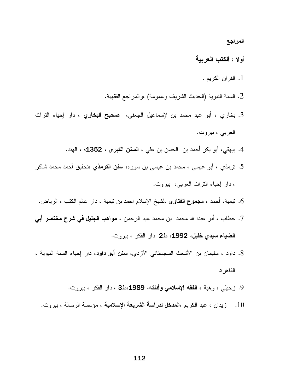المراجع

- أولا : الكتب العربية
	- 1. القران الكريم .
- 2. السنة النبوية (الحديث الشريف وعمومة) ،والمراجع الفقهية.
- 3. بخاري ، أبو عبد محمد بن لإسماعيل الجعفي، صحيح البخاري ، دار إحياء النراث العربي ، بيروت.
	- 4. بيهقي، أبو بكر أحمد بن الحسن بن علي ، **السنن الكبر ي ، 1352**ه ، الهند.
- 5. ترمذي ، أبو عيسى ، محمد بن عيسى بن سوره، **سنن الترمذي** ،تحقيق أحمد محمد شاكر ، دار إحياء النراث العربي، بيروت.
- 6. تيمية، أحمد ، **مجموع الفتاوى** ،لشيخ الإسلام احمد بن نيمية ، دار عالم الكتب ، الرياض.
- 7. حطاب ، أبو عبدا لله محمد بن محمد عبد الرحمن ، **مواهب الجليل في شرح مختصر أبي** الضياء سيدى خليل، 1992، ط2 دار الفكر ، بيروت.
- 8. داود ، سليمان بن الأشعث السجستاني الآزدي، **سنن أبو داود**، دار إحياء السنة النبوية ، القاهر ة.
	- 9. زحيلبي ، وهبة ، الفقه الإسلامي وأدلته، 1989،ط3 ، دار الفكر ، بيروت.
	- 10. زيدان ، عبد الكريم ،ا**لمدخل لدراسة الشريعة الإسلامية** ، مؤسسة الرسالة ، بيروت.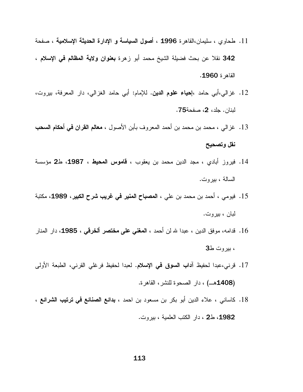- 11. طحاوي ، سليمان،القاهرة 1996 ، أصول السياسة و الإدارة الحديثة الإسلامية ، صفحة 342 نقلا عن بحث فضيلة الشيخ محمد أبو زهرة **بعنوان ولاية المظالم فمي الإسلام** ، القاهر ة **1960**.
- 12. غزالبي،أبي حامد ،إ**حياء علوم الدين.** للإمام: أبي حامد الغزالبي، دار المعرفة، بيروت، لبنان. جلد، 2، صفحة75.
- 13. غزالي ، محمد بن محمد بن أحمد المعروف بأبن الأصول ، **معالم القران في أحكام السحب** نقل وتصحيح
- 14. فيروز أبادي ، مجد الدين محمد بن يعقوب ، **قاموس المحيط ، 1987، ط2** مؤسسة السالة ، بيروت.
- 15. فيومي ، أحمد بن محمد بن علي ، ا**لمصباح المنير في غريب شرح الكبير ، 1989،** مكتبة لبان ، بیروت.
- 16. قدامه، موفق الدين ، عبدا لله لن أحمد ، المغني على مختصر ألخرقي ، 1985، دار المنار ، بیروت ط3
- 17. قرني،عبدا لحفيظ أ**داب السوق في الإسلام.** لعبدا لحفيظ فرغلي القرني، الطبعة الأولى (1408هـ) ، دار الصحوة للنشر، القاهرة.
- 18. كاساني ، علاء الدين أبو بكر بن مسعود بن احمد ، **بدائع الصنائع في ترتيب الشرائع** ، 1982، ط2 ، دار الكتب العلمية ، بيروت.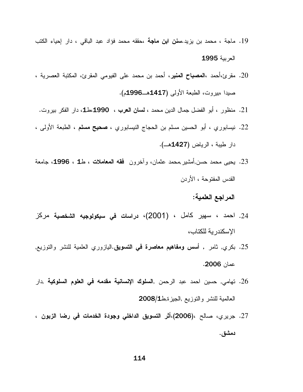- 19. ماجة ، محمد بن يزيد **سنن ابن ماجة** ،حققه محمد فؤاد عبد الباقي ، دار إحياء الكتب العربية 1995
- 20. مقرئ،أحمد ،ا**لمصباح المنير**، أحمد بن محمد على الفيومي المقرئ، المكتبة العصرية ، صيدا ،بيروت، الطبعة الأولى (1417هــ1996م).
- 21. منظور ، أبو الفضل جمال الدين محمد ، **لسان العرب ، 1990** مط1، دار الفكر بيروت.
- 22. نيسابوري ، أبو الحسين مسلم بن الحجاج النيسابوري ، **صحيح مسلم** ، الطبعة الأولى ، دار طيبة ، الرياض (1427هـــ).
- 23. يحيى محمد حسن,أمشير,محمد عثمان، وأخرون فقه المعاملات ، ط1 ، 1996، جامعة القدس المفتوحة ، الأر دن

# المراجع العلمية:

- 24. احمد ، سهير كامل ، (2001)، دراسات في سيكولوجيه الشخصية مركز الإسكندر ية للكتاب،
- 25. بكري, ثامر , أ**سس ومفاهيم معاصرة في التسويق**.اليازوري العلمية للنشر والتوزيع, عمان 2006.
- 26. تهامي, حسين احمد عبد الرحمن ,ا**لسلوك الإنسانية مقدمه في العلوم السلوكية** ,دار العالمية للنشر والنوزيع الجيزة,ط2008/1
- 27. جريري، صـالح ،(**2006)،أثر التسويق الداخلي وجودة الخدمات في رضا الزبون ،** دمشق.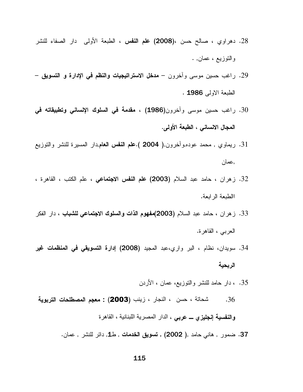- 28. دهراوي ، صالح حسن ،(**2008) علم النفس** ، الطبعة الأولى دار الصفاء للنشر والنوزيع ، عمان, .
- 29. راغب حسين موسى وآخرون **مدخل الاستراتيجيات والنظم في الإدارة و التسويق** الطبعة الاولى 1986 .
- 30. راغب حسين موسى وآخرون(1986) ، مقدمة في السلوك الإنساني وتطبيقاته في المجال الانساني ، الطبعة الأولى.
- 31. ريماوي , محمد عوده,وأخرون,( 2004 ).علم النفس العام,دار المسيرة للنشر والنوزيع ,عمان
- 32. زهران ، حامد عبد السلام **(2003) علم النفس الاجتماعي** ، علم الكتب ، القاهرة ، االطبعة الر ابعة.
- 33. زهران ، حامد عبد السلام **(2003)مفهوم الذات والسلوك الاجتماعي للشباب** ، دار الفكر العربي ، القاهرة.
- 34. سويدان، نظام ، البر واري،عبد المجيد **(2008) إدارة التسويقي في المنظمات غير** الربحية
	- 35. ، دار حامد للنشر والنوزيع، عمان ، الأردن
- شحاتة ، حسن ، النجار ، زينب (2003) : معجم المصطلحات التربوية  $.36$ والنفسية إنجليزي ـــ عربي ، الدار المصرية اللبنانية ، القاهرة
	- 37. ضمور , هانى حامد ,( 2002) , **تسويق الخدمات** , ط1, دائر للنشر , عمان.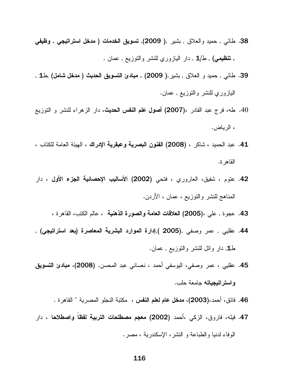- 38. طائي , حميد والعلاق , بشير ,( 2009), تسويق الخدمات ( مدخل استراتيجي , وظيفي , تنظيمي) , ط/1 , دار البازوري للنشر والنوزيع , عمان .
- 39. طائي , حميد و العلاق , بشير ,( 2009) , مبادئ التسويق الحديث ( مدخل شامل) ,ط1 , اليازوري للنشر والنوزيع , عمان.
- 40. طه، فرج عبد القادر ،(2007) أصول علم النفس الحديث، دار الزهراء للنشر و التوزيع ، الرياض.
- 41. عبد الحميد ، شاكر ، (2008) الفنون البصرية وعبقرية الإدراك ، الهيئة العامة للكتاب ، القاهر ة.
- 42. عتوم ، شفيق، العاروري ، فتحي (2002) الأ**ساليب الإحصائية الجزء الأول ،** دار المناهج للنشر والتوزيع ، عمان ، الأردن.
	- 43. عجوة , علي ،(2005) العلاقات العامة والصورة الذهنية ، عالم الكتب، القاهرة ،
- .44 عقليي , عمر وصفي ,(2005 ),إدارة الموارد البشرية المعاصرة (بعد استراتيجي) , طـ1, دار وائل للنشر والنوزيع , عمان.
- 45. عقليي ، عمر وصفي، اليوسفي أحمد ، نعساني عبد المحسن. (2008)، **مبادئ التسويق** واستراتيجياته جامعة حلب.
	- 46. فائق، أحمد،(2003)، **مدخل عام لعلم النفس** ، مكتبة النجلو المصرية ' القاهرة .
- 47. فيله، فاروق، الزكي ،أحمد (2002) معجم مصطلحات التربية لفظاً واصطلاحا ، دار الوفاء لدنيا والطباعة و النشر، الإسكندرية ، مصر.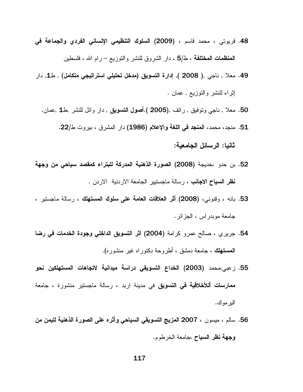- 48. قريوتي ، محمد قاسم ، (2009) ال**سلوك التنظيمي الإنساني الفردي والجماعة ف***ي* المنظمات المختلفة ، ط/5 ، دار الشروق للنشر والنوزيع – رام الله ، فلسطين
- 49. معلا , ناجي ,( 2008 ), إدارة التسويق (مدخل تحليلي استراتيجي متكامل) , ط1, دار إثراء للنشر والنوزيع , عمان .
	- 50. معلا , ناجي وتوفيق , رائف ,(2005 ).أصول التسويق , دار وائل للنشر ,ط1 ,عمان.
		- 51. منجد، محمد، المنجد في اللغة والإعلام (1986) دار المشرق ، بيروت ط/22. ثانيا: الرسائل الجامعية:
- 52. بن حدو ،خديجة (2008) الصورة الذهنية المدركة للبتراء كمقصد سياحى من وجهة **نظر السياح الاجانب** ، رسالة ماجستيير الجامعة الاردنية الاردن .
- 53. بانه ، وقنوني، (2008) أثر العلاقات العامة على سلوك المستهلك ، رسالة ماجستير ، جامعة مويدر اس ، الجز ائر .
- 54. جريري ، صالح عمرو كرامة (2004) اثر التسويق الداخلي وجودة الخدمات في رضا **المستهلك ، ج**امعة دمشق ، أطر وحة دكتور اه غير منشور ه).
- 55. زعبي،محمد (2003) الخداع التسويقي دراسة ميدانية لاتجاهات المستهلكين نحو ممارسات أللأخلاقية في التسويق في مدينة اربد ، رسالة ماجستير منشورة ، جامعة البر مو ك.
- 56. سالم ، مبسون ، 2007 المزيج التسويقي السياحي وأثره على الصورة الذهنية لليمن من وجهة نظر السياح ،جامعة الخرطوم.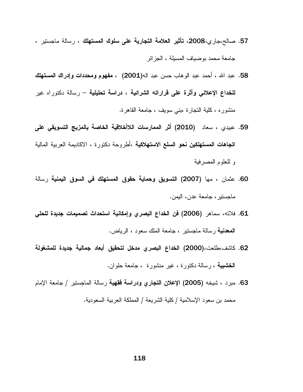- 57. صالح،جاري،2008، تأثير العلامة التجارية على سلوك المستهلك ، رسالة ماجستير ، جامعة محمد بو ضباف المسبلة ، الجز ائر
- 58. عبد الله ، أحمد عبد الو هاب حسن عبد الـه(2001) ، **مفهوم ومحددات وإدر اك المستهلك للخداع الإعلاني وأثرة على قراراته الشرائية ، دراسة تحليلية** – رسالة دكتوراه غير منشوره ، كلية النجارة ،بنبي سويف ، جامعة القاهرة.
- 59. عبيدي ، سعاد (2010) أثر الممارسات اللاأخلاقية الخاصة بالمزيج التسويقي على اتجاهات المستهلكين نحو السلع الاستهلاكية ،أطروحة دكتورة ، الاكاديمة العربية المالية و للعلوم المصرفية
- 60. عثمان ، مها (2007) التسويق وحماية حقوق المستهلك في السوق اليمنية رسالة ماجستير ، جامعة عدن، اليمن.
- 61. فلاته، سماهر (2006) فن الخداع البصرى وإمكانية استحداث تصميمات جديدة للحلي **المعدنية** رسالة ماجستير ، جامعة الملك سعود ، الرياض.
- 62. كاشف،طلعت،(2000) الخداع البصري مدخل لتحقيق أبعاد جمالية جديدة للمشغولة **الخشبية** ، رسالة دكتورة ، غير منشورة ، جامعة حلوان.
- 63. مبرد ، شيخه (2005) الإعلا*ن* ا**لتجاري ودراسة فقهية** رسالة الماجستير / جامعة الإمام محمد بن سعود الإسلامية / كلية الشريعة / المملكة العربية السعودية.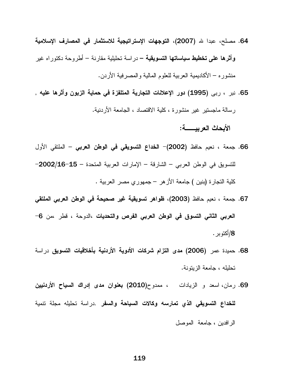- 64. مصلح، عبدا لله (2007)، التوجهات الإستراتيجية للاستثمار في المصارف الإسلامية **وأثرها على تخطيط سياساتها التسويقية –** در اسة تحليلية مقارنة – أطروحة دكتور اه غير منشوره – الأكاديمية العربية للعلوم المالية والمصرفية الأردن.
- 65. نبر ، ربى (1995) دور الإعلانات التجارية المتلفزة في حماية الزبون وأثرها عليه , رسالة ماجستير غير منشورة ، كلية الاقتصاد ، الجامعة الأردنية. الأبحاث العربيســــة:
- 66. جمعة ، نعيم حافظ (2002)– الخداع التسويقي في الوطن العربي الملتقى الأول للتسويق في الوطن العربي – الشارقة – الإمارات العربية المتحدة – 15-2002/16-كلية التجارة (بنين ) جامعة الأزهر – جمهوري مصر العربية .
- 67. جمعة ، نعيم حافظ (2003)، ظواهر تسويقية غير صحيحة في الوطن العربي الملتقى العربي الثاني التسوق في الوطن العربي الفرص والتحديات ،الدوحة ، قطر ،من 6-8/أكتو بر .
- 68. حميدة عمر (2006) مدى التزام شركات الأدوية الأردنية بأخلاقيات التسويق دراسة تحليله ، جامعة الزيتونة.
- 69. رمان، اسعد و الزيادات ، ممدوح(2010) **بعنوان مدى إدراك السياح الأردنيين** للخداع التسويقى الذي تمارسه وكالات السياحة والسفر .دراسة تحليله مجلة نتمية الرافدين ، جامعة الموصل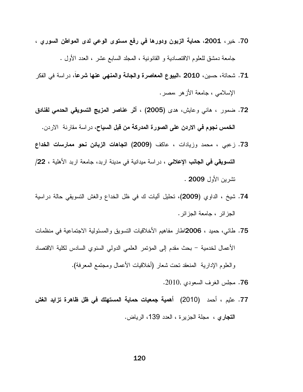- 70. خير، 2001، حماية الزبون ودورها في رفع مستوى الوعي لدى المواطن السورى ، جامعة دمشق للعلوم الاقتصادية و القانونية ، المجلد السابع عشر ، العدد الأول .
- 71. شحاتة، حسين، 2010 ،البيوع المعاصرة والجائة والمنهى عنها شرعاً، دراسة في الفكر الإسلامي ، جامعة الأز هر ،مصر .
- 72. ضمور ، هاني وعايش، هدى (2005) ، أثر عناصر المزيج التسويقي الحدمي لفنادق ا**لخمس نجوم في الاردن على الصورة المدركة من قبل السياح**، در اسة مقارنة الاردن.
- 73. زعبي ، محمد وزيادات ، عاكف (2009) ا**تجاهات الزبائن نحو ممارسات الخداع** الت**سويقي في الجانب الإعلاني** ، دراسة ميدانية في مدينة اربد، جامعة اربد الأهلية ، 22/ تشرين الأول 2009 .
- 74. شيخ ، الداوي (2009)، تحليل أليات ك في ظل الخداع والغش التسويقي حالة دراسية الجز ائر ، جامعة الجز ائر .
- 75. طائبي، حميد ، 2006اطار مفاهيم الأخلاقيات النسويق والمسئولية الاجتماعية في منظمات الأعمال لخدمية – بحث مقدم إلى المؤتمر العلمي الدولي السنوي السادس لكلية الاقتصاد

والعلوم الإدارية المنعقد نحت شعار (أخلاقيات الأعمال ومجتمع المعرفة).

- 76. مجلس الغرف السعودي ,2010.
- 77. عثيم ، أحمد (2010) أهمية جمعيات حماية المستهلك في ظل ظاهرة تزايد الغش ا**لتجاري ،** مجلة الجزيرة ، العدد 139، الرياض.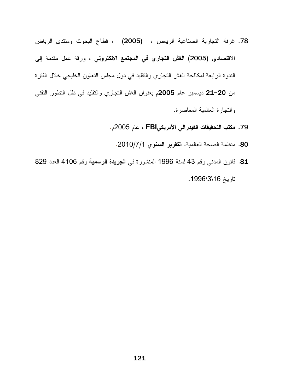- 78. غرفة التجارية الصناعية الرياض ، (2005) ، فطاع البحوث ومنتدى الرياض الاقتصادي (2005) ا**لغش التجاري في المجتمع الالكتروني** ، ورقة عمل مقدمة إلى الندوة الرابعة لمكافحة الغش النجاري والنقليد في دول مجلس النعاون الخليجي خلال الفنرة من 20−21 ديسمبر عام 2005م بعنوان الغش النجاري والنقليد في ظل النطور النقني والنجارة العالمية المعاصرة.
	- 79. مكتب التحقيقات الفيدرالي الأمريكيFBI ، عام 2005م.
		- 80. منظمة الصحة العالمية، التقرير السنوى 2010/7/1.
- 81. قانون المدني رقم 43 لسنة 1996 المنشورة في الجريدة الرسمية رقم 4106 العدد 829 تاريخ 3\18\1996.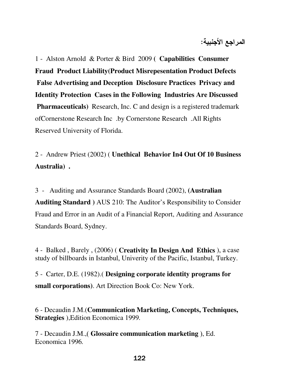المراجع الأجنبية:

1 - Alston Arnold & Porter & Bird 2009 **( Capabilities Consumer Fraud Product Liability(Product Misrepesentation Product Defects False Advertising and Deception Disclosure Practices Privacy and Identity Protection Cases in the Following Industries Are Discussed Pharmaceuticals)** Research, Inc. C and design is a registered trademark ofCornerstone Research Inc . by Cornerstone Research . All Rights Reserved University of Florida.

2 - Andrew Priest (2002) ( **Unethical Behavior In4 Out Of 10 Business Australia) .** 

3 - Auditing and Assurance Standards Board (2002), **(Australian Auditing Standard )** AUS 210: The Auditor's Responsibility to Consider Fraud and Error in an Audit of a Financial Report, Auditing and Assurance Standards Board, Sydney.

4 - Balked , Barely , (2006) ( **Creativity In Design And Ethics** ), a case study of billboards in Istanbul, Univerity of the Pacific, Istanbul, Turkey.

5 - Carter, D.E. (1982).( **Designing corporate identity programs for small corporations)**. Art Direction Book Co: New York.

6 - Decaudin J.M.(**Communication Marketing, Concepts, Techniques, Strategies** ),Edition Economica 1999*.*

7 - Decaudin J.M.,( **Glossaire communication marketing** ), Ed. Economica 1996*.*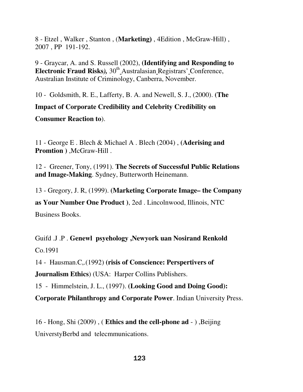8 - Etzel , Walker , Stanton , (**Marketing**) , 4Edition , McGraw-Hill) , 2007 , PP 191-192.

9 - Graycar, A. and S. Russell (2002), **(Identifying and Responding to Electronic Fraud Risks**), 30<sup>th</sup> Australasian Registrars' Conference, Australian Institute of Criminology, Canberra, November.

10 - Goldsmith, R. E., Lafferty, B. A. and Newell, S. J., (2000). **(The Impact of Corporate Credibility and Celebrity Credibility on Consumer Reaction to**).

11 - George E . Blech & Michael A . Blech (2004) , **(Aderising and Promtion )** ,McGraw-Hill .

12 - Greener, Tony, (1991). **The Secrets of Successful Public Relations and Image-Making**. Sydney, Butterworth Heinemann.

13 - Gregory, J. R, (1999). **(Marketing Corporate Image– the Company** 

**as Your Number One Product )**, 2ed . Lincolnwood, Illinois, NTC Business Books.

Guifd .J .P . **Genewl psyehology ,Newyork uan Nosirand Renkold** Co.1991

14 - Hausman.C ., (1992) **(risis of Conscience: Perspertivers of** 

**Journalism Ethics**) (USA: Harper Collins Publishers.

15 - Himmelstein, J. L., (1997). **(Looking Good and Doing Good):** 

**Corporate Philanthropy and Corporate Power**. Indian University Press.

16 - Hong, Shi (2009) , ( **Ethics and the cell-phone ad** - ) ,Beijing

UniverstyBerbd and telecmmunications.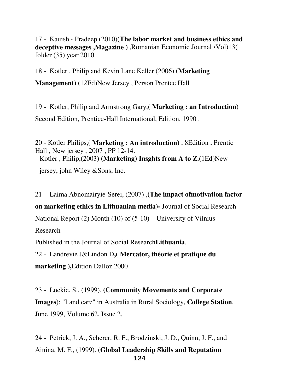17 - Kauish ، Pradeep (2010)(**The labor market and business ethics and deceptive messages** ,**Magazine )** ,Romanian Economic Journal ،Vol)13( folder (35) year 2010.

18 - Kotler , Philip and Kevin Lane Keller (2006) **(Marketing Management)** (12Ed)New Jersey , Person Prentce Hall

19 - Kotler, Philip and Armstrong Gary,( **Marketing : an Introduction**) Second Edition, Prentice-Hall International, Edition, 1990 .

20 - Kotler Philips,( **Marketing : An introduction)** , 8Edition , Prentic Hall , New jersey , 2007 , PP 12-14. Kotler , Philip,(2003) **(Marketing) Insghts from A to Z**,(1Ed)New jersey, john Wiley &Sons, Inc.

21 - Laima.Abnomairyie-Serei, (2007) ,**(The impact ofmotivation factor on marketing ethics in Lithuanian media)-** Journal of Social Research – National Report (2) Month (10) of (5-10) – University of Vilnius - Research

Published in the Journal of Social Research**Lithuania**.

22 - Landrevie J&Lindon D**,( Mercator, théorie et pratique du marketing ),**Edition Dalloz 2000

23 - Lockie, S., (1999). **(Community Movements and Corporate Images**): "Land care" in Australia in Rural Sociology, **College Station**, June 1999, Volume 62, Issue 2.

 124 24 - Petrick, J. A., Scherer, R. F., Brodzinski, J. D., Quinn, J. F., and Ainina, M. F., (1999). (**Global Leadership Skills and Reputation**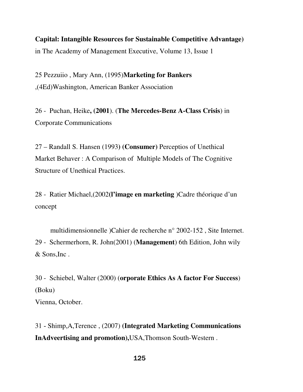# **Capital: Intangible Resources for Sustainable Competitive Advantage)** in The Academy of Management Executive, Volume 13, Issue 1

25 Pezzuiio , Mary Ann, (1995)**Marketing for Bankers**  ,(4Ed)Washington, American Banker Association

26 - Puchan, Heike**, (2001**). (**The Mercedes-Benz A-Class Crisis**) in Corporate Communications

27 – Randall S. Hansen (1993**) (Consumer)** Perceptios of Unethical Market Behaver : A Comparison of Multiple Models of The Cognitive Structure of Unethical Practices.

28 - Ratier Michael,(2002**(l'image en marketing** )Cadre théorique d'un concept

 multidimensionnelle )Cahier de recherche n° 2002-152 , Site Internet. 29 - Schermerhorn, R. John(2001) (**Management**) 6th Edition, John wily & Sons,Inc .

30 - Schiebel, Walter (2000) (**orporate Ethics As A factor For Success**) (Boku) Vienna, October.

31 - Shimp,A,Terence , (2007) **(Integrated Marketing Communications InAdveertising and promotion)**,USA,Thomson South-Western .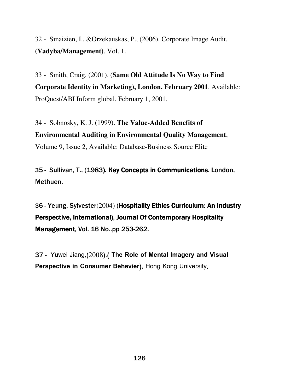32 - Smaizien, I., &Orzekauskas, P., (2006). Corporate Image Audit. **(Vadyba/Management)**. Vol. 1.

33 - Smith, Craig, (2001). (**Same Old Attitude Is No Way to Find Corporate Identity in Marketing), London, February 2001**. Available: ProQuest/ABI Inform global, February 1, 2001.

34 - Sobnosky, K. J. (1999). **The Value-Added Benefits of Environmental Auditing in Environmental Quality Management**, Volume 9, Issue 2, Available: Database-Business Source Elite

35 - Sullivan, T., (1983). Key Concepts in Communications. London, Methuen.

36 - Yeung, Sylvester(2004) (Hospitality Ethics Curriculum: An Industry Perspective, International), Journal Of Contemporary Hospitality **Management, Vol. 16 No..pp 253-262.** 

37 - Yuwei Jiang,(2008),( The Role of Mental Imagery and Visual Perspective in Consumer Behevier), Hong Kong University.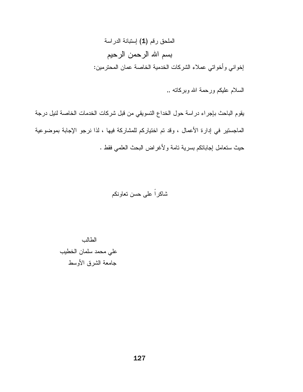الملحق رقم (1) إستبانة الدراسة بسم الله الرحمن الرحيم إخواني وأخواتي عملاء الشركات الخدمية الخاصة عمان المحترمين:

السلام عليكم ورحمة الله وبركاته ,,

يقوم الباحث بإجراء دراسة حول الخداع النسويقي من قبل شركات الخدمات الخاصة لنيل درجة الماجستير في إدارة الأعمال ، وقد تم اختياركم للمشاركة فيها ، لذا نرجو الإجابة بموضوعية حيث ستعامل إجاباتكم بسرية تامة ولأغراض البحث العلمي فقط .

شاکر اً علے حسن تعاو نکم

الطالب علي محمد سلمان الخطيب جامعة الشرق الأوسط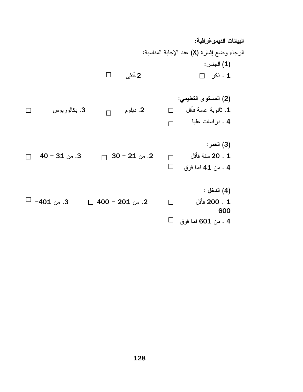البيانات الديموغرافية: الرجاء وضـع إشارة (X) عند الإجابة المناسبة: (1) الجنس: 2.أنثي  $\Box$  ذکر  $\Box$  $\Box$ 

(2) المستوى التعليمي: 2. دبلوم  $\Box$  $\Box$  ثانوية عامة فأقل  $\Box$ 3. بكالورپوس  $\Box$ 4 . در اسات عليا  $\Box$ 

- (3) العمر: 2. من 21 − 30  $\Box$ 20 . 1 سنة فأقل .3 من 31 $-31$  $\Box$  $\Box$  $\Box$ 4 . من 41 فما فوق
- (4) الدخل:  $\square$  -401 -3. 2. من 201 − 400 ⊟ 200 . 1 فَأَقل  $\Box$ 600  $\Box$ 4 . من 601 فما فوق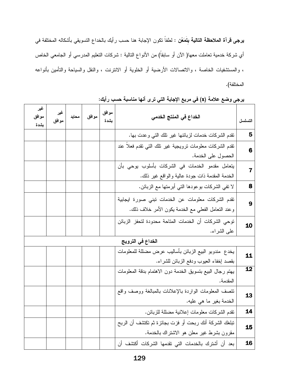**يرجي قرآة الملاحظة التالية بتَمَعُن :** لطفاً تكون الإجابة هنا حسب رأيك بالخداع التسويقي بأشكاله المختلفة في أي شركة خدمية تعاملت معها( الآن أو سابقاً) من الأنواع التالية : شركات التعليم المدرسي أو الجامعي الخاص ، والمستشفيات الخاصة ، والاتصالات الأرضية أو الخلوية أو الانترنت ، والنقل والسياحة والتأمين بأنواعه المختلفة).

| التسلسل           | الخداع ف <i>ي</i> المنتج الخدم <i>ى</i>                                                                 | مو افق<br>بشدة | موافق | محايد | غير<br>موافق | غير<br>موافق<br>بشدة |
|-------------------|---------------------------------------------------------------------------------------------------------|----------------|-------|-------|--------------|----------------------|
| 5                 | نقدم الشركات خدمات لزبائنها غير نلك التبي وعدت بها.                                                     |                |       |       |              |                      |
| 6                 | نقدم الشركات معلومات نرويجية غير نلك النبي نقدم فعلا عند<br>الحصول على الخدمة.                          |                |       |       |              |                      |
| $\overline{7}$    | يتعامل مقدمو الخدمات في الشركات بأسلوب يوحى بأن<br>الخدمة المقدمة ذات جودة عالية والواقع غير ذلك.       |                |       |       |              |                      |
| 8                 | لا نفي الشركات بوعودها التي أبرمتها مع الزبائن.                                                         |                |       |       |              |                      |
| 9                 | تقدم الشركات معلومات عن الخدمات نبنى صورة ايجابية<br>وعند النعامل الفعلي مع الخدمة يكون الأمر خلاف ذلك. |                |       |       |              |                      |
| 10                | نوحي الشركات أن الخدمات المتاحة محدودة لتحفز الزبائن<br>على الشراء.                                     |                |       |       |              |                      |
| الخداع في الترويج |                                                                                                         |                |       |       |              |                      |
| 11                | يخدع مندوبو الببيع الزبائن بأساليب عرض مضللة للمعلومات<br>بقصد إخفاء العيوب ودفع الزبائن للشراء.        |                |       |       |              |                      |
| 12                | يهتم رجال البيع بتسويق الخدمة دون الاهتمام بدقة المعلومات<br>المقدمة.                                   |                |       |       |              |                      |
| 13                | تتصف المعلومات الواردة بالإعلانات بالمبالغة ووصف واقع<br>الخدمة بغير ما هي عليه.                        |                |       |       |              |                      |
| 14                | نقدم الشركات معلومات إعلانية مضللة للزبائن.                                                             |                |       |       |              |                      |
| 15                | تبلغك الشركة أنك ربحت أو فزت بجائزة ثم تكتشف أن الربح<br>مقرون بشرط غير معلن هو الاشتراك بالخدمة.       |                |       |       |              |                      |
| 16                | بعد أن أشترك بالخدمات التي تقدمها الشركات أكتشف أن                                                      |                |       |       |              |                      |

يرجى وضع علامة (x) في مربع الإجابة التي ترى أنها مناسبة حسب رأيك: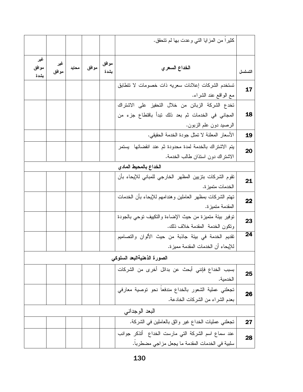|         | كثيرًا من المزايا التي وعدت بها لم تتحقق.                                                                                       |               |       |       |              |                      |
|---------|---------------------------------------------------------------------------------------------------------------------------------|---------------|-------|-------|--------------|----------------------|
| التسلسل | الخداع السعر ي                                                                                                                  | موافق<br>بشدة | موافق | محايد | غیر<br>موافق | غیر<br>موافق<br>بشدة |
| 17      | تستخدم الشركات إعلانات سعريه ذات خصومات لا تتطابق<br>مع الواقع عند الشراء.                                                      |               |       |       |              |                      |
| 18      | تخدع الشركة الزبائن من خلال التحفيز على الاشتراك<br>المجاني في الخدمات ثم بعد ذلك تبدأ باقتطاع جزء من<br>الرصيد دون علم الزبون. |               |       |       |              |                      |
| 19      | الأسعار المعلنة لا تمثل جودة الخدمة الحقيقي.                                                                                    |               |       |       |              |                      |
| 20      | يتم الاشتراك بالخدمة لمدة محدودة ثم عند انقضائها ً يستمر<br>الاشتراك دون استذان طالب الخدمة.                                    |               |       |       |              |                      |
|         | الخداع بالمحيط المادى                                                                                                           |               |       |       |              |                      |
| 21      | تقوم الشركات بتزيين المظهر الخارجي للمباني للإيحاء بأن<br>الخدمات متميز ة.                                                      |               |       |       |              |                      |
| 22      | تهتم الشركات بمظهر العاملين وهندامهم للإيحاء بأن الخدمات<br>المقدمة متميز ة.                                                    |               |       |       |              |                      |
| 23      | نوفير بيئة متميزة من حيث الإضاءة والتكييف توحى بالجودة<br>وتكون الخدمة المقدمة خلاف ذلك.                                        |               |       |       |              |                      |
| 24      | نقديم الخدمة في بيئة جاذبة من حيث الألوان والتصاميم<br>للإيحاء أن الخدمات المقدمة مميزة.                                        |               |       |       |              |                      |
|         | الصورة الذهنيةالبعد السلوكى                                                                                                     |               |       |       |              |                      |
| 25      | بسبب الخداع فإنني أبحث عن بدائل أخرى من الشركات<br>الخدمية.                                                                     |               |       |       |              |                      |
| 26      | تجعلني عملية الشعور بالخداع مندفعا نحو نوصية معارفي<br>بعدم الشراء من الشركات الخادعة.                                          |               |       |       |              |                      |
|         | البعد الوجدانبي                                                                                                                 |               |       |       |              |                      |
| 27      | تجعلني عمليات الخداع غير واثق بالعاملين في الشركة.                                                                              |               |       |       |              |                      |
| 28      | عند سماع اسم الشركة التي مارست الخداع أتذكر جوانب<br>سلبية في الخدمات المقدمة ما يجعل مزاجي مضطربا.                             |               |       |       |              |                      |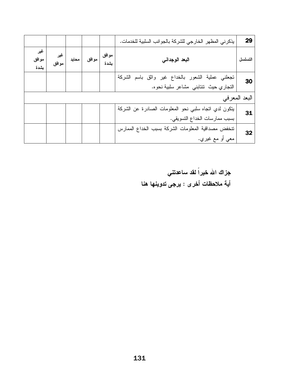| 29            | يذكرني المظهر الخارجي للشركة بالجوانب السلبية للخدمات. |               |       |       |              |                      |
|---------------|--------------------------------------------------------|---------------|-------|-------|--------------|----------------------|
| التسلسل       | البعد الوجداني                                         | موافق<br>بشدة | موافق | محايد | غیر<br>موافق | غير<br>موافق<br>بشدة |
| 30            | تجعلني عملية الشعور بالخداع غير واثق باسم الشركة       |               |       |       |              |                      |
|               | التجاري حيث تتتابني مشاعر سلبية نحوه.                  |               |       |       |              |                      |
| البعد المعرفي |                                                        |               |       |       |              |                      |
| 31            | يتكون لدي اتجاه سلبي نحو المعلومات الصادرة عن الشركة   |               |       |       |              |                      |
|               | بسبب ممارسات الخداع النسويقي.                          |               |       |       |              |                      |
| 32            | تنخفض مصداقية المعلومات الشركة بسبب الخداع الممارس     |               |       |       |              |                      |
|               | معي أو مع غيري.                                        |               |       |       |              |                      |

جزاك الله خيراً لقد ساعدتني أية ملاحظات أخرى : يرجى تدوينها هنا